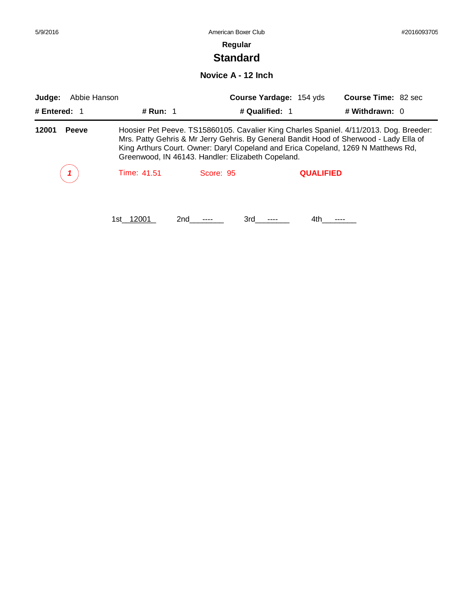| 5/9/2016               |             | American Boxer Club                                                                                                                                                                                                                                                                                                        |                                |                            |  |  |
|------------------------|-------------|----------------------------------------------------------------------------------------------------------------------------------------------------------------------------------------------------------------------------------------------------------------------------------------------------------------------------|--------------------------------|----------------------------|--|--|
|                        |             | Regular                                                                                                                                                                                                                                                                                                                    |                                |                            |  |  |
|                        |             | <b>Standard</b>                                                                                                                                                                                                                                                                                                            |                                |                            |  |  |
|                        |             | Novice A - 12 Inch                                                                                                                                                                                                                                                                                                         |                                |                            |  |  |
| Abbie Hanson<br>Judge: |             |                                                                                                                                                                                                                                                                                                                            | <b>Course Yardage: 154 yds</b> | <b>Course Time: 82 sec</b> |  |  |
| # Entered: $1$         | # Run: 1    |                                                                                                                                                                                                                                                                                                                            | # Qualified: 1                 | # Withdrawn: 0             |  |  |
| 12001<br><b>Peeve</b>  |             | Hoosier Pet Peeve. TS15860105. Cavalier King Charles Spaniel. 4/11/2013. Dog. Breeder:<br>Mrs. Patty Gehris & Mr Jerry Gehris. By General Bandit Hood of Sherwood - Lady Ella of<br>King Arthurs Court. Owner: Daryl Copeland and Erica Copeland, 1269 N Matthews Rd,<br>Greenwood, IN 46143. Handler: Elizabeth Copeland. |                                |                            |  |  |
|                        | Time: 41.51 | Score: 95                                                                                                                                                                                                                                                                                                                  | <b>QUALIFIED</b>               |                            |  |  |
|                        | 1st 12001   | 2nd<br>3rd                                                                                                                                                                                                                                                                                                                 | 4th.                           |                            |  |  |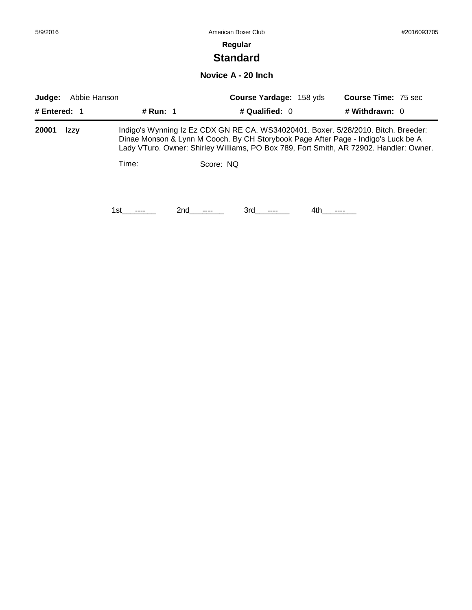# **Standard**

**Novice A - 20 Inch**

| Abbie Hanson<br>Judge: |             |          |     |           | <b>Course Yardage: 158 yds</b> |      |                                                                                                                                                                                                                                                                   | <b>Course Time: 75 sec</b> |  |
|------------------------|-------------|----------|-----|-----------|--------------------------------|------|-------------------------------------------------------------------------------------------------------------------------------------------------------------------------------------------------------------------------------------------------------------------|----------------------------|--|
| # Entered: 1           |             | # Run: 1 |     |           | # Qualified: 0                 |      | # Withdrawn: 0                                                                                                                                                                                                                                                    |                            |  |
| 20001                  | <b>Izzy</b> |          |     |           |                                |      | Indigo's Wynning Iz Ez CDX GN RE CA. WS34020401. Boxer. 5/28/2010. Bitch. Breeder:<br>Dinae Monson & Lynn M Cooch. By CH Storybook Page After Page - Indigo's Luck be A<br>Lady VTuro. Owner: Shirley Williams, PO Box 789, Fort Smith, AR 72902. Handler: Owner. |                            |  |
|                        |             | Time:    |     | Score: NO |                                |      |                                                                                                                                                                                                                                                                   |                            |  |
|                        |             | 1st.     | 2nd | 3rd       |                                | 4th. |                                                                                                                                                                                                                                                                   |                            |  |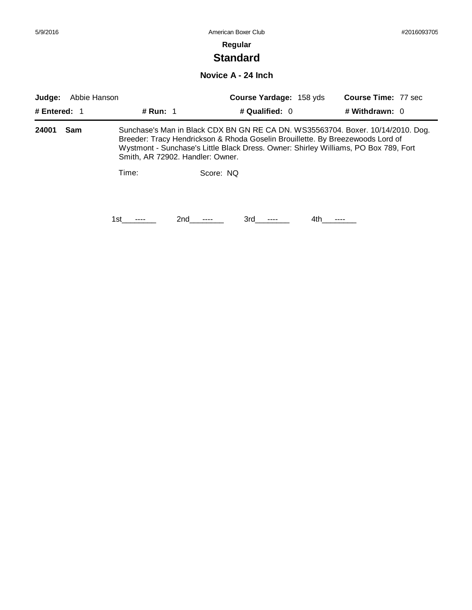### **Regular**

# **Standard**

**Novice A - 24 Inch**

| Judge:       | Abbie Hanson |            |                                  | <b>Course Yardage: 158 yds</b>                                                 |      | <b>Course Time: 77 sec</b>                                                                                                                                             |  |
|--------------|--------------|------------|----------------------------------|--------------------------------------------------------------------------------|------|------------------------------------------------------------------------------------------------------------------------------------------------------------------------|--|
| # Entered: 1 |              | # Run: $1$ |                                  | # Qualified: $0$                                                               |      | # Withdrawn: 0                                                                                                                                                         |  |
| 24001        | Sam          |            | Smith, AR 72902. Handler: Owner. | Breeder: Tracy Hendrickson & Rhoda Goselin Brouillette. By Breezewoods Lord of |      | Sunchase's Man in Black CDX BN GN RE CA DN. WS35563704. Boxer. 10/14/2010. Dog.<br>Wystmont - Sunchase's Little Black Dress. Owner: Shirley Williams, PO Box 789, Fort |  |
|              |              | Time:      | Score: NO                        |                                                                                |      |                                                                                                                                                                        |  |
|              |              | 1st        | 2nd                              | 3rd                                                                            | 4th. |                                                                                                                                                                        |  |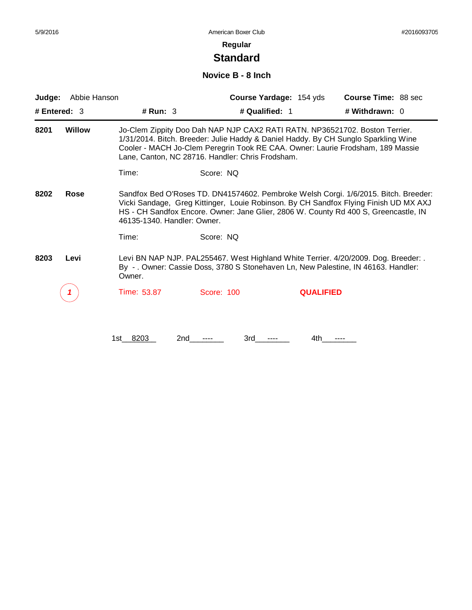# **Standard**

#### **Novice B - 8 Inch**

| Judge: | Abbie Hanson  |                             |                                                                                                                                                                                                                       | Course Yardage: 154 yds | <b>Course Time: 88 sec</b>                                                                                                                                                                                                                                         |
|--------|---------------|-----------------------------|-----------------------------------------------------------------------------------------------------------------------------------------------------------------------------------------------------------------------|-------------------------|--------------------------------------------------------------------------------------------------------------------------------------------------------------------------------------------------------------------------------------------------------------------|
|        | # Entered: 3  | # Run: 3                    | # Qualified: 1                                                                                                                                                                                                        |                         | # Withdrawn: 0                                                                                                                                                                                                                                                     |
| 8201   | <b>Willow</b> |                             | Jo-Clem Zippity Doo Dah NAP NJP CAX2 RATI RATN. NP36521702. Boston Terrier.<br>1/31/2014. Bitch. Breeder: Julie Haddy & Daniel Haddy. By CH Sunglo Sparkling Wine<br>Lane, Canton, NC 28716. Handler: Chris Frodsham. |                         | Cooler - MACH Jo-Clem Peregrin Took RE CAA. Owner: Laurie Frodsham, 189 Massie                                                                                                                                                                                     |
|        |               | Time:                       | Score: NQ                                                                                                                                                                                                             |                         |                                                                                                                                                                                                                                                                    |
| 8202   | Rose          | 46135-1340. Handler: Owner. |                                                                                                                                                                                                                       |                         | Sandfox Bed O'Roses TD. DN41574602. Pembroke Welsh Corgi. 1/6/2015. Bitch. Breeder:<br>Vicki Sandage, Greg Kittinger, Louie Robinson. By CH Sandfox Flying Finish UD MX AXJ<br>HS - CH Sandfox Encore. Owner: Jane Glier, 2806 W. County Rd 400 S, Greencastle, IN |
|        |               | Time:                       | Score: NQ                                                                                                                                                                                                             |                         |                                                                                                                                                                                                                                                                    |
| 8203   | Levi          | Owner.                      | By - . Owner: Cassie Doss, 3780 S Stonehaven Ln, New Palestine, IN 46163. Handler:                                                                                                                                    |                         | Levi BN NAP NJP. PAL255467. West Highland White Terrier. 4/20/2009. Dog. Breeder: .                                                                                                                                                                                |
|        |               | Time: 53.87                 | Score: 100                                                                                                                                                                                                            | <b>QUALIFIED</b>        |                                                                                                                                                                                                                                                                    |
|        |               | 8203<br>2nd<br>1st          | 3rd                                                                                                                                                                                                                   | 4th.                    |                                                                                                                                                                                                                                                                    |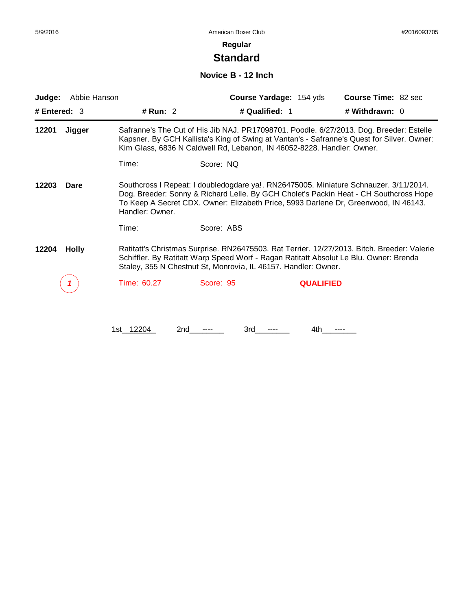# **Standard**

### **Novice B - 12 Inch**

| Judge:         | Abbie Hanson |                  | Course Yardage: 154 yds                                                | Course Time: 82 sec                                                                                                                                                                                                                                                   |
|----------------|--------------|------------------|------------------------------------------------------------------------|-----------------------------------------------------------------------------------------------------------------------------------------------------------------------------------------------------------------------------------------------------------------------|
| # Entered: $3$ |              | # Run: 2         | # Qualified: 1                                                         | # Withdrawn: 0                                                                                                                                                                                                                                                        |
| 12201          | Jigger       |                  | Kim Glass, 6836 N Caldwell Rd, Lebanon, IN 46052-8228. Handler: Owner. | Safranne's The Cut of His Jib NAJ. PR17098701. Poodle. 6/27/2013. Dog. Breeder: Estelle<br>Kapsner. By GCH Kallista's King of Swing at Vantan's - Safranne's Quest for Silver. Owner:                                                                                 |
|                |              | Time:            | Score: NQ                                                              |                                                                                                                                                                                                                                                                       |
| 12203          | Dare         | Handler: Owner.  |                                                                        | Southcross I Repeat: I doubledogdare ya!. RN26475005. Miniature Schnauzer. 3/11/2014.<br>Dog. Breeder: Sonny & Richard Lelle. By GCH Cholet's Packin Heat - CH Southcross Hope<br>To Keep A Secret CDX. Owner: Elizabeth Price, 5993 Darlene Dr, Greenwood, IN 46143. |
|                |              | Time:            | Score: ABS                                                             |                                                                                                                                                                                                                                                                       |
| 12204          | <b>Holly</b> |                  | Staley, 355 N Chestnut St, Monrovia, IL 46157. Handler: Owner.         | Ratitatt's Christmas Surprise. RN26475503. Rat Terrier. 12/27/2013. Bitch. Breeder: Valerie<br>Schiffler. By Ratitatt Warp Speed Worf - Ragan Ratitatt Absolut Le Blu. Owner: Brenda                                                                                  |
|                |              | Time: 60.27      | Score: 95                                                              | <b>QUALIFIED</b>                                                                                                                                                                                                                                                      |
|                |              |                  |                                                                        |                                                                                                                                                                                                                                                                       |
|                |              | 1st 12204<br>2nd | 3rd                                                                    | 4th                                                                                                                                                                                                                                                                   |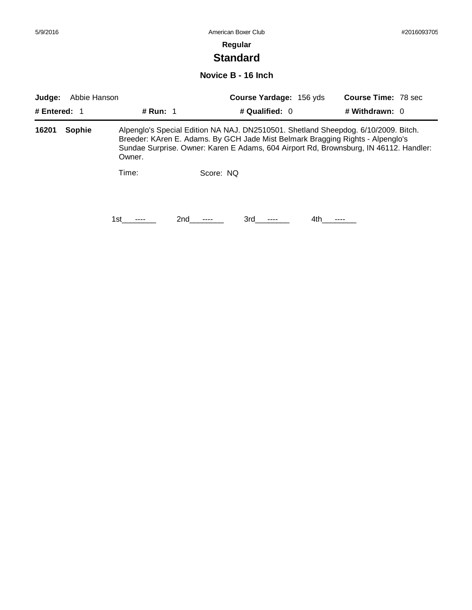# **Standard**

### **Novice B - 16 Inch**

| Judge:       | Abbie Hanson |          |           | <b>Course Yardage: 156 yds</b>                                                                                                                                                                                                                                |      | <b>Course Time: 78 sec</b> |  |
|--------------|--------------|----------|-----------|---------------------------------------------------------------------------------------------------------------------------------------------------------------------------------------------------------------------------------------------------------------|------|----------------------------|--|
| # Entered: 1 |              | # Run: 1 |           | # Qualified: $0$                                                                                                                                                                                                                                              |      | # Withdrawn: 0             |  |
| 16201        | Sophie       | Owner.   |           | Alpenglo's Special Edition NA NAJ. DN2510501. Shetland Sheepdog. 6/10/2009. Bitch.<br>Breeder: KAren E. Adams. By GCH Jade Mist Belmark Bragging Rights - Alpenglo's<br>Sundae Surprise. Owner: Karen E Adams, 604 Airport Rd, Brownsburg, IN 46112. Handler: |      |                            |  |
|              |              | Time:    | Score: NQ |                                                                                                                                                                                                                                                               |      |                            |  |
|              |              | 1st      | 2nd       | 3rd                                                                                                                                                                                                                                                           | 4th. |                            |  |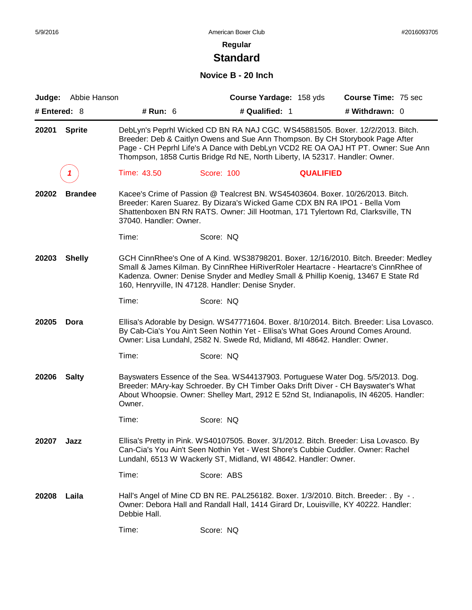# **Standard**

## **Novice B - 20 Inch**

| Judge:         | Abbie Hanson   |                        |                                                                                                                                                                                                                                                | Course Yardage: 158 yds | Course Time: 75 sec                                                                                                                                                       |
|----------------|----------------|------------------------|------------------------------------------------------------------------------------------------------------------------------------------------------------------------------------------------------------------------------------------------|-------------------------|---------------------------------------------------------------------------------------------------------------------------------------------------------------------------|
| # Entered: $8$ |                | # Run: 6               | # Qualified: 1                                                                                                                                                                                                                                 |                         | # Withdrawn: 0                                                                                                                                                            |
| 20201          | <b>Sprite</b>  |                        | DebLyn's Peprhl Wicked CD BN RA NAJ CGC. WS45881505. Boxer. 12/2/2013. Bitch.<br>Breeder: Deb & Caitlyn Owens and Sue Ann Thompson. By CH Storybook Page After<br>Thompson, 1858 Curtis Bridge Rd NE, North Liberty, IA 52317. Handler: Owner. |                         | Page - CH Peprhl Life's A Dance with DebLyn VCD2 RE OA OAJ HT PT. Owner: Sue Ann                                                                                          |
|                |                | Time: 43.50            | Score: 100                                                                                                                                                                                                                                     | <b>QUALIFIED</b>        |                                                                                                                                                                           |
| 20202          | <b>Brandee</b> | 37040. Handler: Owner. | Kacee's Crime of Passion @ Tealcrest BN. WS45403604. Boxer. 10/26/2013. Bitch.<br>Breeder: Karen Suarez. By Dizara's Wicked Game CDX BN RA IPO1 - Bella Vom<br>Shattenboxen BN RN RATS. Owner: Jill Hootman, 171 Tylertown Rd, Clarksville, TN |                         |                                                                                                                                                                           |
|                |                | Time:                  | Score: NQ                                                                                                                                                                                                                                      |                         |                                                                                                                                                                           |
| 20203          | <b>Shelly</b>  |                        | Kadenza. Owner: Denise Snyder and Medley Small & Phillip Koenig, 13467 E State Rd<br>160, Henryville, IN 47128. Handler: Denise Snyder.                                                                                                        |                         | GCH CinnRhee's One of A Kind. WS38798201. Boxer. 12/16/2010. Bitch. Breeder: Medley<br>Small & James Kilman. By CinnRhee HiRiverRoler Heartacre - Heartacre's CinnRhee of |
|                |                | Time:                  | Score: NQ                                                                                                                                                                                                                                      |                         |                                                                                                                                                                           |
| 20205          | Dora           |                        | By Cab-Cia's You Ain't Seen Nothin Yet - Ellisa's What Goes Around Comes Around.<br>Owner: Lisa Lundahl, 2582 N. Swede Rd, Midland, MI 48642. Handler: Owner.                                                                                  |                         | Ellisa's Adorable by Design. WS47771604. Boxer. 8/10/2014. Bitch. Breeder: Lisa Lovasco.                                                                                  |
|                |                | Time:                  | Score: NQ                                                                                                                                                                                                                                      |                         |                                                                                                                                                                           |
| 20206          | <b>Salty</b>   | Owner.                 | Bayswaters Essence of the Sea. WS44137903. Portuguese Water Dog. 5/5/2013. Dog.<br>Breeder: MAry-kay Schroeder. By CH Timber Oaks Drift Diver - CH Bayswater's What                                                                            |                         | About Whoopsie. Owner: Shelley Mart, 2912 E 52nd St, Indianapolis, IN 46205. Handler:                                                                                     |
|                |                | Time:                  | Score: NQ                                                                                                                                                                                                                                      |                         |                                                                                                                                                                           |
| 20207          | Jazz           |                        | Ellisa's Pretty in Pink. WS40107505. Boxer. 3/1/2012. Bitch. Breeder: Lisa Lovasco. By<br>Can-Cia's You Ain't Seen Nothin Yet - West Shore's Cubbie Cuddler. Owner: Rachel<br>Lundahl, 6513 W Wackerly ST, Midland, WI 48642. Handler: Owner.  |                         |                                                                                                                                                                           |
|                |                | Time:                  | Score: ABS                                                                                                                                                                                                                                     |                         |                                                                                                                                                                           |
| 20208          | Laila          | Debbie Hall.           | Hall's Angel of Mine CD BN RE. PAL256182. Boxer. 1/3/2010. Bitch. Breeder: . By -.<br>Owner: Debora Hall and Randall Hall, 1414 Girard Dr, Louisville, KY 40222. Handler:                                                                      |                         |                                                                                                                                                                           |
|                |                | Time:                  | Score: NQ                                                                                                                                                                                                                                      |                         |                                                                                                                                                                           |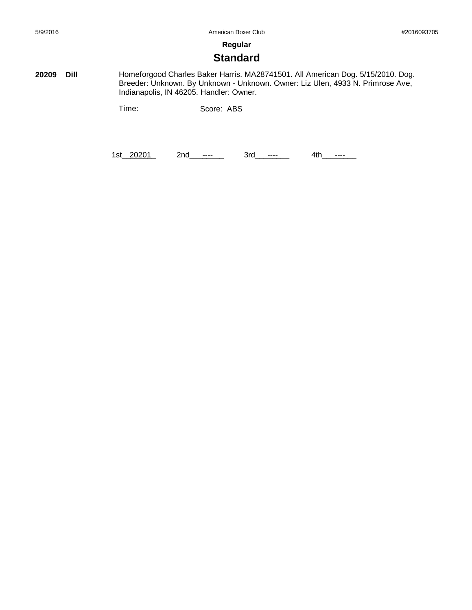## **Standard**

**20209 Dill** Homeforgood Charles Baker Harris. MA28741501. All American Dog. 5/15/2010. Dog. Breeder: Unknown. By Unknown - Unknown. Owner: Liz Ulen, 4933 N. Primrose Ave, Indianapolis, IN 46205. Handler: Owner.

Time: Score: ABS

1st\_20201 2nd\_\_\_\_\_\_ 3rd\_\_\_\_\_\_ 4th\_\_\_\_\_\_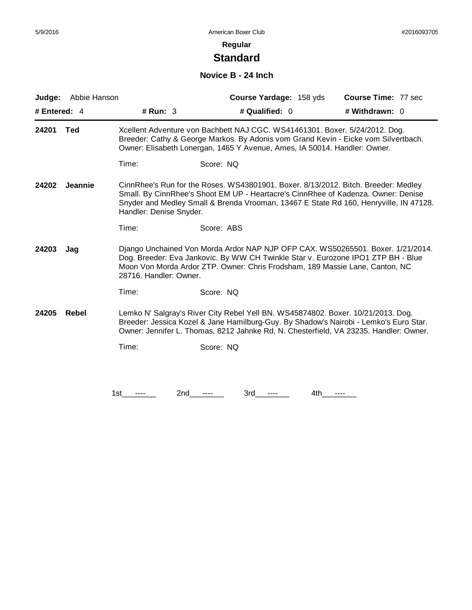# **Standard**

## **Novice B - 24 Inch**

|              | <b>Judge:</b> Abbie Hanson |                         |            | <b>Course Yardage: 158 yds</b>                                                                                                                           | <b>Course Time: 77 sec</b>                                                                                                                                                                                                                                         |
|--------------|----------------------------|-------------------------|------------|----------------------------------------------------------------------------------------------------------------------------------------------------------|--------------------------------------------------------------------------------------------------------------------------------------------------------------------------------------------------------------------------------------------------------------------|
| # Entered: 4 |                            | # $Run: 3$              |            | # Qualified: 0                                                                                                                                           | # Withdrawn: 0                                                                                                                                                                                                                                                     |
| 24201        | Ted                        |                         |            | Xcellent Adventure von Bachbett NAJ CGC. WS41461301. Boxer. 5/24/2012. Dog.<br>Owner: Elisabeth Lonergan, 1465 Y Avenue, Ames, IA 50014. Handler: Owner. | Breeder: Cathy & George Markos. By Adonis vom Grand Kevin - Eicke vom Silvertbach.                                                                                                                                                                                 |
|              |                            | Time:                   | Score: NQ  |                                                                                                                                                          |                                                                                                                                                                                                                                                                    |
| 24202        | <b>Jeannie</b>             | Handler: Denise Snyder. |            |                                                                                                                                                          | CinnRhee's Run for the Roses. WS43801901. Boxer. 8/13/2012. Bitch. Breeder: Medley<br>Small. By CinnRhee's Shoot EM UP - Heartacre's CinnRhee of Kadenza. Owner: Denise<br>Snyder and Medley Small & Brenda Vrooman, 13467 E State Rd 160, Henryville, IN 47128.   |
|              |                            | Time:                   | Score: ABS |                                                                                                                                                          |                                                                                                                                                                                                                                                                    |
| 24203        | Jag                        | 28716. Handler: Owner.  |            |                                                                                                                                                          | Django Unchained Von Morda Ardor NAP NJP OFP CAX. WS50265501. Boxer. 1/21/2014.<br>Dog. Breeder: Eva Jankovic. By WW CH Twinkle Star v. Eurozone IPO1 ZTP BH - Blue<br>Moon Von Morda Ardor ZTP. Owner: Chris Frodsham, 189 Massie Lane, Canton, NC                |
|              |                            | Time:                   | Score: NQ  |                                                                                                                                                          |                                                                                                                                                                                                                                                                    |
| 24205        | Rebel                      |                         |            |                                                                                                                                                          | Lemko N' Salgray's River City Rebel Yell BN. WS45874802. Boxer. 10/21/2013. Dog.<br>Breeder: Jessica Kozel & Jane Hamilburg-Guy. By Shadow's Nairobi - Lemko's Euro Star.<br>Owner: Jennifer L. Thomas, 8212 Jahnke Rd, N. Chesterfield, VA 23235. Handler: Owner. |
|              |                            | Time:                   | Score: NQ  |                                                                                                                                                          |                                                                                                                                                                                                                                                                    |
|              |                            |                         |            |                                                                                                                                                          |                                                                                                                                                                                                                                                                    |
|              |                            | 1st<br>2nd              | 3rd        | 4th                                                                                                                                                      |                                                                                                                                                                                                                                                                    |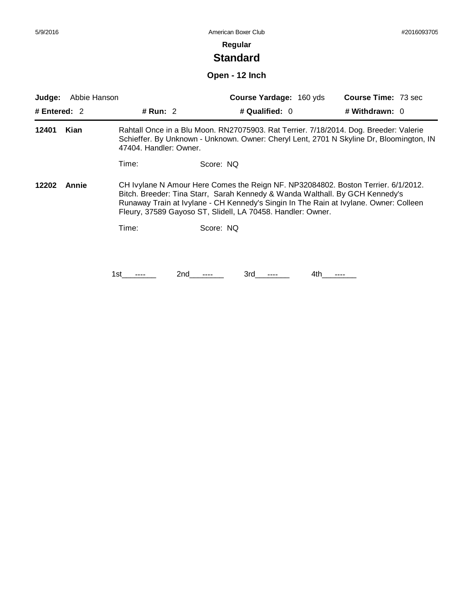# **Standard**

## **Open - 12 Inch**

| Judge:         | Abbie Hanson |                        |           | <b>Course Yardage: 160 yds</b>                                                                                                                                                                                                                                                                                            |     | <b>Course Time: 73 sec</b> |  |
|----------------|--------------|------------------------|-----------|---------------------------------------------------------------------------------------------------------------------------------------------------------------------------------------------------------------------------------------------------------------------------------------------------------------------------|-----|----------------------------|--|
| # Entered: $2$ |              | # Run: $2$             |           | # Qualified: 0                                                                                                                                                                                                                                                                                                            |     | # Withdrawn: 0             |  |
| 12401          | Kian         | 47404. Handler: Owner. |           | Rahtall Once in a Blu Moon. RN27075903. Rat Terrier. 7/18/2014. Dog. Breeder: Valerie<br>Schieffer. By Unknown - Unknown. Owner: Cheryl Lent, 2701 N Skyline Dr, Bloomington, IN                                                                                                                                          |     |                            |  |
|                |              | Time:                  | Score: NQ |                                                                                                                                                                                                                                                                                                                           |     |                            |  |
| 12202          | Annie        |                        |           | CH Ivylane N Amour Here Comes the Reign NF. NP32084802. Boston Terrier. 6/1/2012.<br>Bitch. Breeder: Tina Starr, Sarah Kennedy & Wanda Walthall. By GCH Kennedy's<br>Runaway Train at Ivylane - CH Kennedy's Singin In The Rain at Ivylane. Owner: Colleen<br>Fleury, 37589 Gayoso ST, Slidell, LA 70458. Handler: Owner. |     |                            |  |
|                |              | Time:                  | Score: NQ |                                                                                                                                                                                                                                                                                                                           |     |                            |  |
|                |              |                        |           |                                                                                                                                                                                                                                                                                                                           |     |                            |  |
|                |              | 1st                    | 2nd       | 3rd                                                                                                                                                                                                                                                                                                                       | 4th |                            |  |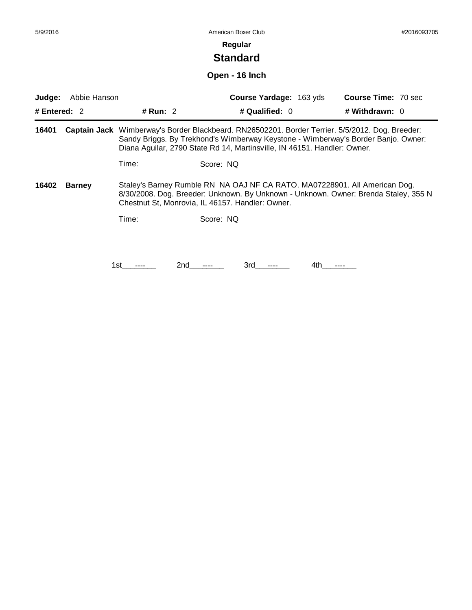# **Standard**

### **Open - 16 Inch**

| Judge:         | Abbie Hanson  |                                                                                                                                                                                                                                                                  |           | Course Yardage: 163 yds |     | <b>Course Time: 70 sec</b> |  |
|----------------|---------------|------------------------------------------------------------------------------------------------------------------------------------------------------------------------------------------------------------------------------------------------------------------|-----------|-------------------------|-----|----------------------------|--|
| # Entered: $2$ |               | # Run: $2$                                                                                                                                                                                                                                                       |           | # Qualified: $0$        |     | # Withdrawn: 0             |  |
| 16401          |               | Captain Jack Wimberway's Border Blackbeard. RN26502201. Border Terrier. 5/5/2012. Dog. Breeder:<br>Sandy Briggs. By Trekhond's Wimberway Keystone - Wimberway's Border Banjo. Owner:<br>Diana Aguilar, 2790 State Rd 14, Martinsville, IN 46151. Handler: Owner. |           |                         |     |                            |  |
|                |               | Time:                                                                                                                                                                                                                                                            | Score: NO |                         |     |                            |  |
| 16402          | <b>Barney</b> | Staley's Barney Rumble RN NA OAJ NF CA RATO. MA07228901. All American Dog.<br>8/30/2008. Dog. Breeder: Unknown. By Unknown - Unknown. Owner: Brenda Staley, 355 N<br>Chestnut St, Monrovia, IL 46157. Handler: Owner.                                            |           |                         |     |                            |  |
|                |               | Time:                                                                                                                                                                                                                                                            | Score: NQ |                         |     |                            |  |
|                |               |                                                                                                                                                                                                                                                                  |           |                         |     |                            |  |
|                |               | 2nd<br>1st.                                                                                                                                                                                                                                                      |           | 3rd                     | 4th |                            |  |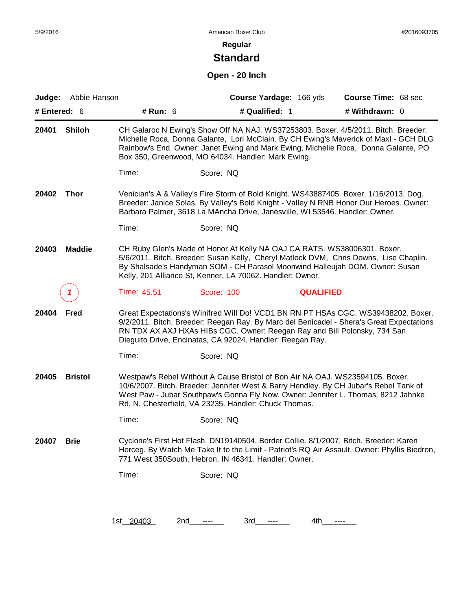# **Standard**

### **Open - 20 Inch**

| Judge:       | Abbie Hanson   |                  | Course Yardage: 166 yds                                                                                                                                                                                                                                                                                              | Course Time: 68 sec                                                                                                                                                           |
|--------------|----------------|------------------|----------------------------------------------------------------------------------------------------------------------------------------------------------------------------------------------------------------------------------------------------------------------------------------------------------------------|-------------------------------------------------------------------------------------------------------------------------------------------------------------------------------|
| # Entered: 6 |                | # Run: 6         | # Qualified: 1                                                                                                                                                                                                                                                                                                       | # Withdrawn: 0                                                                                                                                                                |
| 20401        | <b>Shiloh</b>  |                  | CH Galaroc N Ewing's Show Off NA NAJ. WS37253803. Boxer. 4/5/2011. Bitch. Breeder:<br>Rainbow's End. Owner: Janet Ewing and Mark Ewing, Michelle Roca, Donna Galante, PO<br>Box 350, Greenwood, MO 64034. Handler: Mark Ewing.                                                                                       | Michelle Roca, Donna Galante, Lori McClain. By CH Ewing's Maverick of Maxl - GCH DLG                                                                                          |
|              |                | Time:            | Score: NQ                                                                                                                                                                                                                                                                                                            |                                                                                                                                                                               |
| 20402        | <b>Thor</b>    |                  | Venician's A & Valley's Fire Storm of Bold Knight. WS43887405. Boxer. 1/16/2013. Dog.<br>Breeder: Janice Solas. By Valley's Bold Knight - Valley N RNB Honor Our Heroes. Owner:<br>Barbara Palmer, 3618 La MAncha Drive, Janesville, WI 53546. Handler: Owner.                                                       |                                                                                                                                                                               |
|              |                | Time:            | Score: NQ                                                                                                                                                                                                                                                                                                            |                                                                                                                                                                               |
| 20403        | <b>Maddie</b>  |                  | CH Ruby Glen's Made of Honor At Kelly NA OAJ CA RATS. WS38006301. Boxer.<br>5/6/2011. Bitch. Breeder: Susan Kelly, Cheryl Matlock DVM, Chris Downs, Lise Chaplin.<br>By Shalsade's Handyman SOM - CH Parasol Moonwind Halleujah DOM. Owner: Susan<br>Kelly, 201 Alliance St, Kenner, LA 70062. Handler: Owner.       |                                                                                                                                                                               |
|              |                | Time: 45.51      | Score: 100                                                                                                                                                                                                                                                                                                           | <b>QUALIFIED</b>                                                                                                                                                              |
| 20404        | <b>Fred</b>    |                  | RN TDX AX AXJ HXAs HIBs CGC. Owner: Reegan Ray and Bill Polonsky, 734 San<br>Dieguito Drive, Encinatas, CA 92024. Handler: Reegan Ray.                                                                                                                                                                               | Great Expectations's Winifred Will Do! VCD1 BN RN PT HSAs CGC. WS39438202. Boxer.<br>9/2/2011. Bitch. Breeder: Reegan Ray. By Marc del Benicadel - Shera's Great Expectations |
|              |                | Time:            | Score: NQ                                                                                                                                                                                                                                                                                                            |                                                                                                                                                                               |
| 20405        | <b>Bristol</b> |                  | Westpaw's Rebel Without A Cause Bristol of Bon Air NA OAJ. WS23594105. Boxer.<br>10/6/2007. Bitch. Breeder: Jennifer West & Barry Hendley. By CH Jubar's Rebel Tank of<br>West Paw - Jubar Southpaw's Gonna Fly Now. Owner: Jennifer L. Thomas, 8212 Jahnke<br>Rd, N. Chesterfield, VA 23235. Handler: Chuck Thomas. |                                                                                                                                                                               |
|              |                | Time:            | Score: NQ                                                                                                                                                                                                                                                                                                            |                                                                                                                                                                               |
| 20407        | <b>Brie</b>    |                  | Cyclone's First Hot Flash. DN19140504. Border Collie. 8/1/2007. Bitch. Breeder: Karen<br>771 West 350South, Hebron, IN 46341. Handler: Owner.                                                                                                                                                                        | Herceg. By Watch Me Take It to the Limit - Patriot's RQ Air Assault. Owner: Phyllis Biedron,                                                                                  |
|              |                | Time:            | Score: NQ                                                                                                                                                                                                                                                                                                            |                                                                                                                                                                               |
|              |                |                  |                                                                                                                                                                                                                                                                                                                      |                                                                                                                                                                               |
|              |                | 1st 20403<br>2nd | 3rd<br>$---$                                                                                                                                                                                                                                                                                                         | 4th<br>$---$                                                                                                                                                                  |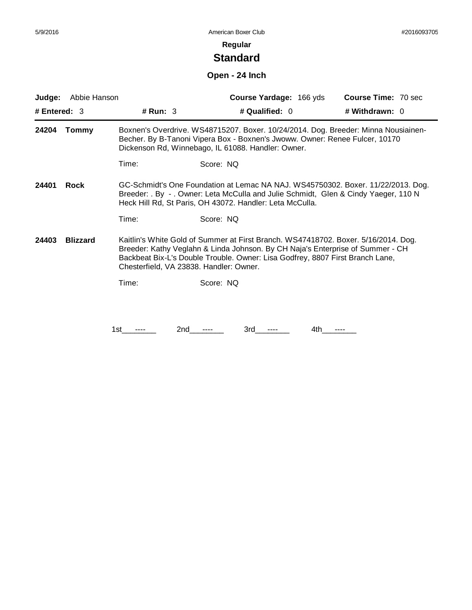# **Standard**

### **Open - 24 Inch**

| Judge:<br># Entered: $3$                                                                                                                                                                                                                             | Abbie Hanson    | # Run: $3$                                                                                                                                                                                                                                                                                       | Course Yardage: 166 yds<br># Qualified: 0                                                                                                                                                                               | <b>Course Time: 70 sec</b><br># Withdrawn: 0 |  |
|------------------------------------------------------------------------------------------------------------------------------------------------------------------------------------------------------------------------------------------------------|-----------------|--------------------------------------------------------------------------------------------------------------------------------------------------------------------------------------------------------------------------------------------------------------------------------------------------|-------------------------------------------------------------------------------------------------------------------------------------------------------------------------------------------------------------------------|----------------------------------------------|--|
|                                                                                                                                                                                                                                                      |                 |                                                                                                                                                                                                                                                                                                  |                                                                                                                                                                                                                         |                                              |  |
| 24204                                                                                                                                                                                                                                                | <b>Tommy</b>    |                                                                                                                                                                                                                                                                                                  | Boxnen's Overdrive. WS48715207. Boxer. 10/24/2014. Dog. Breeder: Minna Nousiainen-<br>Becher. By B-Tanoni Vipera Box - Boxnen's Jwoww. Owner: Renee Fulcer, 10170<br>Dickenson Rd, Winnebago, IL 61088. Handler: Owner. |                                              |  |
|                                                                                                                                                                                                                                                      |                 | Time:                                                                                                                                                                                                                                                                                            | Score: NQ                                                                                                                                                                                                               |                                              |  |
| GC-Schmidt's One Foundation at Lemac NA NAJ. WS45750302. Boxer. 11/22/2013. Dog.<br>24401<br>Rock<br>Breeder: . By - . Owner: Leta McCulla and Julie Schmidt, Glen & Cindy Yaeger, 110 N<br>Heck Hill Rd, St Paris, OH 43072. Handler: Leta McCulla. |                 |                                                                                                                                                                                                                                                                                                  |                                                                                                                                                                                                                         |                                              |  |
|                                                                                                                                                                                                                                                      |                 | Time:                                                                                                                                                                                                                                                                                            | Score: NQ                                                                                                                                                                                                               |                                              |  |
| 24403                                                                                                                                                                                                                                                | <b>Blizzard</b> | Kaitlin's White Gold of Summer at First Branch. WS47418702. Boxer. 5/16/2014. Dog.<br>Breeder: Kathy Veglahn & Linda Johnson. By CH Naja's Enterprise of Summer - CH<br>Backbeat Bix-L's Double Trouble. Owner: Lisa Godfrey, 8807 First Branch Lane,<br>Chesterfield, VA 23838. Handler: Owner. |                                                                                                                                                                                                                         |                                              |  |
|                                                                                                                                                                                                                                                      |                 | Time:                                                                                                                                                                                                                                                                                            | Score: NQ                                                                                                                                                                                                               |                                              |  |
|                                                                                                                                                                                                                                                      |                 |                                                                                                                                                                                                                                                                                                  |                                                                                                                                                                                                                         |                                              |  |
|                                                                                                                                                                                                                                                      |                 | 1st                                                                                                                                                                                                                                                                                              | 3rd<br>2nd<br>4th                                                                                                                                                                                                       | ----                                         |  |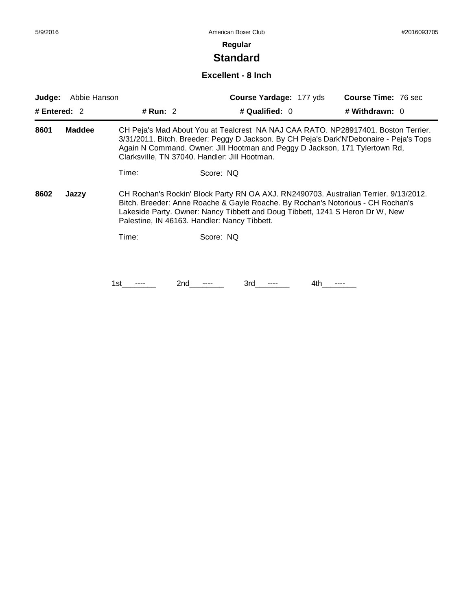# **Standard**

#### **Excellent - 8 Inch**

| Judge:                                                                                                                                                                                                                                                                                                                    | Abbie Hanson  |                                                                                                                                                                                                                                                                                                              |           | <b>Course Yardage: 177 yds</b> |     | <b>Course Time: 76 sec</b> |
|---------------------------------------------------------------------------------------------------------------------------------------------------------------------------------------------------------------------------------------------------------------------------------------------------------------------------|---------------|--------------------------------------------------------------------------------------------------------------------------------------------------------------------------------------------------------------------------------------------------------------------------------------------------------------|-----------|--------------------------------|-----|----------------------------|
| # Entered: $2$                                                                                                                                                                                                                                                                                                            |               | # Run: $2$                                                                                                                                                                                                                                                                                                   |           | # Qualified: $0$               |     | # Withdrawn: 0             |
| 8601                                                                                                                                                                                                                                                                                                                      | <b>Maddee</b> | CH Peja's Mad About You at Tealcrest NA NAJ CAA RATO. NP28917401. Boston Terrier.<br>3/31/2011. Bitch. Breeder: Peggy D Jackson. By CH Peja's Dark'N'Debonaire - Peja's Tops<br>Again N Command. Owner: Jill Hootman and Peggy D Jackson, 171 Tylertown Rd,<br>Clarksville, TN 37040. Handler: Jill Hootman. |           |                                |     |                            |
|                                                                                                                                                                                                                                                                                                                           |               | Time:                                                                                                                                                                                                                                                                                                        | Score: NQ |                                |     |                            |
| CH Rochan's Rockin' Block Party RN OA AXJ. RN2490703. Australian Terrier. 9/13/2012.<br>8602<br>Jazzy<br>Bitch. Breeder: Anne Roache & Gayle Roache. By Rochan's Notorious - CH Rochan's<br>Lakeside Party. Owner: Nancy Tibbett and Doug Tibbett, 1241 S Heron Dr W, New<br>Palestine, IN 46163. Handler: Nancy Tibbett. |               |                                                                                                                                                                                                                                                                                                              |           |                                |     |                            |
|                                                                                                                                                                                                                                                                                                                           |               | Time:                                                                                                                                                                                                                                                                                                        | Score: NQ |                                |     |                            |
|                                                                                                                                                                                                                                                                                                                           |               |                                                                                                                                                                                                                                                                                                              |           |                                |     |                            |
|                                                                                                                                                                                                                                                                                                                           |               | 1st                                                                                                                                                                                                                                                                                                          | 2nd       | 3rd                            | 4th |                            |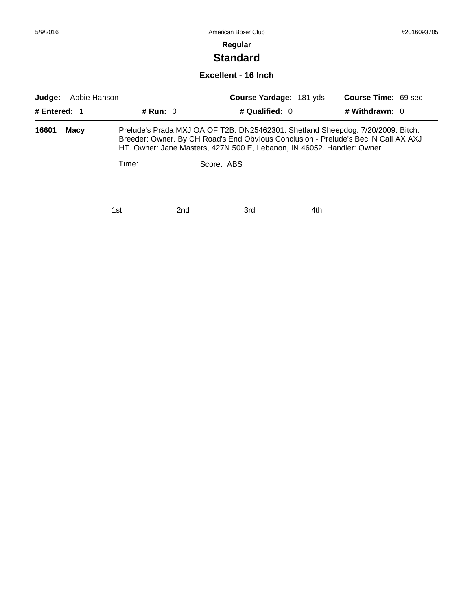| 5/9/2016                                                                                                                                                                                                                                                          |                     |            | American Boxer Club     | #2016093705         |  |  |  |
|-------------------------------------------------------------------------------------------------------------------------------------------------------------------------------------------------------------------------------------------------------------------|---------------------|------------|-------------------------|---------------------|--|--|--|
|                                                                                                                                                                                                                                                                   |                     |            | Regular                 |                     |  |  |  |
|                                                                                                                                                                                                                                                                   |                     |            | <b>Standard</b>         |                     |  |  |  |
|                                                                                                                                                                                                                                                                   | Excellent - 16 Inch |            |                         |                     |  |  |  |
| Judge:                                                                                                                                                                                                                                                            | Abbie Hanson        |            | Course Yardage: 181 yds | Course Time: 69 sec |  |  |  |
| # Entered: $1$                                                                                                                                                                                                                                                    |                     | # Run: $0$ | # Qualified: $0$        | # Withdrawn: 0      |  |  |  |
| 16601<br>Prelude's Prada MXJ OA OF T2B. DN25462301. Shetland Sheepdog. 7/20/2009. Bitch.<br>Macy<br>Breeder: Owner. By CH Road's End Obvious Conclusion - Prelude's Bec 'N Call AX AXJ<br>HT. Owner: Jane Masters, 427N 500 E, Lebanon, IN 46052. Handler: Owner. |                     |            |                         |                     |  |  |  |
|                                                                                                                                                                                                                                                                   |                     | Time:      | Score: ABS              |                     |  |  |  |

1st\_\_\_\_\_\_\_\_ 2nd\_\_\_\_\_\_ 3rd\_\_\_\_\_\_ 4th\_\_\_\_\_\_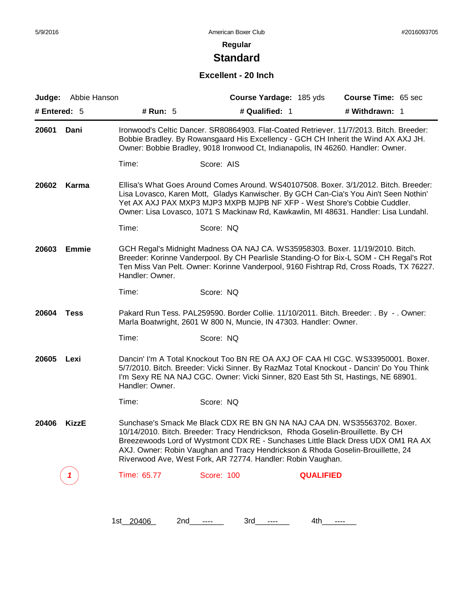# **Standard**

### **Excellent - 20 Inch**

| # Entered: $5$        | Judge: Abbie Hanson | Course Yardage: 185 yds                                                                                                                                                                                                                                                                                                                                                                           | Course Time: 65 sec |
|-----------------------|---------------------|---------------------------------------------------------------------------------------------------------------------------------------------------------------------------------------------------------------------------------------------------------------------------------------------------------------------------------------------------------------------------------------------------|---------------------|
|                       | # Run: 5            | # Qualified: 1                                                                                                                                                                                                                                                                                                                                                                                    | # Withdrawn: 1      |
| 20601<br>Dani         |                     | Ironwood's Celtic Dancer. SR80864903. Flat-Coated Retriever. 11/7/2013. Bitch. Breeder:<br>Bobbie Bradley. By Rowansgaard His Excellency - GCH CH Inherit the Wind AX AXJ JH.<br>Owner: Bobbie Bradley, 9018 Ironwood Ct, Indianapolis, IN 46260. Handler: Owner.                                                                                                                                 |                     |
|                       | Time:               | Score: AIS                                                                                                                                                                                                                                                                                                                                                                                        |                     |
| 20602<br>Karma        |                     | Ellisa's What Goes Around Comes Around. WS40107508. Boxer. 3/1/2012. Bitch. Breeder:<br>Lisa Lovasco, Karen Mott, Gladys Kanwischer. By GCH Can-Cia's You Ain't Seen Nothin'<br>Yet AX AXJ PAX MXP3 MJP3 MXPB MJPB NF XFP - West Shore's Cobbie Cuddler.<br>Owner: Lisa Lovasco, 1071 S Mackinaw Rd, Kawkawlin, MI 48631. Handler: Lisa Lundahl.                                                  |                     |
|                       | Time:               | Score: NQ                                                                                                                                                                                                                                                                                                                                                                                         |                     |
| <b>Emmie</b><br>20603 | Handler: Owner.     | GCH Regal's Midnight Madness OA NAJ CA. WS35958303. Boxer. 11/19/2010. Bitch.<br>Breeder: Korinne Vanderpool. By CH Pearlisle Standing-O for Bix-L SOM - CH Regal's Rot<br>Ten Miss Van Pelt. Owner: Korinne Vanderpool, 9160 Fishtrap Rd, Cross Roads, TX 76227.                                                                                                                                 |                     |
|                       | Time:               | Score: NQ                                                                                                                                                                                                                                                                                                                                                                                         |                     |
| 20604<br><b>Tess</b>  |                     | Pakard Run Tess. PAL259590. Border Collie. 11/10/2011. Bitch. Breeder: . By - . Owner:<br>Marla Boatwright, 2601 W 800 N, Muncie, IN 47303. Handler: Owner.                                                                                                                                                                                                                                       |                     |
|                       | Time:               | Score: NQ                                                                                                                                                                                                                                                                                                                                                                                         |                     |
| 20605<br>Lexi         | Handler: Owner.     | Dancin' I'm A Total Knockout Too BN RE OA AXJ OF CAA HI CGC. WS33950001. Boxer.<br>5/7/2010. Bitch. Breeder: Vicki Sinner. By RazMaz Total Knockout - Dancin' Do You Think<br>I'm Sexy RE NA NAJ CGC. Owner: Vicki Sinner, 820 East 5th St, Hastings, NE 68901.                                                                                                                                   |                     |
|                       | Time:               | Score: NQ                                                                                                                                                                                                                                                                                                                                                                                         |                     |
| <b>KizzE</b><br>20406 |                     | Sunchase's Smack Me Black CDX RE BN GN NA NAJ CAA DN. WS35563702. Boxer.<br>10/14/2010. Bitch. Breeder: Tracy Hendrickson, Rhoda Goselin-Brouillette. By CH<br>Breezewoods Lord of Wystmont CDX RE - Sunchases Little Black Dress UDX OM1 RA AX<br>AXJ. Owner: Robin Vaughan and Tracy Hendrickson & Rhoda Goselin-Brouillette, 24<br>Riverwood Ave, West Fork, AR 72774. Handler: Robin Vaughan. |                     |
|                       | Time: 65.77         | <b>Score: 100</b><br><b>QUALIFIED</b>                                                                                                                                                                                                                                                                                                                                                             |                     |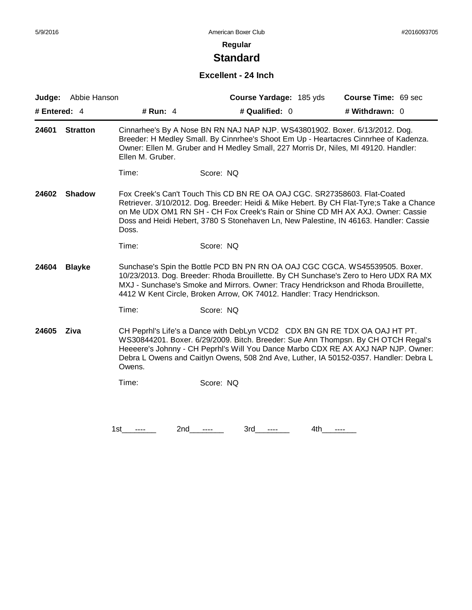# **Standard**

#### **Excellent - 24 Inch**

| Judge:         | Abbie Hanson    |                     | Course Yardage: 185 yds                                                                                                                                                                                                                                                                                                                          | Course Time: 69 sec |
|----------------|-----------------|---------------------|--------------------------------------------------------------------------------------------------------------------------------------------------------------------------------------------------------------------------------------------------------------------------------------------------------------------------------------------------|---------------------|
| # Entered: $4$ |                 | # Run: 4            | # Qualified: 0                                                                                                                                                                                                                                                                                                                                   | # Withdrawn: 0      |
| 24601          | <b>Stratton</b> | Ellen M. Gruber.    | Cinnarhee's By A Nose BN RN NAJ NAP NJP. WS43801902. Boxer. 6/13/2012. Dog.<br>Breeder: H Medley Small. By Cinnrhee's Shoot Em Up - Heartacres Cinnrhee of Kadenza.<br>Owner: Ellen M. Gruber and H Medley Small, 227 Morris Dr, Niles, MI 49120. Handler:                                                                                       |                     |
|                |                 | Time:               | Score: NQ                                                                                                                                                                                                                                                                                                                                        |                     |
| 24602          | <b>Shadow</b>   | Doss.               | Fox Creek's Can't Touch This CD BN RE OA OAJ CGC. SR27358603. Flat-Coated<br>Retriever. 3/10/2012. Dog. Breeder: Heidi & Mike Hebert. By CH Flat-Tyre;s Take a Chance<br>on Me UDX OM1 RN SH - CH Fox Creek's Rain or Shine CD MH AX AXJ. Owner: Cassie<br>Doss and Heidi Hebert, 3780 S Stonehaven Ln, New Palestine, IN 46163. Handler: Cassie |                     |
|                |                 | Time:               | Score: NQ                                                                                                                                                                                                                                                                                                                                        |                     |
| 24604          | <b>Blayke</b>   |                     | Sunchase's Spin the Bottle PCD BN PN RN OA OAJ CGC CGCA. WS45539505. Boxer.<br>10/23/2013. Dog. Breeder: Rhoda Brouillette. By CH Sunchase's Zero to Hero UDX RA MX<br>MXJ - Sunchase's Smoke and Mirrors. Owner: Tracy Hendrickson and Rhoda Brouillette,<br>4412 W Kent Circle, Broken Arrow, OK 74012. Handler: Tracy Hendrickson.            |                     |
|                |                 | Time:               | Score: NQ                                                                                                                                                                                                                                                                                                                                        |                     |
| 24605          | Ziva            | Owens.              | CH Peprhl's Life's a Dance with DebLyn VCD2 CDX BN GN RE TDX OA OAJ HT PT.<br>WS30844201. Boxer. 6/29/2009. Bitch. Breeder: Sue Ann Thompsn. By CH OTCH Regal's<br>Heeeere's Johnny - CH Peprhl's Will You Dance Marbo CDX RE AX AXJ NAP NJP. Owner:<br>Debra L Owens and Caitlyn Owens, 508 2nd Ave, Luther, IA 50152-0357. Handler: Debra L    |                     |
|                |                 | Time:               | Score: NQ                                                                                                                                                                                                                                                                                                                                        |                     |
|                |                 |                     |                                                                                                                                                                                                                                                                                                                                                  |                     |
|                |                 | 2nd<br>1st.<br>---- | 3rd<br>4th.<br>----<br>$---$                                                                                                                                                                                                                                                                                                                     | ----                |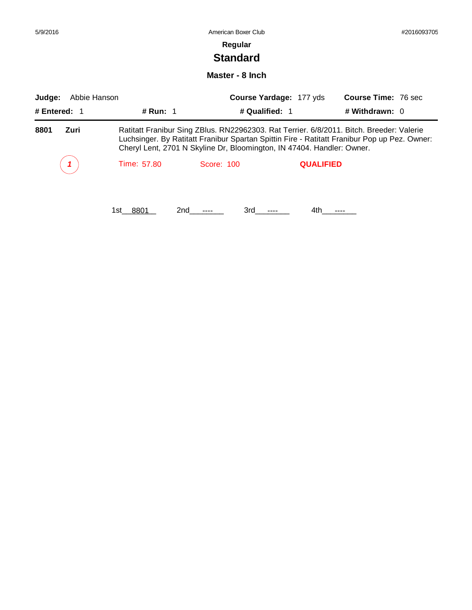| 5/9/2016               |                 | American Boxer Club                                                                                                                                                                                                                                                |                                |                            | #2016093705 |
|------------------------|-----------------|--------------------------------------------------------------------------------------------------------------------------------------------------------------------------------------------------------------------------------------------------------------------|--------------------------------|----------------------------|-------------|
|                        |                 | Regular                                                                                                                                                                                                                                                            |                                |                            |             |
|                        |                 | <b>Standard</b>                                                                                                                                                                                                                                                    |                                |                            |             |
|                        |                 | Master - 8 Inch                                                                                                                                                                                                                                                    |                                |                            |             |
| Judge:<br>Abbie Hanson |                 |                                                                                                                                                                                                                                                                    | <b>Course Yardage: 177 yds</b> | <b>Course Time: 76 sec</b> |             |
| # Entered: 1           | # Run: 1        | # Qualified: 1                                                                                                                                                                                                                                                     |                                | # Withdrawn: 0             |             |
| 8801<br>Zuri           |                 | Ratitatt Franibur Sing ZBlus. RN22962303. Rat Terrier. 6/8/2011. Bitch. Breeder: Valerie<br>Luchsinger. By Ratitatt Franibur Spartan Spittin Fire - Ratitatt Franibur Pop up Pez. Owner:<br>Cheryl Lent, 2701 N Skyline Dr, Bloomington, IN 47404. Handler: Owner. |                                |                            |             |
|                        | Time: 57.80     | Score: 100                                                                                                                                                                                                                                                         | <b>QUALIFIED</b>               |                            |             |
|                        | 1st 8801<br>2nd | 3rd                                                                                                                                                                                                                                                                | 4th.                           |                            |             |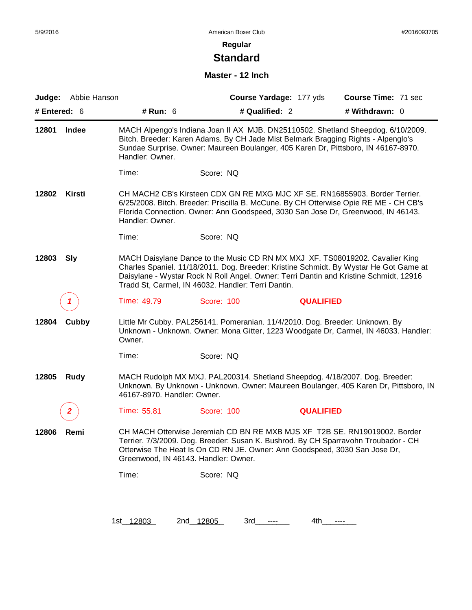# **Standard**

#### **Master - 12 Inch**

| # Entered: 6 | Judge: Abbie Hanson | # Run: 6                             | Course Yardage: 177 yds<br># Qualified: 2                                                                                                                                                                                                                                                                            |                  | Course Time: 71 sec<br># Withdrawn: 0 |  |
|--------------|---------------------|--------------------------------------|----------------------------------------------------------------------------------------------------------------------------------------------------------------------------------------------------------------------------------------------------------------------------------------------------------------------|------------------|---------------------------------------|--|
| 12801        | Indee               | Handler: Owner.                      | MACH Alpengo's Indiana Joan II AX MJB. DN25110502. Shetland Sheepdog. 6/10/2009.<br>Bitch. Breeder: Karen Adams. By CH Jade Mist Belmark Bragging Rights - Alpenglo's<br>Sundae Surprise. Owner: Maureen Boulanger, 405 Karen Dr, Pittsboro, IN 46167-8970.                                                          |                  |                                       |  |
|              |                     | Time:                                | Score: NQ                                                                                                                                                                                                                                                                                                            |                  |                                       |  |
| 12802        | Kirsti              | Handler: Owner.                      | CH MACH2 CB's Kirsteen CDX GN RE MXG MJC XF SE. RN16855903. Border Terrier.<br>6/25/2008. Bitch. Breeder: Priscilla B. McCune. By CH Otterwise Opie RE ME - CH CB's<br>Florida Connection. Owner: Ann Goodspeed, 3030 San Jose Dr, Greenwood, IN 46143.                                                              |                  |                                       |  |
|              |                     | Time:                                | Score: NQ                                                                                                                                                                                                                                                                                                            |                  |                                       |  |
| 12803        | <b>Sly</b>          |                                      | MACH Daisylane Dance to the Music CD RN MX MXJ XF. TS08019202. Cavalier King<br>Charles Spaniel. 11/18/2011. Dog. Breeder: Kristine Schmidt. By Wystar He Got Game at<br>Daisylane - Wystar Rock N Roll Angel. Owner: Terri Dantin and Kristine Schmidt, 12916<br>Tradd St, Carmel, IN 46032. Handler: Terri Dantin. |                  |                                       |  |
|              | 1                   | Time: 49.79                          | Score: 100                                                                                                                                                                                                                                                                                                           | <b>QUALIFIED</b> |                                       |  |
| 12804        | Cubby               | Owner.                               | Little Mr Cubby. PAL256141. Pomeranian. 11/4/2010. Dog. Breeder: Unknown. By<br>Unknown - Unknown. Owner: Mona Gitter, 1223 Woodgate Dr, Carmel, IN 46033. Handler:                                                                                                                                                  |                  |                                       |  |
|              |                     | Time:                                | Score: NQ                                                                                                                                                                                                                                                                                                            |                  |                                       |  |
| 12805        | Rudy                | 46167-8970. Handler: Owner.          | MACH Rudolph MX MXJ. PAL200314. Shetland Sheepdog. 4/18/2007. Dog. Breeder:<br>Unknown. By Unknown - Unknown. Owner: Maureen Boulanger, 405 Karen Dr, Pittsboro, IN                                                                                                                                                  |                  |                                       |  |
|              | 2                   | Time: 55.81                          | Score: 100                                                                                                                                                                                                                                                                                                           | <b>QUALIFIED</b> |                                       |  |
| 12806        | Remi                | Greenwood, IN 46143. Handler: Owner. | CH MACH Otterwise Jeremiah CD BN RE MXB MJS XF T2B SE. RN19019002. Border<br>Terrier. 7/3/2009. Dog. Breeder: Susan K. Bushrod. By CH Sparravohn Troubador - CH<br>Otterwise The Heat Is On CD RN JE. Owner: Ann Goodspeed, 3030 San Jose Dr,                                                                        |                  |                                       |  |
|              |                     | Time:                                | Score: NQ                                                                                                                                                                                                                                                                                                            |                  |                                       |  |
|              |                     |                                      |                                                                                                                                                                                                                                                                                                                      |                  |                                       |  |
|              |                     | 1st_12803                            | 2nd 12805<br>3rd<br>----                                                                                                                                                                                                                                                                                             | 4th<br>----      |                                       |  |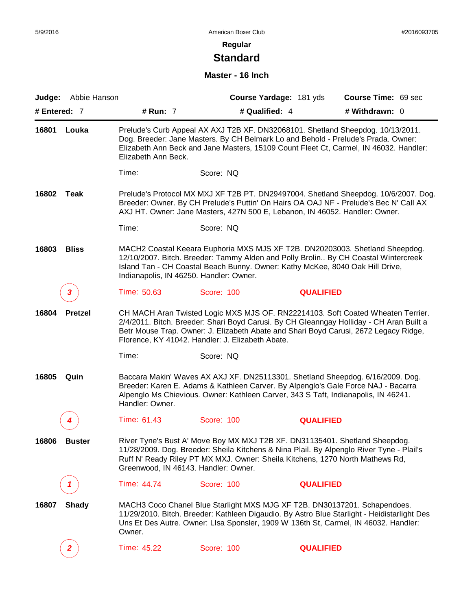# **Standard**

#### **Master - 16 Inch**

| Judge:       | Abbie Hanson   |                                         |                                                                                                                                                              | Course Yardage: 181 yds | Course Time: 69 sec                                                                                                                                                                                                                                                |
|--------------|----------------|-----------------------------------------|--------------------------------------------------------------------------------------------------------------------------------------------------------------|-------------------------|--------------------------------------------------------------------------------------------------------------------------------------------------------------------------------------------------------------------------------------------------------------------|
| # Entered: 7 |                | # Run: 7                                | # Qualified: 4                                                                                                                                               |                         | # Withdrawn: 0                                                                                                                                                                                                                                                     |
| 16801        | Louka          | Elizabeth Ann Beck.                     |                                                                                                                                                              |                         | Prelude's Curb Appeal AX AXJ T2B XF. DN32068101. Shetland Sheepdog. 10/13/2011.<br>Dog. Breeder: Jane Masters. By CH Belmark Lo and Behold - Prelude's Prada. Owner:<br>Elizabeth Ann Beck and Jane Masters, 15109 Count Fleet Ct, Carmel, IN 46032. Handler:      |
|              |                | Time:                                   | Score: NQ                                                                                                                                                    |                         |                                                                                                                                                                                                                                                                    |
| 16802        | Teak           |                                         | AXJ HT. Owner: Jane Masters, 427N 500 E, Lebanon, IN 46052. Handler: Owner.                                                                                  |                         | Prelude's Protocol MX MXJ XF T2B PT. DN29497004. Shetland Sheepdog. 10/6/2007. Dog.<br>Breeder: Owner. By CH Prelude's Puttin' On Hairs OA OAJ NF - Prelude's Bec N' Call AX                                                                                       |
|              |                | Time:                                   | Score: NQ                                                                                                                                                    |                         |                                                                                                                                                                                                                                                                    |
| 16803        | <b>Bliss</b>   | Indianapolis, IN 46250. Handler: Owner. | Island Tan - CH Coastal Beach Bunny. Owner: Kathy McKee, 8040 Oak Hill Drive,                                                                                |                         | MACH2 Coastal Keeara Euphoria MXS MJS XF T2B. DN20203003. Shetland Sheepdog.<br>12/10/2007. Bitch. Breeder: Tammy Alden and Polly Brolin By CH Coastal Wintercreek                                                                                                 |
|              |                | Time: 50.63                             | Score: 100                                                                                                                                                   | <b>QUALIFIED</b>        |                                                                                                                                                                                                                                                                    |
| 16804        | <b>Pretzel</b> |                                         | Florence, KY 41042. Handler: J. Elizabeth Abate.                                                                                                             |                         | CH MACH Aran Twisted Logic MXS MJS OF. RN22214103. Soft Coated Wheaten Terrier.<br>2/4/2011. Bitch. Breeder: Shari Boyd Carusi. By CH Gleanngay Holliday - CH Aran Built a<br>Betr Mouse Trap. Owner: J. Elizabeth Abate and Shari Boyd Carusi, 2672 Legacy Ridge, |
|              |                | Time:                                   | Score: NQ                                                                                                                                                    |                         |                                                                                                                                                                                                                                                                    |
| 16805        | Quin           | Handler: Owner.                         | Alpenglo Ms Chievious. Owner: Kathleen Carver, 343 S Taft, Indianapolis, IN 46241.                                                                           |                         | Baccara Makin' Waves AX AXJ XF. DN25113301. Shetland Sheepdog. 6/16/2009. Dog.<br>Breeder: Karen E. Adams & Kathleen Carver. By Alpenglo's Gale Force NAJ - Bacarra                                                                                                |
|              |                | Time: 61.43                             | Score: 100                                                                                                                                                   | <b>QUALIFIED</b>        |                                                                                                                                                                                                                                                                    |
| 16806        | <b>Buster</b>  | Greenwood, IN 46143. Handler: Owner.    | River Tyne's Bust A' Move Boy MX MXJ T2B XF. DN31135401. Shetland Sheepdog.<br>Ruff N' Ready Riley PT MX MXJ. Owner: Sheila Kitchens, 1270 North Mathews Rd, |                         | 11/28/2009. Dog. Breeder: Sheila Kitchens & Nina Plail. By Alpenglo River Tyne - Plail's                                                                                                                                                                           |
|              |                | Time: 44.74                             | Score: 100                                                                                                                                                   | <b>QUALIFIED</b>        |                                                                                                                                                                                                                                                                    |
| 16807        | <b>Shady</b>   | Owner.                                  | MACH3 Coco Chanel Blue Starlight MXS MJG XF T2B. DN30137201. Schapendoes.                                                                                    |                         | 11/29/2010. Bitch. Breeder: Kathleen Digaudio. By Astro Blue Starlight - Heidistarlight Des<br>Uns Et Des Autre. Owner: Lisa Sponsier, 1909 W 136th St, Carmel, IN 46032. Handler:                                                                                 |
|              |                | Time: 45.22                             | Score: 100                                                                                                                                                   | <b>QUALIFIED</b>        |                                                                                                                                                                                                                                                                    |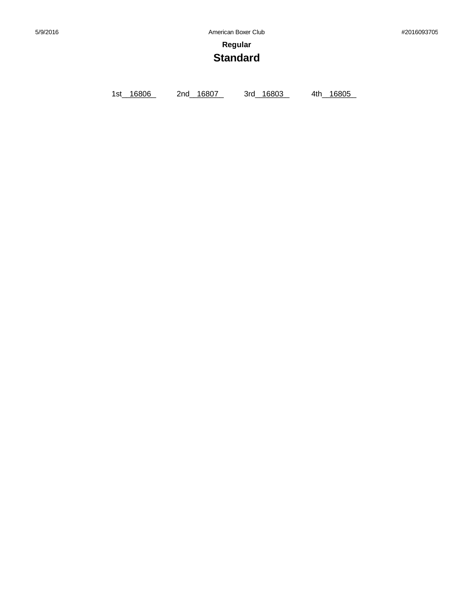**Regular**

# **Standard**

1st\_ 16806 2nd\_ 16807 3rd\_ 16803 4th\_ 16805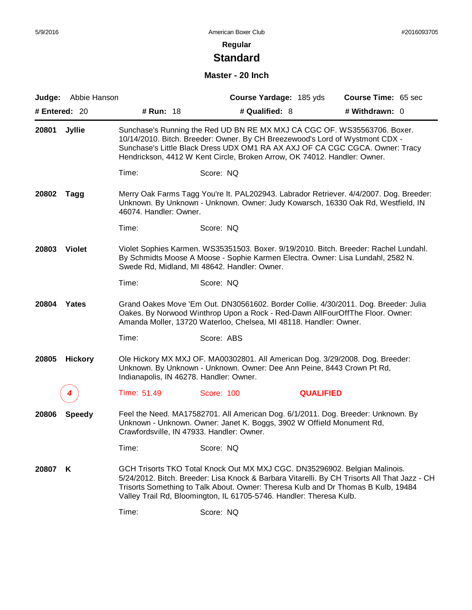# **Standard**

#### **Master - 20 Inch**

| Judge:        | Abbie Hanson   |                                           | Course Yardage: 185 yds                                                                                                                                                                                                                                                                                                                | <b>Course Time: 65 sec</b> |  |
|---------------|----------------|-------------------------------------------|----------------------------------------------------------------------------------------------------------------------------------------------------------------------------------------------------------------------------------------------------------------------------------------------------------------------------------------|----------------------------|--|
| # Entered: 20 |                | # Run: 18                                 | # Qualified: 8                                                                                                                                                                                                                                                                                                                         | # Withdrawn: 0             |  |
| 20801         | <b>Jyllie</b>  |                                           | Sunchase's Running the Red UD BN RE MX MXJ CA CGC OF. WS35563706. Boxer.<br>10/14/2010. Bitch. Breeder: Owner. By CH Breezewood's Lord of Wystmont CDX -<br>Sunchase's Little Black Dress UDX OM1 RA AX AXJ OF CA CGC CGCA. Owner: Tracy<br>Hendrickson, 4412 W Kent Circle, Broken Arrow, OK 74012. Handler: Owner.                   |                            |  |
|               |                | Time:                                     | Score: NQ                                                                                                                                                                                                                                                                                                                              |                            |  |
| 20802         | Tagg           | 46074. Handler: Owner.                    | Merry Oak Farms Tagg You're It. PAL202943. Labrador Retriever. 4/4/2007. Dog. Breeder:<br>Unknown. By Unknown - Unknown. Owner: Judy Kowarsch, 16330 Oak Rd, Westfield, IN                                                                                                                                                             |                            |  |
|               |                | Time:                                     | Score: NQ                                                                                                                                                                                                                                                                                                                              |                            |  |
| 20803         | <b>Violet</b>  |                                           | Violet Sophies Karmen. WS35351503. Boxer. 9/19/2010. Bitch. Breeder: Rachel Lundahl.<br>By Schmidts Moose A Moose - Sophie Karmen Electra. Owner: Lisa Lundahl, 2582 N.<br>Swede Rd, Midland, MI 48642. Handler: Owner.                                                                                                                |                            |  |
|               |                | Time:                                     | Score: NQ                                                                                                                                                                                                                                                                                                                              |                            |  |
| 20804         | Yates          |                                           | Grand Oakes Move 'Em Out. DN30561602. Border Collie. 4/30/2011. Dog. Breeder: Julia<br>Oakes. By Norwood Winthrop Upon a Rock - Red-Dawn AllFourOffThe Floor. Owner:<br>Amanda Moller, 13720 Waterloo, Chelsea, MI 48118. Handler: Owner.                                                                                              |                            |  |
|               |                | Time:                                     | Score: ABS                                                                                                                                                                                                                                                                                                                             |                            |  |
| 20805         | <b>Hickory</b> | Indianapolis, IN 46278. Handler: Owner.   | Ole Hickory MX MXJ OF. MA00302801. All American Dog. 3/29/2008. Dog. Breeder:<br>Unknown. By Unknown - Unknown. Owner: Dee Ann Peine, 8443 Crown Pt Rd,                                                                                                                                                                                |                            |  |
|               |                | Time: 51.49                               | Score: 100                                                                                                                                                                                                                                                                                                                             | <b>QUALIFIED</b>           |  |
| 20806         | <b>Speedy</b>  | Crawfordsville, IN 47933. Handler: Owner. | Feel the Need. MA17582701. All American Dog. 6/1/2011. Dog. Breeder: Unknown. By<br>Unknown - Unknown. Owner: Janet K. Boggs, 3902 W Offield Monument Rd,                                                                                                                                                                              |                            |  |
|               |                | Time:                                     | Score: NQ                                                                                                                                                                                                                                                                                                                              |                            |  |
| 20807         | K              |                                           | GCH Trisorts TKO Total Knock Out MX MXJ CGC. DN35296902. Belgian Malinois.<br>5/24/2012. Bitch. Breeder: Lisa Knock & Barbara Vitarelli. By CH Trisorts All That Jazz - CH<br>Trisorts Something to Talk About. Owner: Theresa Kulb and Dr Thomas B Kulb, 19484<br>Valley Trail Rd, Bloomington, IL 61705-5746. Handler: Theresa Kulb. |                            |  |
|               |                | Time:                                     | Score: NQ                                                                                                                                                                                                                                                                                                                              |                            |  |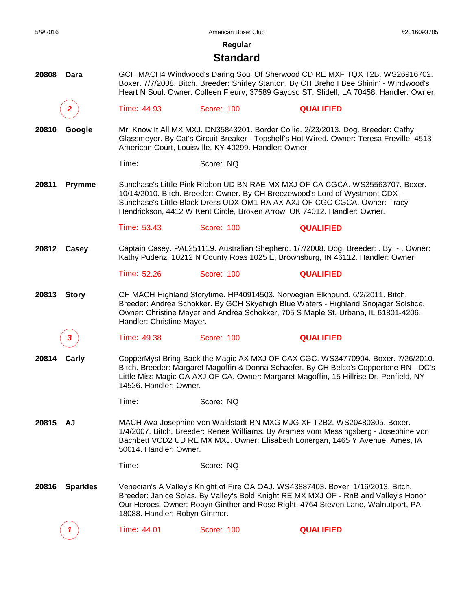**Regular**

#### **Standard**

**20808 Dara** GCH MACH4 Windwood's Daring Soul Of Sherwood CD RE MXF TQX T2B. WS26916702. Boxer. 7/7/2008. Bitch. Breeder: Shirley Stanton. By CH Breho I Bee Shinin' - Windwood's Heart N Soul. Owner: Colleen Fleury, 37589 Gayoso ST, Slidell, LA 70458. Handler: Owner.

*2* Time: 44.93 Score: 100 **QUALIFIED**

**20810 Google** Mr. Know It All MX MXJ. DN35843201. Border Collie. 2/23/2013. Dog. Breeder: Cathy Glassmeyer. By Cat's Circuit Breaker - Topshelf's Hot Wired. Owner: Teresa Freville, 4513 American Court, Louisville, KY 40299. Handler: Owner.

Time: Score: NQ

**20811 Prymme** Sunchase's Little Pink Ribbon UD BN RAE MX MXJ OF CA CGCA. WS35563707. Boxer. 10/14/2010. Bitch. Breeder: Owner. By CH Breezewood's Lord of Wystmont CDX - Sunchase's Little Black Dress UDX OM1 RA AX AXJ OF CGC CGCA. Owner: Tracy Hendrickson, 4412 W Kent Circle, Broken Arrow, OK 74012. Handler: Owner.

Time: 53.43 Score: 100 **QUALIFIED**

**20812 Casey** Captain Casey. PAL251119. Australian Shepherd. 1/7/2008. Dog. Breeder: . By - . Owner: Kathy Pudenz, 10212 N County Roas 1025 E, Brownsburg, IN 46112. Handler: Owner.

Time: 52.26 Score: 100 **QUALIFIED**

**20813 Story** CH MACH Highland Storytime. HP40914503. Norwegian Elkhound. 6/2/2011. Bitch. Breeder: Andrea Schokker. By GCH Skyehigh Blue Waters - Highland Snojager Solstice. Owner: Christine Mayer and Andrea Schokker, 705 S Maple St, Urbana, IL 61801-4206. Handler: Christine Mayer.

*3* Time: 49.38 Score: 100 **QUALIFIED**

**20814 Carly** CopperMyst Bring Back the Magic AX MXJ OF CAX CGC. WS34770904. Boxer. 7/26/2010. Bitch. Breeder: Margaret Magoffin & Donna Schaefer. By CH Belco's Coppertone RN - DC's Little Miss Magic OA AXJ OF CA. Owner: Margaret Magoffin, 15 Hillrise Dr, Penfield, NY 14526. Handler: Owner.

Time: Score: NQ

**20815 AJ** MACH Ava Josephine von Waldstadt RN MXG MJG XF T2B2. WS20480305. Boxer. 1/4/2007. Bitch. Breeder: Renee Williams. By Arames vom Messingsberg - Josephine von Bachbett VCD2 UD RE MX MXJ. Owner: Elisabeth Lonergan, 1465 Y Avenue, Ames, IA 50014. Handler: Owner.

Time: Score: NQ

**20816 Sparkles** Venecian's A Valley's Knight of Fire OA OAJ. WS43887403. Boxer. 1/16/2013. Bitch. Breeder: Janice Solas. By Valley's Bold Knight RE MX MXJ OF - RnB and Valley's Honor Our Heroes. Owner: Robyn Ginther and Rose Right, 4764 Steven Lane, Walnutport, PA 18088. Handler: Robyn Ginther.

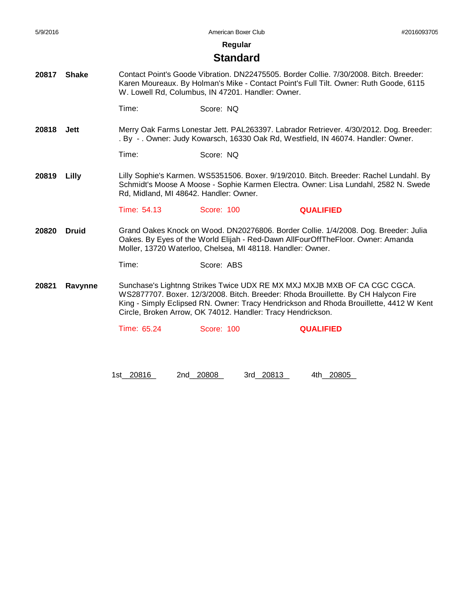**Regular**

#### **Standard**

**20817 Shake** Contact Point's Goode Vibration. DN22475505. Border Collie. 7/30/2008. Bitch. Breeder: Karen Moureaux. By Holman's Mike - Contact Point's Full Tilt. Owner: Ruth Goode, 6115 W. Lowell Rd, Columbus, IN 47201. Handler: Owner.

Time: Score: NQ

**20818 Jett** Merry Oak Farms Lonestar Jett. PAL263397. Labrador Retriever. 4/30/2012. Dog. Breeder: . By - . Owner: Judy Kowarsch, 16330 Oak Rd, Westfield, IN 46074. Handler: Owner.

Time: Score: NQ

**20819 Lilly** Lilly Sophie's Karmen. WS5351506. Boxer. 9/19/2010. Bitch. Breeder: Rachel Lundahl. By Schmidt's Moose A Moose - Sophie Karmen Electra. Owner: Lisa Lundahl, 2582 N. Swede Rd, Midland, MI 48642. Handler: Owner.

Time: 54.13 Score: 100 **QUALIFIED**

**20820 Druid** Grand Oakes Knock on Wood. DN20276806. Border Collie. 1/4/2008. Dog. Breeder: Julia Oakes. By Eyes of the World Elijah - Red-Dawn AllFourOffTheFloor. Owner: Amanda Moller, 13720 Waterloo, Chelsea, MI 48118. Handler: Owner.

Time: Score: ABS

**20821 Ravynne** Sunchase's Lightnng Strikes Twice UDX RE MX MXJ MXJB MXB OF CA CGC CGCA. WS2877707. Boxer. 12/3/2008. Bitch. Breeder: Rhoda Brouillette. By CH Halycon Fire King - Simply Eclipsed RN. Owner: Tracy Hendrickson and Rhoda Brouillette, 4412 W Kent Circle, Broken Arrow, OK 74012. Handler: Tracy Hendrickson.

Time: 65.24 Score: 100 **QUALIFIED**

1st\_20816 2nd\_20808 3rd\_20813 4th\_20805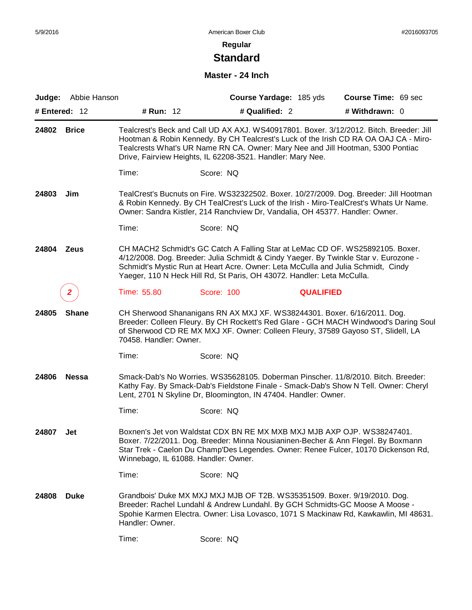# **Standard**

#### **Master - 24 Inch**

| Judge:        | Abbie Hanson |                                      | Course Yardage: 185 yds                                                                                                                                                                                                                                                                                                             |                  | Course Time: 69 sec |
|---------------|--------------|--------------------------------------|-------------------------------------------------------------------------------------------------------------------------------------------------------------------------------------------------------------------------------------------------------------------------------------------------------------------------------------|------------------|---------------------|
| # Entered: 12 |              | # Run: 12                            | # Qualified: 2                                                                                                                                                                                                                                                                                                                      |                  | # Withdrawn: 0      |
| 24802         | <b>Brice</b> |                                      | Tealcrest's Beck and Call UD AX AXJ. WS40917801. Boxer. 3/12/2012. Bitch. Breeder: Jill<br>Hootman & Robin Kennedy. By CH Tealcrest's Luck of the Irish CD RA OA OAJ CA - Miro-<br>Tealcrests What's UR Name RN CA. Owner: Mary Nee and Jill Hootman, 5300 Pontiac<br>Drive, Fairview Heights, IL 62208-3521. Handler: Mary Nee.    |                  |                     |
|               |              | Time:                                | Score: NQ                                                                                                                                                                                                                                                                                                                           |                  |                     |
| 24803         | Jim          |                                      | TealCrest's Bucnuts on Fire. WS32322502. Boxer. 10/27/2009. Dog. Breeder: Jill Hootman<br>& Robin Kennedy. By CH TealCrest's Luck of the Irish - Miro-TealCrest's Whats Ur Name.<br>Owner: Sandra Kistler, 214 Ranchview Dr, Vandalia, OH 45377. Handler: Owner.                                                                    |                  |                     |
|               |              | Time:                                | Score: NQ                                                                                                                                                                                                                                                                                                                           |                  |                     |
| 24804         | Zeus         |                                      | CH MACH2 Schmidt's GC Catch A Falling Star at LeMac CD OF. WS25892105. Boxer.<br>4/12/2008. Dog. Breeder: Julia Schmidt & Cindy Yaeger. By Twinkle Star v. Eurozone -<br>Schmidt's Mystic Run at Heart Acre. Owner: Leta McCulla and Julia Schmidt, Cindy<br>Yaeger, 110 N Heck Hill Rd, St Paris, OH 43072. Handler: Leta McCulla. |                  |                     |
|               |              | Time: 55.80                          | Score: 100                                                                                                                                                                                                                                                                                                                          | <b>QUALIFIED</b> |                     |
| 24805         | <b>Shane</b> | 70458. Handler: Owner.               | CH Sherwood Shananigans RN AX MXJ XF. WS38244301. Boxer. 6/16/2011. Dog.<br>Breeder: Colleen Fleury. By CH Rockett's Red Glare - GCH MACH Windwood's Daring Soul<br>of Sherwood CD RE MX MXJ XF. Owner: Colleen Fleury, 37589 Gayoso ST, Slidell, LA                                                                                |                  |                     |
|               |              | Time:                                | Score: NQ                                                                                                                                                                                                                                                                                                                           |                  |                     |
| 24806         | <b>Nessa</b> |                                      | Smack-Dab's No Worries. WS35628105. Doberman Pinscher. 11/8/2010. Bitch. Breeder:<br>Kathy Fay. By Smack-Dab's Fieldstone Finale - Smack-Dab's Show N Tell. Owner: Cheryl<br>Lent, 2701 N Skyline Dr, Bloomington, IN 47404. Handler: Owner.                                                                                        |                  |                     |
|               |              | Time:                                | Score: NQ                                                                                                                                                                                                                                                                                                                           |                  |                     |
| 24807         | Jet          | Winnebago, IL 61088. Handler: Owner. | Boxnen's Jet von Waldstat CDX BN RE MX MXB MXJ MJB AXP OJP. WS38247401.<br>Boxer. 7/22/2011. Dog. Breeder: Minna Nousianinen-Becher & Ann Flegel. By Boxmann<br>Star Trek - Caelon Du Champ'Des Legendes. Owner: Renee Fulcer, 10170 Dickenson Rd,                                                                                  |                  |                     |
|               |              | Time:                                | Score: NQ                                                                                                                                                                                                                                                                                                                           |                  |                     |
| 24808         | <b>Duke</b>  | Handler: Owner.                      | Grandbois' Duke MX MXJ MXJ MJB OF T2B. WS35351509. Boxer. 9/19/2010. Dog.<br>Breeder: Rachel Lundahl & Andrew Lundahl. By GCH Schmidts-GC Moose A Moose -<br>Spohie Karmen Electra. Owner: Lisa Lovasco, 1071 S Mackinaw Rd, Kawkawlin, MI 48631.                                                                                   |                  |                     |
|               |              | Time:                                | Score: NQ                                                                                                                                                                                                                                                                                                                           |                  |                     |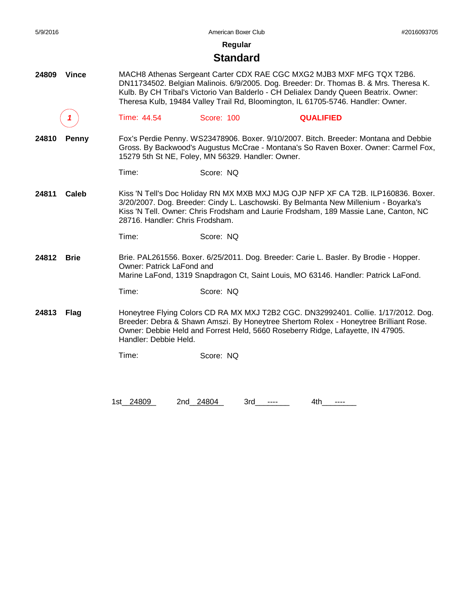**Regular**

#### **Standard**

- **24809 Vince** MACH8 Athenas Sergeant Carter CDX RAE CGC MXG2 MJB3 MXF MFG TQX T2B6. DN11734502. Belgian Malinois. 6/9/2005. Dog. Breeder: Dr. Thomas B. & Mrs. Theresa K. Kulb. By CH Tribal's Victorio Van Balderlo - CH Delialex Dandy Queen Beatrix. Owner: Theresa Kulb, 19484 Valley Trail Rd, Bloomington, IL 61705-5746. Handler: Owner.
	- *1* Time: 44.54 Score: 100 **QUALIFIED**
- **24810 Penny** Fox's Perdie Penny. WS23478906. Boxer. 9/10/2007. Bitch. Breeder: Montana and Debbie Gross. By Backwood's Augustus McCrae - Montana's So Raven Boxer. Owner: Carmel Fox, 15279 5th St NE, Foley, MN 56329. Handler: Owner.
	- Time: Score: NQ
- **24811 Caleb** Kiss 'N Tell's Doc Holiday RN MX MXB MXJ MJG OJP NFP XF CA T2B. ILP160836. Boxer. 3/20/2007. Dog. Breeder: Cindy L. Laschowski. By Belmanta New Millenium - Boyarka's Kiss 'N Tell. Owner: Chris Frodsham and Laurie Frodsham, 189 Massie Lane, Canton, NC 28716. Handler: Chris Frodsham.

**24812 Brie** Brie. PAL261556. Boxer. 6/25/2011. Dog. Breeder: Carie L. Basler. By Brodie - Hopper. Owner: Patrick LaFond and Marine LaFond, 1319 Snapdragon Ct, Saint Louis, MO 63146. Handler: Patrick LaFond.

Time: Score: NQ

**24813 Flag** Honeytree Flying Colors CD RA MX MXJ T2B2 CGC. DN32992401. Collie. 1/17/2012. Dog. Breeder: Debra & Shawn Amszi. By Honeytree Shertom Rolex - Honeytree Brilliant Rose. Owner: Debbie Held and Forrest Held, 5660 Roseberry Ridge, Lafayette, IN 47905. Handler: Debbie Held.

Time: Score: NQ

1st 24809 2nd 24804 3rd ---- 4th ----

Time: Score: NQ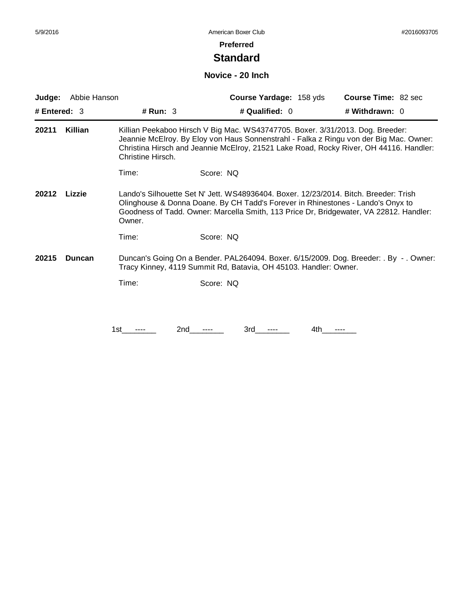#### **Preferred**

## **Standard**

#### **Novice - 20 Inch**

| Judge:         | Abbie Hanson  |                                                                                                                                                                                                                                                                             | Course Yardage: 158 yds                                                                                                                                                                                                                                            | <b>Course Time: 82 sec</b> |  |
|----------------|---------------|-----------------------------------------------------------------------------------------------------------------------------------------------------------------------------------------------------------------------------------------------------------------------------|--------------------------------------------------------------------------------------------------------------------------------------------------------------------------------------------------------------------------------------------------------------------|----------------------------|--|
| # Entered: $3$ |               | # Run: $3$                                                                                                                                                                                                                                                                  | # Qualified: 0                                                                                                                                                                                                                                                     | # Withdrawn: 0             |  |
| 20211          | Killian       | Christine Hirsch.                                                                                                                                                                                                                                                           | Killian Peekaboo Hirsch V Big Mac. WS43747705. Boxer. 3/31/2013. Dog. Breeder:<br>Jeannie McElroy. By Eloy von Haus Sonnenstrahl - Falka z Ringu von der Big Mac. Owner:<br>Christina Hirsch and Jeannie McElroy, 21521 Lake Road, Rocky River, OH 44116. Handler: |                            |  |
|                |               | Time:                                                                                                                                                                                                                                                                       | Score: NQ                                                                                                                                                                                                                                                          |                            |  |
| 20212          | Lizzie        | Lando's Silhouette Set N' Jett. WS48936404. Boxer. 12/23/2014. Bitch. Breeder: Trish<br>Olinghouse & Donna Doane. By CH Tadd's Forever in Rhinestones - Lando's Onyx to<br>Goodness of Tadd. Owner: Marcella Smith, 113 Price Dr, Bridgewater, VA 22812. Handler:<br>Owner. |                                                                                                                                                                                                                                                                    |                            |  |
|                |               | Time:                                                                                                                                                                                                                                                                       | Score: NQ                                                                                                                                                                                                                                                          |                            |  |
| 20215          | <b>Duncan</b> |                                                                                                                                                                                                                                                                             | Duncan's Going On a Bender. PAL264094. Boxer. 6/15/2009. Dog. Breeder: . By - . Owner:<br>Tracy Kinney, 4119 Summit Rd, Batavia, OH 45103. Handler: Owner.                                                                                                         |                            |  |
|                |               | Time:                                                                                                                                                                                                                                                                       | Score: NQ                                                                                                                                                                                                                                                          |                            |  |
|                |               |                                                                                                                                                                                                                                                                             |                                                                                                                                                                                                                                                                    |                            |  |
|                |               |                                                                                                                                                                                                                                                                             |                                                                                                                                                                                                                                                                    |                            |  |

1st\_\_\_\_\_\_\_\_ 2nd\_\_\_\_\_\_ 3rd\_\_\_\_\_\_ 4th\_\_\_\_\_\_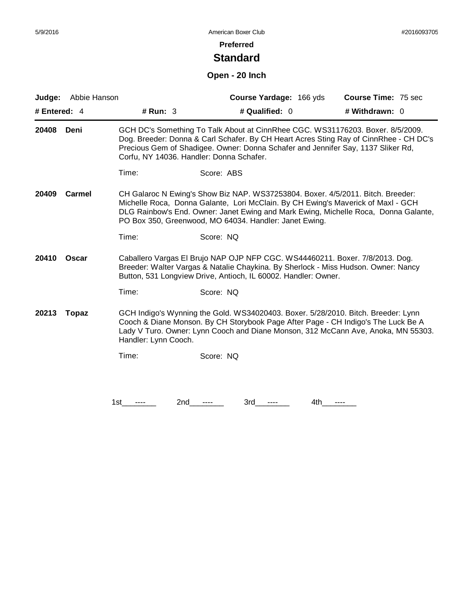#### **Preferred**

## **Standard**

## **Open - 20 Inch**

| Judge:       | Abbie Hanson                                                                                                                                                                                                                                                                                        |                                          |                                                                                                                                                                                                                               | Course Yardage: 166 yds | Course Time: 75 sec                                                                                                                                                     |
|--------------|-----------------------------------------------------------------------------------------------------------------------------------------------------------------------------------------------------------------------------------------------------------------------------------------------------|------------------------------------------|-------------------------------------------------------------------------------------------------------------------------------------------------------------------------------------------------------------------------------|-------------------------|-------------------------------------------------------------------------------------------------------------------------------------------------------------------------|
| # Entered: 4 |                                                                                                                                                                                                                                                                                                     | # Run: 3                                 | # Qualified: 0                                                                                                                                                                                                                |                         | # Withdrawn: $0$                                                                                                                                                        |
| 20408        | Deni                                                                                                                                                                                                                                                                                                | Corfu, NY 14036. Handler: Donna Schafer. | Precious Gem of Shadigee. Owner: Donna Schafer and Jennifer Say, 1137 Sliker Rd,                                                                                                                                              |                         | GCH DC's Something To Talk About at CinnRhee CGC. WS31176203. Boxer. 8/5/2009.<br>Dog. Breeder: Donna & Carl Schafer. By CH Heart Acres Sting Ray of CinnRhee - CH DC's |
|              |                                                                                                                                                                                                                                                                                                     | Time:                                    | Score: ABS                                                                                                                                                                                                                    |                         |                                                                                                                                                                         |
| 20409        | <b>Carmel</b>                                                                                                                                                                                                                                                                                       |                                          | CH Galaroc N Ewing's Show Biz NAP. WS37253804. Boxer. 4/5/2011. Bitch. Breeder:<br>Michelle Roca, Donna Galante, Lori McClain. By CH Ewing's Maverick of Maxl - GCH<br>PO Box 350, Greenwood, MO 64034. Handler: Janet Ewing. |                         | DLG Rainbow's End. Owner: Janet Ewing and Mark Ewing, Michelle Roca, Donna Galante,                                                                                     |
|              |                                                                                                                                                                                                                                                                                                     | Time:                                    | Score: NQ                                                                                                                                                                                                                     |                         |                                                                                                                                                                         |
| 20410        | Oscar                                                                                                                                                                                                                                                                                               |                                          | Caballero Vargas El Brujo NAP OJP NFP CGC. WS44460211. Boxer. 7/8/2013. Dog.<br>Button, 531 Longview Drive, Antioch, IL 60002. Handler: Owner.                                                                                |                         | Breeder: Walter Vargas & Natalie Chaykina. By Sherlock - Miss Hudson. Owner: Nancy                                                                                      |
|              |                                                                                                                                                                                                                                                                                                     | Time:                                    | Score: NQ                                                                                                                                                                                                                     |                         |                                                                                                                                                                         |
| 20213        | GCH Indigo's Wynning the Gold. WS34020403. Boxer. 5/28/2010. Bitch. Breeder: Lynn<br><b>Topaz</b><br>Cooch & Diane Monson. By CH Storybook Page After Page - CH Indigo's The Luck Be A<br>Lady V Turo. Owner: Lynn Cooch and Diane Monson, 312 McCann Ave, Anoka, MN 55303.<br>Handler: Lynn Cooch. |                                          |                                                                                                                                                                                                                               |                         |                                                                                                                                                                         |
|              |                                                                                                                                                                                                                                                                                                     | Time:                                    | Score: NQ                                                                                                                                                                                                                     |                         |                                                                                                                                                                         |
|              |                                                                                                                                                                                                                                                                                                     |                                          |                                                                                                                                                                                                                               |                         |                                                                                                                                                                         |
|              |                                                                                                                                                                                                                                                                                                     | 2nd<br>1st                               | 3rd                                                                                                                                                                                                                           | 4th                     |                                                                                                                                                                         |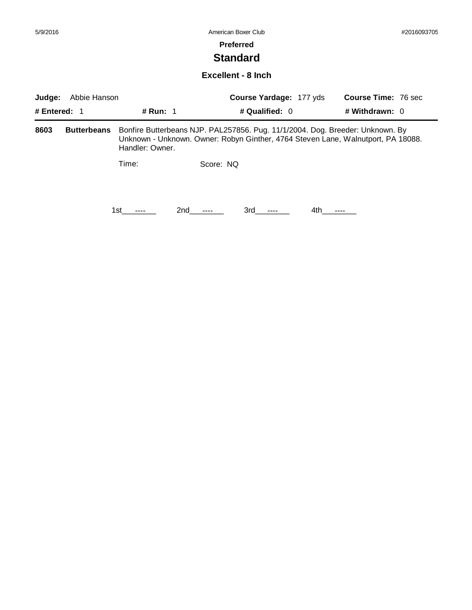#### **Preferred**

## **Standard**

#### **Excellent - 8 Inch**

| Abbie Hanson<br>Judge: |                    |                                                                                                                                                                                      |                 | Course Yardage: 177 yds |      | <b>Course Time: 76 sec</b><br># Withdrawn: 0 |  |
|------------------------|--------------------|--------------------------------------------------------------------------------------------------------------------------------------------------------------------------------------|-----------------|-------------------------|------|----------------------------------------------|--|
| # Entered: $1$         |                    | <b># Run: 1</b>                                                                                                                                                                      |                 | # Qualified: $0$        |      |                                              |  |
| 8603                   | <b>Butterbeans</b> | Bonfire Butterbeans NJP. PAL257856. Pug. 11/1/2004. Dog. Breeder: Unknown. By<br>Unknown - Unknown. Owner: Robyn Ginther, 4764 Steven Lane, Walnutport, PA 18088.<br>Handler: Owner. |                 |                         |      |                                              |  |
|                        |                    | Time:                                                                                                                                                                                | Score: NQ       |                         |      |                                              |  |
|                        |                    | 1st                                                                                                                                                                                  | 2nd<br>$\cdots$ | 3rd -<br>$---$          | 4th. |                                              |  |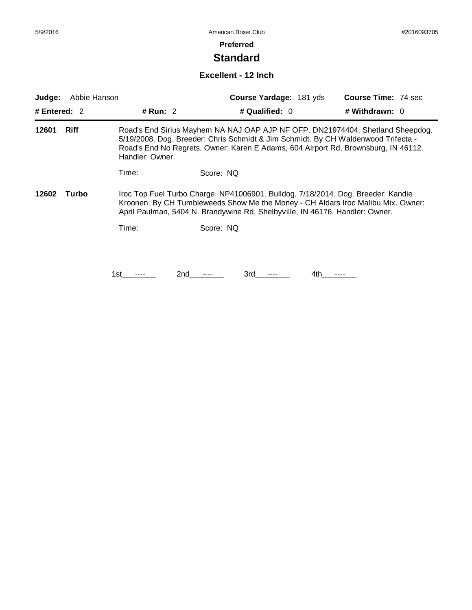#### **Preferred**

## **Standard**

#### **Excellent - 12 Inch**

| Abbie Hanson<br>Judge:<br># Entered: $2$<br># Run: 2 |       |                                                                                                                                                                                                                                                                              | Course Yardage: 181 yds | <b>Course Time: 74 sec</b> |     |                |  |
|------------------------------------------------------|-------|------------------------------------------------------------------------------------------------------------------------------------------------------------------------------------------------------------------------------------------------------------------------------|-------------------------|----------------------------|-----|----------------|--|
|                                                      |       |                                                                                                                                                                                                                                                                              | # Qualified: 0          |                            |     | # Withdrawn: 0 |  |
| <b>Riff</b><br>12601                                 |       | Road's End Sirius Mayhem NA NAJ OAP AJP NF OFP. DN21974404. Shetland Sheepdog.<br>5/19/2008. Dog. Breeder: Chris Schmidt & Jim Schmidt. By CH Waldenwood Trifecta -<br>Road's End No Regrets. Owner: Karen E Adams, 604 Airport Rd, Brownsburg, IN 46112.<br>Handler: Owner. |                         |                            |     |                |  |
|                                                      |       | Time:                                                                                                                                                                                                                                                                        | Score: NQ               |                            |     |                |  |
| 12602                                                | Turbo | Iroc Top Fuel Turbo Charge. NP41006901. Bulldog. 7/18/2014. Dog. Breeder: Kandie<br>Kroonen. By CH Tumbleweeds Show Me the Money - CH Aldars Iroc Malibu Mix. Owner:<br>April Paulman, 5404 N. Brandywine Rd, Shelbyville, IN 46176. Handler: Owner.                         |                         |                            |     |                |  |
|                                                      |       | Time:                                                                                                                                                                                                                                                                        | Score: NQ               |                            |     |                |  |
|                                                      |       |                                                                                                                                                                                                                                                                              |                         |                            |     |                |  |
|                                                      |       | 1st                                                                                                                                                                                                                                                                          | 2nd                     | 3rd                        | 4th |                |  |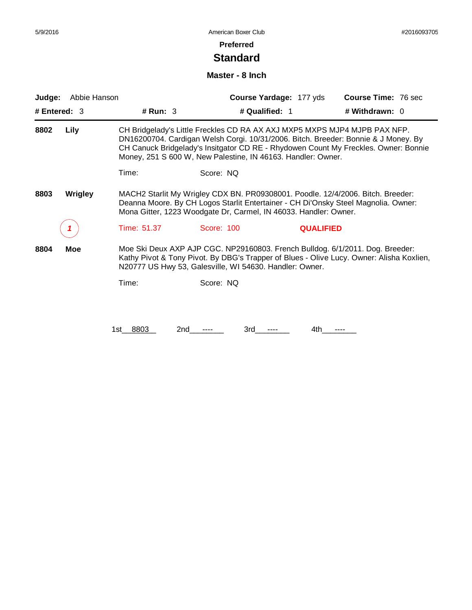#### **Preferred**

## **Standard**

#### **Master - 8 Inch**

| Abbie Hanson<br>Judge:<br># Entered: $3$                                                                                                                                                                                                                            |     |                    | <b>Course Yardage: 177 yds</b>                                                                                                                                                                                                                                                                                         | <b>Course Time: 76 sec</b> |  |
|---------------------------------------------------------------------------------------------------------------------------------------------------------------------------------------------------------------------------------------------------------------------|-----|--------------------|------------------------------------------------------------------------------------------------------------------------------------------------------------------------------------------------------------------------------------------------------------------------------------------------------------------------|----------------------------|--|
|                                                                                                                                                                                                                                                                     |     | # Run: $3$         | # Qualified: 1                                                                                                                                                                                                                                                                                                         | # Withdrawn: $0$           |  |
| Lily<br>8802                                                                                                                                                                                                                                                        |     |                    | CH Bridgelady's Little Freckles CD RA AX AXJ MXP5 MXPS MJP4 MJPB PAX NFP.<br>DN16200704. Cardigan Welsh Corgi. 10/31/2006. Bitch. Breeder: Bonnie & J Money. By<br>CH Canuck Bridgelady's Insitgator CD RE - Rhydowen Count My Freckles. Owner: Bonnie<br>Money, 251 S 600 W, New Palestine, IN 46163. Handler: Owner. |                            |  |
|                                                                                                                                                                                                                                                                     |     | Time:              | Score: NQ                                                                                                                                                                                                                                                                                                              |                            |  |
| MACH2 Starlit My Wrigley CDX BN. PR09308001. Poodle. 12/4/2006. Bitch. Breeder:<br>8803<br><b>Wrigley</b><br>Deanna Moore. By CH Logos Starlit Entertainer - CH Di'Onsky Steel Magnolia. Owner:<br>Mona Gitter, 1223 Woodgate Dr, Carmel, IN 46033. Handler: Owner. |     |                    |                                                                                                                                                                                                                                                                                                                        |                            |  |
|                                                                                                                                                                                                                                                                     |     | Time: 51.37        | Score: 100<br><b>QUALIFIED</b>                                                                                                                                                                                                                                                                                         |                            |  |
| 8804                                                                                                                                                                                                                                                                | Moe |                    | Moe Ski Deux AXP AJP CGC. NP29160803. French Bulldog. 6/1/2011. Dog. Breeder:<br>Kathy Pivot & Tony Pivot. By DBG's Trapper of Blues - Olive Lucy. Owner: Alisha Koxlien,<br>N20777 US Hwy 53, Galesville, WI 54630. Handler: Owner.                                                                                   |                            |  |
|                                                                                                                                                                                                                                                                     |     | Time:              | Score: NQ                                                                                                                                                                                                                                                                                                              |                            |  |
|                                                                                                                                                                                                                                                                     |     |                    |                                                                                                                                                                                                                                                                                                                        |                            |  |
|                                                                                                                                                                                                                                                                     |     | 8803<br>2nd<br>1st | 4th<br>3rd                                                                                                                                                                                                                                                                                                             |                            |  |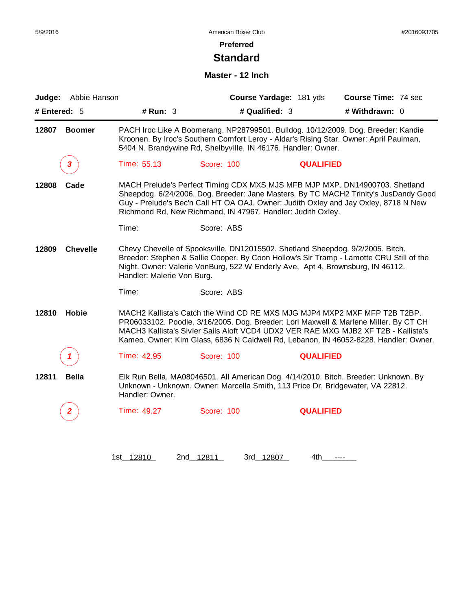## **Preferred**

## **Standard**

#### **Master - 12 Inch**

| Judge:       | Abbie Hanson    |                            |                                                                                                                                                                  | Course Yardage: 181 yds | Course Time: 74 sec                                                                                                                                                                                                                                                                                                                             |
|--------------|-----------------|----------------------------|------------------------------------------------------------------------------------------------------------------------------------------------------------------|-------------------------|-------------------------------------------------------------------------------------------------------------------------------------------------------------------------------------------------------------------------------------------------------------------------------------------------------------------------------------------------|
| # Entered: 5 |                 | # Run: 3                   |                                                                                                                                                                  | # Qualified: 3          | # Withdrawn: 0                                                                                                                                                                                                                                                                                                                                  |
| 12807        | <b>Boomer</b>   |                            | 5404 N. Brandywine Rd, Shelbyville, IN 46176. Handler: Owner.                                                                                                    |                         | PACH Iroc Like A Boomerang. NP28799501. Bulldog. 10/12/2009. Dog. Breeder: Kandie<br>Kroonen. By Iroc's Southern Comfort Leroy - Aldar's Rising Star. Owner: April Paulman,                                                                                                                                                                     |
|              | 3               | Time: 55.13                | Score: 100                                                                                                                                                       | <b>QUALIFIED</b>        |                                                                                                                                                                                                                                                                                                                                                 |
| 12808        | Cade            |                            | Richmond Rd, New Richmand, IN 47967. Handler: Judith Oxley.                                                                                                      |                         | MACH Prelude's Perfect Timing CDX MXS MJS MFB MJP MXP. DN14900703. Shetland<br>Sheepdog. 6/24/2006. Dog. Breeder: Jane Masters. By TC MACH2 Trinity's JusDandy Good<br>Guy - Prelude's Bec'n Call HT OA OAJ. Owner: Judith Oxley and Jay Oxley, 8718 N New                                                                                      |
|              |                 | Time:                      | Score: ABS                                                                                                                                                       |                         |                                                                                                                                                                                                                                                                                                                                                 |
| 12809        | <b>Chevelle</b> | Handler: Malerie Von Burg. | Chevy Chevelle of Spooksville. DN12015502. Shetland Sheepdog. 9/2/2005. Bitch.<br>Night. Owner: Valerie VonBurg, 522 W Enderly Ave, Apt 4, Brownsburg, IN 46112. |                         | Breeder: Stephen & Sallie Cooper. By Coon Hollow's Sir Tramp - Lamotte CRU Still of the                                                                                                                                                                                                                                                         |
|              |                 | Time:                      | Score: ABS                                                                                                                                                       |                         |                                                                                                                                                                                                                                                                                                                                                 |
| 12810        | Hobie           |                            |                                                                                                                                                                  |                         | MACH2 Kallista's Catch the Wind CD RE MXS MJG MJP4 MXP2 MXF MFP T2B T2BP.<br>PR06033102. Poodle. 3/16/2005. Dog. Breeder: Lori Maxwell & Marlene Miller. By CT CH<br>MACH3 Kallista's Sivler Sails Aloft VCD4 UDX2 VER RAE MXG MJB2 XF T2B - Kallista's<br>Kameo. Owner: Kim Glass, 6836 N Caldwell Rd, Lebanon, IN 46052-8228. Handler: Owner. |
|              | 1               | Time: 42.95                | Score: 100                                                                                                                                                       | <b>QUALIFIED</b>        |                                                                                                                                                                                                                                                                                                                                                 |
| 12811        | <b>Bella</b>    | Handler: Owner.            | Unknown - Unknown. Owner: Marcella Smith, 113 Price Dr, Bridgewater, VA 22812.                                                                                   |                         | Elk Run Bella. MA08046501. All American Dog. 4/14/2010. Bitch. Breeder: Unknown. By                                                                                                                                                                                                                                                             |
|              | $\mathbf{2}$    | Time: 49.27                | <b>Score: 100</b>                                                                                                                                                | <b>QUALIFIED</b>        |                                                                                                                                                                                                                                                                                                                                                 |
|              |                 |                            |                                                                                                                                                                  |                         |                                                                                                                                                                                                                                                                                                                                                 |
|              |                 |                            |                                                                                                                                                                  |                         |                                                                                                                                                                                                                                                                                                                                                 |

1st\_ 12810 2nd\_ 12811 3rd\_ 12807 4th\_\_\_\_\_\_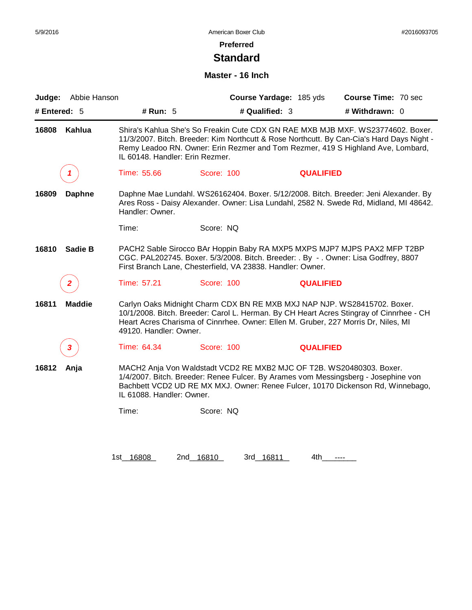### **Preferred**

## **Standard**

#### **Master - 16 Inch**

| Abbie Hanson<br>Judge:  |                                 |                                                                                                                                                                | Course Yardage: 185 yds | Course Time: 70 sec                                                                                                                                                                                                                                             |
|-------------------------|---------------------------------|----------------------------------------------------------------------------------------------------------------------------------------------------------------|-------------------------|-----------------------------------------------------------------------------------------------------------------------------------------------------------------------------------------------------------------------------------------------------------------|
| # Entered: 5            | # Run: 5                        | # Qualified: 3                                                                                                                                                 |                         | # Withdrawn: 0                                                                                                                                                                                                                                                  |
| 16808<br>Kahlua         | IL 60148. Handler: Erin Rezmer. |                                                                                                                                                                |                         | Shira's Kahlua She's So Freakin Cute CDX GN RAE MXB MJB MXF. WS23774602. Boxer.<br>11/3/2007. Bitch. Breeder: Kim Northcutt & Rose Northcutt. By Can-Cia's Hard Days Night -<br>Remy Leadoo RN. Owner: Erin Rezmer and Tom Rezmer, 419 S Highland Ave, Lombard, |
|                         | Time: 55.66                     | Score: 100                                                                                                                                                     | <b>QUALIFIED</b>        |                                                                                                                                                                                                                                                                 |
| 16809<br><b>Daphne</b>  | Handler: Owner.                 |                                                                                                                                                                |                         | Daphne Mae Lundahl. WS26162404. Boxer. 5/12/2008. Bitch. Breeder: Jeni Alexander. By<br>Ares Ross - Daisy Alexander. Owner: Lisa Lundahl, 2582 N. Swede Rd, Midland, MI 48642.                                                                                  |
|                         | Time:                           | Score: NQ                                                                                                                                                      |                         |                                                                                                                                                                                                                                                                 |
| 16810<br><b>Sadie B</b> |                                 | CGC. PAL202745. Boxer. 5/3/2008. Bitch. Breeder: . By - . Owner: Lisa Godfrey, 8807<br>First Branch Lane, Chesterfield, VA 23838. Handler: Owner.              |                         | PACH2 Sable Sirocco BAr Hoppin Baby RA MXP5 MXPS MJP7 MJPS PAX2 MFP T2BP                                                                                                                                                                                        |
| 2                       | Time: 57.21                     | Score: 100                                                                                                                                                     | <b>QUALIFIED</b>        |                                                                                                                                                                                                                                                                 |
| 16811<br><b>Maddie</b>  | 49120. Handler: Owner.          | Carlyn Oaks Midnight Charm CDX BN RE MXB MXJ NAP NJP. WS28415702. Boxer.<br>Heart Acres Charisma of Cinnrhee. Owner: Ellen M. Gruber, 227 Morris Dr, Niles, MI |                         | 10/1/2008. Bitch. Breeder: Carol L. Herman. By CH Heart Acres Stingray of Cinnrhee - CH                                                                                                                                                                         |
| 3                       | Time: 64.34                     | Score: 100                                                                                                                                                     | <b>QUALIFIED</b>        |                                                                                                                                                                                                                                                                 |
| 16812<br>Anja           | IL 61088. Handler: Owner.       | MACH2 Anja Von Waldstadt VCD2 RE MXB2 MJC OF T2B. WS20480303. Boxer.                                                                                           |                         | 1/4/2007. Bitch. Breeder: Renee Fulcer. By Arames vom Messingsberg - Josephine von<br>Bachbett VCD2 UD RE MX MXJ. Owner: Renee Fulcer, 10170 Dickenson Rd, Winnebago,                                                                                           |
|                         | Time:                           | Score: NQ                                                                                                                                                      |                         |                                                                                                                                                                                                                                                                 |
|                         |                                 |                                                                                                                                                                |                         |                                                                                                                                                                                                                                                                 |
|                         |                                 |                                                                                                                                                                |                         |                                                                                                                                                                                                                                                                 |

1st\_16808 2nd\_16810 3rd\_16811 4th\_\_\_\_\_\_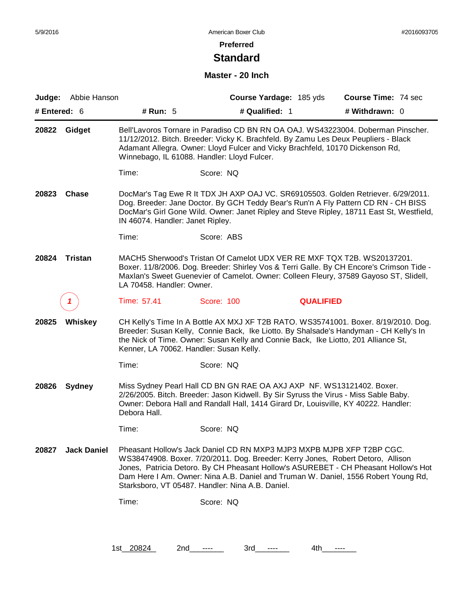### **Preferred**

## **Standard**

#### **Master - 20 Inch**

| Judge:       | Abbie Hanson       |                                         | Course Yardage: 185 yds                                                                                                                                                                                                                                                                                |                  | Course Time: 74 sec                                                                      |
|--------------|--------------------|-----------------------------------------|--------------------------------------------------------------------------------------------------------------------------------------------------------------------------------------------------------------------------------------------------------------------------------------------------------|------------------|------------------------------------------------------------------------------------------|
| # Entered: 6 |                    | # Run: 5                                | # Qualified: 1                                                                                                                                                                                                                                                                                         |                  | # Withdrawn: 0                                                                           |
| 20822        | Gidget             |                                         | Bell'Lavoros Tornare in Paradiso CD BN RN OA OAJ. WS43223004. Doberman Pinscher.<br>11/12/2012. Bitch. Breeder: Vicky K. Brachfeld. By Zamu Les Deux Peupliers - Black<br>Adamant Allegra. Owner: Lloyd Fulcer and Vicky Brachfeld, 10170 Dickenson Rd,<br>Winnebago, IL 61088. Handler: Lloyd Fulcer. |                  |                                                                                          |
|              |                    | Time:                                   | Score: NQ                                                                                                                                                                                                                                                                                              |                  |                                                                                          |
| 20823        | <b>Chase</b>       | IN 46074. Handler: Janet Ripley.        | DocMar's Tag Ewe R It TDX JH AXP OAJ VC. SR69105503. Golden Retriever. 6/29/2011.<br>Dog. Breeder: Jane Doctor. By GCH Teddy Bear's Run'n A Fly Pattern CD RN - CH BISS                                                                                                                                |                  | DocMar's Girl Gone Wild. Owner: Janet Ripley and Steve Ripley, 18711 East St, Westfield, |
|              |                    | Time:                                   | Score: ABS                                                                                                                                                                                                                                                                                             |                  |                                                                                          |
| 20824        | Tristan            | LA 70458. Handler: Owner.               | MACH5 Sherwood's Tristan Of Camelot UDX VER RE MXF TQX T2B. WS20137201.<br>Maxlan's Sweet Guenevier of Camelot. Owner: Colleen Fleury, 37589 Gayoso ST, Slidell,                                                                                                                                       |                  | Boxer. 11/8/2006. Dog. Breeder: Shirley Vos & Terri Galle. By CH Encore's Crimson Tide - |
|              |                    | Time: 57.41                             | Score: 100                                                                                                                                                                                                                                                                                             | <b>QUALIFIED</b> |                                                                                          |
| 20825        | Whiskey            | Kenner, LA 70062. Handler: Susan Kelly. | Breeder: Susan Kelly, Connie Back, Ike Liotto. By Shalsade's Handyman - CH Kelly's In<br>the Nick of Time. Owner: Susan Kelly and Connie Back, Ike Liotto, 201 Alliance St,                                                                                                                            |                  | CH Kelly's Time In A Bottle AX MXJ XF T2B RATO. WS35741001. Boxer. 8/19/2010. Dog.       |
|              |                    | Time:                                   | Score: NQ                                                                                                                                                                                                                                                                                              |                  |                                                                                          |
| 20826        | <b>Sydney</b>      | Debora Hall.                            | Miss Sydney Pearl Hall CD BN GN RAE OA AXJ AXP NF. WS13121402. Boxer.<br>2/26/2005. Bitch. Breeder: Jason Kidwell. By Sir Syruss the Virus - Miss Sable Baby.<br>Owner: Debora Hall and Randall Hall, 1414 Girard Dr, Louisville, KY 40222. Handler:                                                   |                  |                                                                                          |
|              |                    | Time:                                   | Score: NQ                                                                                                                                                                                                                                                                                              |                  |                                                                                          |
| 20827        | <b>Jack Daniel</b> |                                         | Pheasant Hollow's Jack Daniel CD RN MXP3 MJP3 MXPB MJPB XFP T2BP CGC.<br>WS38474908. Boxer. 7/20/2011. Dog. Breeder: Kerry Jones, Robert Detoro, Allison<br>Dam Here I Am. Owner: Nina A.B. Daniel and Truman W. Daniel, 1556 Robert Young Rd,<br>Starksboro, VT 05487. Handler: Nina A.B. Daniel.     |                  | Jones, Patricia Detoro. By CH Pheasant Hollow's ASUREBET - CH Pheasant Hollow's Hot      |
|              |                    | Time:                                   | Score: NQ                                                                                                                                                                                                                                                                                              |                  |                                                                                          |
|              |                    |                                         |                                                                                                                                                                                                                                                                                                        |                  |                                                                                          |
|              |                    |                                         |                                                                                                                                                                                                                                                                                                        |                  |                                                                                          |

1st\_20824 2nd\_\_---- 3rd\_\_--- 4th\_\_---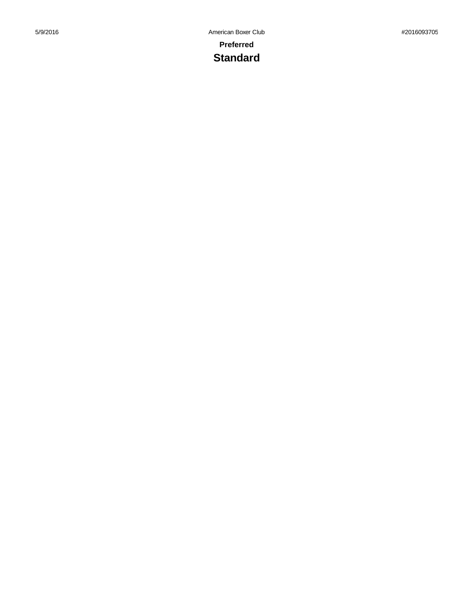# **Standard**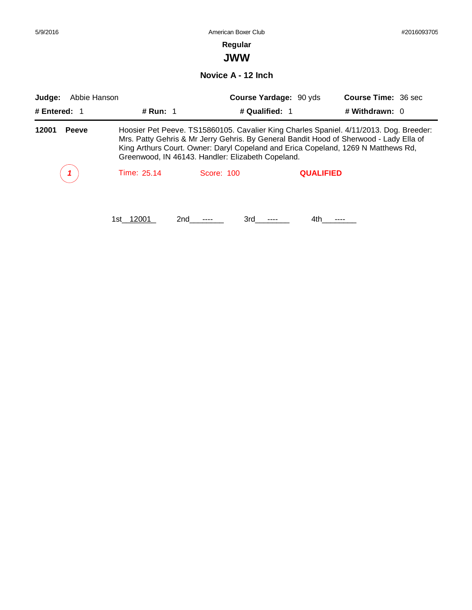| 5/9/2016               | American Boxer Club |                                                                                                                                                                                                                                                                                                                            |                        |                            |  |  |  |
|------------------------|---------------------|----------------------------------------------------------------------------------------------------------------------------------------------------------------------------------------------------------------------------------------------------------------------------------------------------------------------------|------------------------|----------------------------|--|--|--|
|                        |                     | Regular                                                                                                                                                                                                                                                                                                                    |                        |                            |  |  |  |
|                        | <b>JWW</b>          |                                                                                                                                                                                                                                                                                                                            |                        |                            |  |  |  |
|                        |                     | Novice A - 12 Inch                                                                                                                                                                                                                                                                                                         |                        |                            |  |  |  |
| Abbie Hanson<br>Judge: |                     |                                                                                                                                                                                                                                                                                                                            | Course Yardage: 90 yds | <b>Course Time: 36 sec</b> |  |  |  |
| # Entered: $1$         | # Run: $1$          | # Qualified: 1                                                                                                                                                                                                                                                                                                             |                        | # Withdrawn: $0$           |  |  |  |
| 12001<br><b>Peeve</b>  |                     | Hoosier Pet Peeve. TS15860105. Cavalier King Charles Spaniel. 4/11/2013. Dog. Breeder:<br>Mrs. Patty Gehris & Mr Jerry Gehris. By General Bandit Hood of Sherwood - Lady Ella of<br>King Arthurs Court. Owner: Daryl Copeland and Erica Copeland, 1269 N Matthews Rd,<br>Greenwood, IN 46143. Handler: Elizabeth Copeland. |                        |                            |  |  |  |
|                        | Time: 25.14         | Score: 100                                                                                                                                                                                                                                                                                                                 | <b>QUALIFIED</b>       |                            |  |  |  |
|                        | 1st 12001           | 3rd<br>2nd                                                                                                                                                                                                                                                                                                                 | 4th.                   |                            |  |  |  |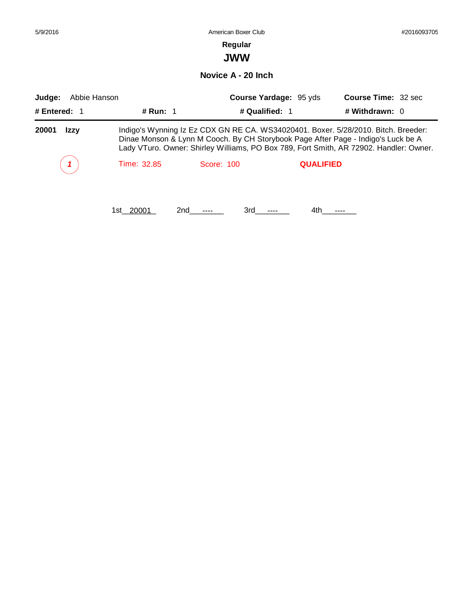| 5/9/2016                                 |             | American Boxer Club   |                        | #2016093705                                                                                                                                                                                                                                                       |  |  |  |
|------------------------------------------|-------------|-----------------------|------------------------|-------------------------------------------------------------------------------------------------------------------------------------------------------------------------------------------------------------------------------------------------------------------|--|--|--|
|                                          |             | Regular<br><b>JWW</b> |                        |                                                                                                                                                                                                                                                                   |  |  |  |
| Novice A - 20 Inch                       |             |                       |                        |                                                                                                                                                                                                                                                                   |  |  |  |
| Abbie Hanson<br>Judge:<br># Entered: $1$ | # Run: 1    | # Qualified: 1        | Course Yardage: 95 yds | <b>Course Time: 32 sec</b><br># Withdrawn: 0                                                                                                                                                                                                                      |  |  |  |
| 20001<br>Izzy                            |             |                       |                        | Indigo's Wynning Iz Ez CDX GN RE CA. WS34020401. Boxer. 5/28/2010. Bitch. Breeder:<br>Dinae Monson & Lynn M Cooch. By CH Storybook Page After Page - Indigo's Luck be A<br>Lady VTuro. Owner: Shirley Williams, PO Box 789, Fort Smith, AR 72902. Handler: Owner. |  |  |  |
|                                          | Time: 32.85 | Score: 100            | <b>QUALIFIED</b>       |                                                                                                                                                                                                                                                                   |  |  |  |
|                                          | 1st 20001   | 3rd<br>2nd            | 4th.                   |                                                                                                                                                                                                                                                                   |  |  |  |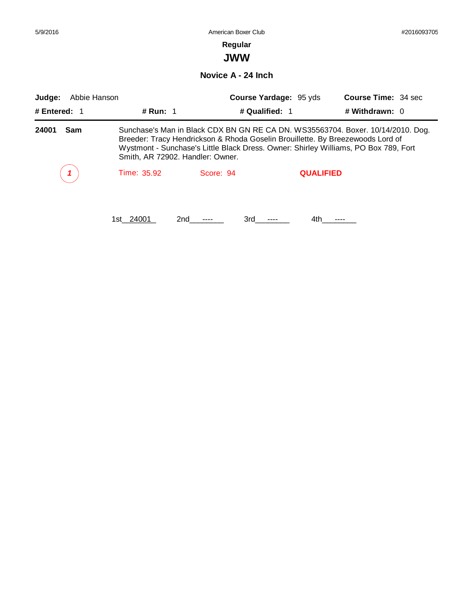| 5/9/2016               |                                  | American Boxer Club                                                            |                               | #2016093705                                                                                                                                                            |  |
|------------------------|----------------------------------|--------------------------------------------------------------------------------|-------------------------------|------------------------------------------------------------------------------------------------------------------------------------------------------------------------|--|
|                        |                                  | Regular<br><b>JWW</b>                                                          |                               |                                                                                                                                                                        |  |
|                        |                                  |                                                                                |                               |                                                                                                                                                                        |  |
|                        |                                  | Novice A - 24 Inch                                                             |                               |                                                                                                                                                                        |  |
| Abbie Hanson<br>Judge: |                                  |                                                                                | <b>Course Yardage: 95 yds</b> | Course Time: 34 sec                                                                                                                                                    |  |
| # Entered: $1$         | # Run: 1                         |                                                                                | # Qualified: 1                | # Withdrawn: 0                                                                                                                                                         |  |
| Sam<br>24001           | Smith, AR 72902. Handler: Owner. | Breeder: Tracy Hendrickson & Rhoda Goselin Brouillette. By Breezewoods Lord of |                               | Sunchase's Man in Black CDX BN GN RE CA DN. WS35563704. Boxer. 10/14/2010. Dog.<br>Wystmont - Sunchase's Little Black Dress. Owner: Shirley Williams, PO Box 789, Fort |  |
|                        | Time: 35.92                      | Score: 94                                                                      | <b>QUALIFIED</b>              |                                                                                                                                                                        |  |
|                        | 1st__24001                       | 2nd<br>3rd                                                                     | 4th.                          |                                                                                                                                                                        |  |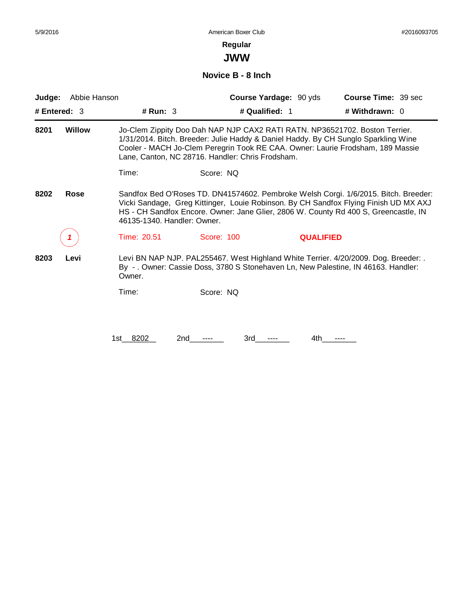**JWW**

**Novice B - 8 Inch**

| Judge:         | Abbie Hanson  |                             | Course Yardage: 90 yds                                                                                                                                                                                                                                                                                  |                  | <b>Course Time: 39 sec</b> |  |
|----------------|---------------|-----------------------------|---------------------------------------------------------------------------------------------------------------------------------------------------------------------------------------------------------------------------------------------------------------------------------------------------------|------------------|----------------------------|--|
| # Entered: $3$ |               | # Run: $3$                  | # Qualified: 1                                                                                                                                                                                                                                                                                          |                  | # Withdrawn: $0$           |  |
| 8201           | <b>Willow</b> |                             | Jo-Clem Zippity Doo Dah NAP NJP CAX2 RATI RATN. NP36521702. Boston Terrier.<br>1/31/2014. Bitch. Breeder: Julie Haddy & Daniel Haddy. By CH Sunglo Sparkling Wine<br>Cooler - MACH Jo-Clem Peregrin Took RE CAA. Owner: Laurie Frodsham, 189 Massie<br>Lane, Canton, NC 28716. Handler: Chris Frodsham. |                  |                            |  |
|                |               | Time:                       | Score: NQ                                                                                                                                                                                                                                                                                               |                  |                            |  |
| 8202           | Rose          | 46135-1340. Handler: Owner. | Sandfox Bed O'Roses TD. DN41574602. Pembroke Welsh Corgi. 1/6/2015. Bitch. Breeder:<br>Vicki Sandage, Greg Kittinger, Louie Robinson. By CH Sandfox Flying Finish UD MX AXJ<br>HS - CH Sandfox Encore. Owner: Jane Glier, 2806 W. County Rd 400 S, Greencastle, IN                                      |                  |                            |  |
|                |               | Time: 20.51                 | Score: 100                                                                                                                                                                                                                                                                                              | <b>QUALIFIED</b> |                            |  |
| 8203           | Levi          | Owner.                      | Levi BN NAP NJP. PAL255467. West Highland White Terrier. 4/20/2009. Dog. Breeder: .<br>By - . Owner: Cassie Doss, 3780 S Stonehaven Ln, New Palestine, IN 46163. Handler:                                                                                                                               |                  |                            |  |
|                |               | Time:                       | Score: NQ                                                                                                                                                                                                                                                                                               |                  |                            |  |
|                |               |                             |                                                                                                                                                                                                                                                                                                         |                  |                            |  |
|                |               | 1st 8202<br>2nd             | 3rd                                                                                                                                                                                                                                                                                                     | 4th              |                            |  |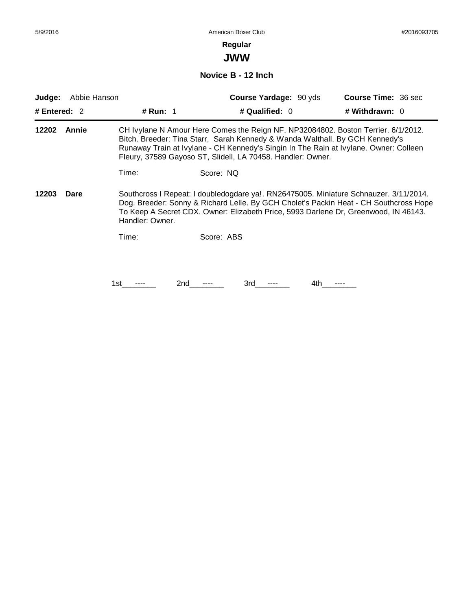**JWW**

**Novice B - 12 Inch**

| Judge:                                                                                                                                                                                                                                                                                                    | Abbie Hanson |            | <b>Course Yardage: 90 yds</b>                                                                                                                                                                                                                                                                                             | <b>Course Time: 36 sec</b> |
|-----------------------------------------------------------------------------------------------------------------------------------------------------------------------------------------------------------------------------------------------------------------------------------------------------------|--------------|------------|---------------------------------------------------------------------------------------------------------------------------------------------------------------------------------------------------------------------------------------------------------------------------------------------------------------------------|----------------------------|
| # Entered: $2$                                                                                                                                                                                                                                                                                            |              | # Run: $1$ | # Qualified: 0                                                                                                                                                                                                                                                                                                            | # Withdrawn: 0             |
| 12202                                                                                                                                                                                                                                                                                                     | Annie        |            | CH Ivylane N Amour Here Comes the Reign NF. NP32084802. Boston Terrier. 6/1/2012.<br>Bitch. Breeder: Tina Starr, Sarah Kennedy & Wanda Walthall. By GCH Kennedy's<br>Runaway Train at Ivylane - CH Kennedy's Singin In The Rain at Ivylane. Owner: Colleen<br>Fleury, 37589 Gayoso ST, Slidell, LA 70458. Handler: Owner. |                            |
|                                                                                                                                                                                                                                                                                                           |              | Time:      | Score: NQ                                                                                                                                                                                                                                                                                                                 |                            |
| Southcross I Repeat: I doubledogdare ya!. RN26475005. Miniature Schnauzer. 3/11/2014.<br>12203<br>Dare<br>Dog. Breeder: Sonny & Richard Lelle. By GCH Cholet's Packin Heat - CH Southcross Hope<br>To Keep A Secret CDX. Owner: Elizabeth Price, 5993 Darlene Dr, Greenwood, IN 46143.<br>Handler: Owner. |              |            |                                                                                                                                                                                                                                                                                                                           |                            |
|                                                                                                                                                                                                                                                                                                           |              | Time:      | Score: ABS                                                                                                                                                                                                                                                                                                                |                            |
|                                                                                                                                                                                                                                                                                                           |              |            |                                                                                                                                                                                                                                                                                                                           |                            |
|                                                                                                                                                                                                                                                                                                           |              | 2nd<br>1st | 3rd<br>4th                                                                                                                                                                                                                                                                                                                |                            |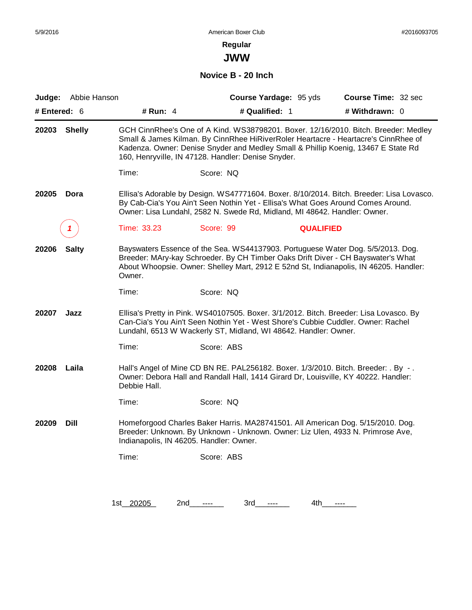**JWW**

**Novice B - 20 Inch**

| Judge:       | Abbie Hanson  |                                         |                                                                           | Course Yardage: 95 yds | Course Time: 32 sec                                                                                                                                                                                                                                            |
|--------------|---------------|-----------------------------------------|---------------------------------------------------------------------------|------------------------|----------------------------------------------------------------------------------------------------------------------------------------------------------------------------------------------------------------------------------------------------------------|
| # Entered: 6 |               | # Run: $4$                              | # Qualified: 1                                                            |                        | # Withdrawn: 0                                                                                                                                                                                                                                                 |
| 20203        | <b>Shelly</b> |                                         | 160, Henryville, IN 47128. Handler: Denise Snyder.                        |                        | GCH CinnRhee's One of A Kind. WS38798201. Boxer. 12/16/2010. Bitch. Breeder: Medley<br>Small & James Kilman. By CinnRhee HiRiverRoler Heartacre - Heartacre's CinnRhee of<br>Kadenza. Owner: Denise Snyder and Medley Small & Phillip Koenig, 13467 E State Rd |
|              |               | Time:                                   | Score: NQ                                                                 |                        |                                                                                                                                                                                                                                                                |
| 20205        | Dora          |                                         | Owner: Lisa Lundahl, 2582 N. Swede Rd, Midland, MI 48642. Handler: Owner. |                        | Ellisa's Adorable by Design. WS47771604. Boxer. 8/10/2014. Bitch. Breeder: Lisa Lovasco.<br>By Cab-Cia's You Ain't Seen Nothin Yet - Ellisa's What Goes Around Comes Around.                                                                                   |
|              |               | Time: 33.23                             | Score: 99                                                                 | <b>QUALIFIED</b>       |                                                                                                                                                                                                                                                                |
| 20206        | <b>Salty</b>  | Owner.                                  |                                                                           |                        | Bayswaters Essence of the Sea. WS44137903. Portuguese Water Dog. 5/5/2013. Dog.<br>Breeder: MAry-kay Schroeder. By CH Timber Oaks Drift Diver - CH Bayswater's What<br>About Whoopsie. Owner: Shelley Mart, 2912 E 52nd St, Indianapolis, IN 46205. Handler:   |
|              |               | Time:                                   | Score: NQ                                                                 |                        |                                                                                                                                                                                                                                                                |
| 20207        | Jazz          |                                         | Lundahl, 6513 W Wackerly ST, Midland, WI 48642. Handler: Owner.           |                        | Ellisa's Pretty in Pink. WS40107505. Boxer. 3/1/2012. Bitch. Breeder: Lisa Lovasco. By<br>Can-Cia's You Ain't Seen Nothin Yet - West Shore's Cubbie Cuddler. Owner: Rachel                                                                                     |
|              |               | Time:                                   | Score: ABS                                                                |                        |                                                                                                                                                                                                                                                                |
| 20208        | Laila         | Debbie Hall.                            |                                                                           |                        | Hall's Angel of Mine CD BN RE. PAL256182. Boxer. 1/3/2010. Bitch. Breeder: . By -.<br>Owner: Debora Hall and Randall Hall, 1414 Girard Dr, Louisville, KY 40222. Handler:                                                                                      |
|              |               | Time:                                   | Score: NQ                                                                 |                        |                                                                                                                                                                                                                                                                |
| 20209        | Dill          | Indianapolis, IN 46205. Handler: Owner. |                                                                           |                        | Homeforgood Charles Baker Harris. MA28741501. All American Dog. 5/15/2010. Dog.<br>Breeder: Unknown. By Unknown - Unknown. Owner: Liz Ulen, 4933 N. Primrose Ave,                                                                                              |
|              |               | Time:                                   | Score: ABS                                                                |                        |                                                                                                                                                                                                                                                                |
|              |               |                                         |                                                                           |                        |                                                                                                                                                                                                                                                                |
|              |               | 1st 20205<br>2nd                        | 3rd<br>$\cdots$                                                           | 4th<br>$\cdots$        | $\cdots$                                                                                                                                                                                                                                                       |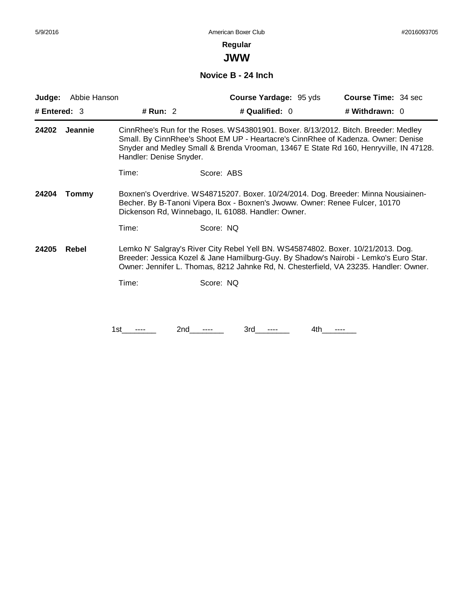# **Regular**

**JWW**

**Novice B - 24 Inch**

| Judge:         | Abbie Hanson |                         | Course Yardage: 95 yds                                                                                                                                                                                                                                             | <b>Course Time: 34 sec</b> |
|----------------|--------------|-------------------------|--------------------------------------------------------------------------------------------------------------------------------------------------------------------------------------------------------------------------------------------------------------------|----------------------------|
| # Entered: $3$ |              | # Run: 2                | # Qualified: 0                                                                                                                                                                                                                                                     | # Withdrawn: 0             |
| 24202          | Jeannie      | Handler: Denise Snyder. | CinnRhee's Run for the Roses. WS43801901. Boxer. 8/13/2012. Bitch. Breeder: Medley<br>Small. By CinnRhee's Shoot EM UP - Heartacre's CinnRhee of Kadenza. Owner: Denise<br>Snyder and Medley Small & Brenda Vrooman, 13467 E State Rd 160, Henryville, IN 47128.   |                            |
|                |              | Time:                   | Score: ABS                                                                                                                                                                                                                                                         |                            |
| 24204          | <b>Tommy</b> |                         | Boxnen's Overdrive. WS48715207. Boxer. 10/24/2014. Dog. Breeder: Minna Nousiainen-<br>Becher. By B-Tanoni Vipera Box - Boxnen's Jwoww. Owner: Renee Fulcer, 10170<br>Dickenson Rd, Winnebago, IL 61088. Handler: Owner.                                            |                            |
|                |              | Time:                   | Score: NQ                                                                                                                                                                                                                                                          |                            |
| 24205          | Rebel        |                         | Lemko N' Salgray's River City Rebel Yell BN. WS45874802. Boxer. 10/21/2013. Dog.<br>Breeder: Jessica Kozel & Jane Hamilburg-Guy. By Shadow's Nairobi - Lemko's Euro Star.<br>Owner: Jennifer L. Thomas, 8212 Jahnke Rd, N. Chesterfield, VA 23235. Handler: Owner. |                            |
|                |              | Time:                   | Score: NQ                                                                                                                                                                                                                                                          |                            |
|                |              |                         |                                                                                                                                                                                                                                                                    |                            |
|                |              | 2nd<br>1st.             | 3rd<br>4th.                                                                                                                                                                                                                                                        |                            |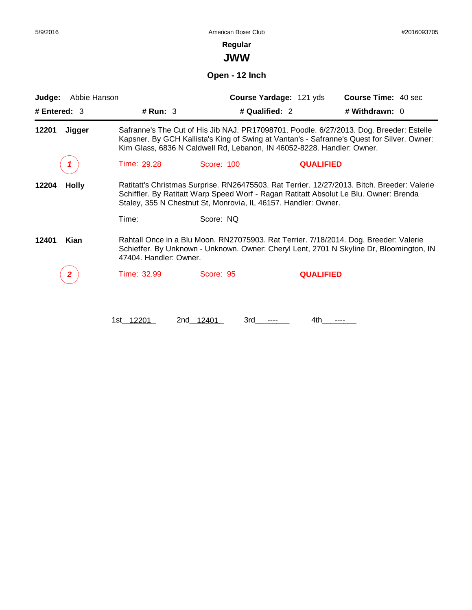**Regular**

**JWW**

**Open - 12 Inch**

| Abbie Hanson<br>Judge: |                        |                                                                        | Course Yardage: 121 yds | <b>Course Time: 40 sec</b>                                                                                                                                                            |
|------------------------|------------------------|------------------------------------------------------------------------|-------------------------|---------------------------------------------------------------------------------------------------------------------------------------------------------------------------------------|
| # Entered: $3$         | # Run: $3$             |                                                                        | # Qualified: 2          | # Withdrawn: 0                                                                                                                                                                        |
| 12201<br>Jigger        |                        | Kim Glass, 6836 N Caldwell Rd, Lebanon, IN 46052-8228. Handler: Owner. |                         | Safranne's The Cut of His Jib NAJ. PR17098701. Poodle. 6/27/2013. Dog. Breeder: Estelle<br>Kapsner. By GCH Kallista's King of Swing at Vantan's - Safranne's Quest for Silver. Owner: |
|                        | Time: 29.28            | Score: 100                                                             | <b>QUALIFIED</b>        |                                                                                                                                                                                       |
| 12204<br><b>Holly</b>  |                        | Staley, 355 N Chestnut St, Monrovia, IL 46157. Handler: Owner.         |                         | Ratitatt's Christmas Surprise. RN26475503. Rat Terrier. 12/27/2013. Bitch. Breeder: Valerie<br>Schiffler. By Ratitatt Warp Speed Worf - Ragan Ratitatt Absolut Le Blu. Owner: Brenda  |
|                        | Time:                  | Score: NQ                                                              |                         |                                                                                                                                                                                       |
| Kian<br>12401          | 47404. Handler: Owner. |                                                                        |                         | Rahtall Once in a Blu Moon. RN27075903. Rat Terrier. 7/18/2014. Dog. Breeder: Valerie<br>Schieffer. By Unknown - Unknown. Owner: Cheryl Lent, 2701 N Skyline Dr, Bloomington, IN      |
| 2                      | Time: 32.99            | Score: 95                                                              | <b>QUALIFIED</b>        |                                                                                                                                                                                       |
|                        | 1st 12201              | 2nd 12401<br>3rd                                                       | 4th                     |                                                                                                                                                                                       |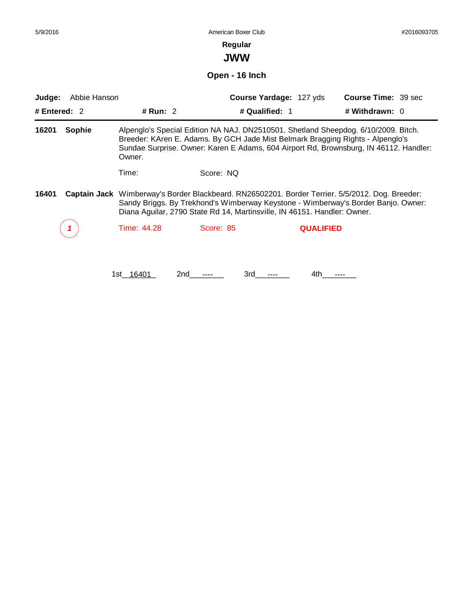| 5/9/2016                 |                |                                                                                                                                                                                                                                                                           | American Boxer Club<br>Regular<br><b>JWW</b> |                                           |                  | #2016093705         |  |  |
|--------------------------|----------------|---------------------------------------------------------------------------------------------------------------------------------------------------------------------------------------------------------------------------------------------------------------------------|----------------------------------------------|-------------------------------------------|------------------|---------------------|--|--|
|                          | Open - 16 Inch |                                                                                                                                                                                                                                                                           |                                              |                                           |                  |                     |  |  |
| Judge:<br># Entered: $2$ | Abbie Hanson   | # Run: $2$                                                                                                                                                                                                                                                                |                                              | Course Yardage: 127 yds<br># Qualified: 1 | # Withdrawn: $0$ | Course Time: 39 sec |  |  |
| 16201                    | Sophie         | Alpenglo's Special Edition NA NAJ. DN2510501. Shetland Sheepdog. 6/10/2009. Bitch.<br>Breeder: KAren E. Adams. By GCH Jade Mist Belmark Bragging Rights - Alpenglo's<br>Sundae Surprise. Owner: Karen E Adams, 604 Airport Rd, Brownsburg, IN 46112. Handler:<br>Owner.   |                                              |                                           |                  |                     |  |  |
| 16401                    |                | Time:<br>Captain Jack Wimberway's Border Blackbeard. RN26502201. Border Terrier. 5/5/2012. Dog. Breeder:<br>Sandy Briggs. By Trekhond's Wimberway Keystone - Wimberway's Border Banjo. Owner:<br>Diana Aguilar, 2790 State Rd 14, Martinsville, IN 46151. Handler: Owner. | Score: NQ                                    |                                           |                  |                     |  |  |
|                          |                | Time: 44.28                                                                                                                                                                                                                                                               | Score: 85                                    |                                           | <b>QUALIFIED</b> |                     |  |  |
|                          |                | 1st 16401<br>2nd                                                                                                                                                                                                                                                          | 3rd                                          |                                           | 4th              |                     |  |  |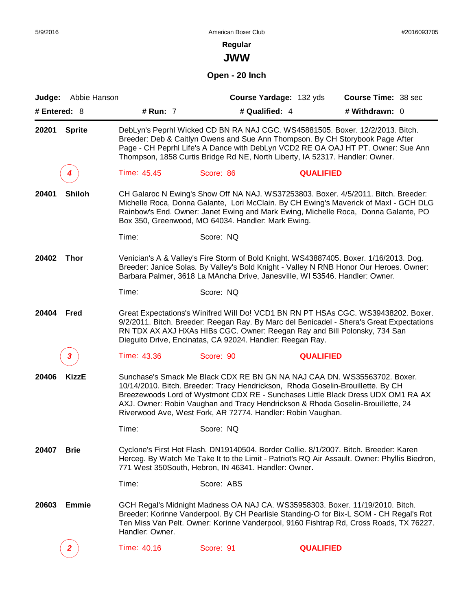**JWW**

## **Open - 20 Inch**

|              | Judge: Abbie Hanson |                 | Course Yardage: 132 yds                                     | Course Time: 38 sec                                                                                                                                                                                                                                                                                                                |  |
|--------------|---------------------|-----------------|-------------------------------------------------------------|------------------------------------------------------------------------------------------------------------------------------------------------------------------------------------------------------------------------------------------------------------------------------------------------------------------------------------|--|
| # Entered: 8 |                     | # Run: 7        | # Qualified: 4                                              | # Withdrawn: 0                                                                                                                                                                                                                                                                                                                     |  |
| 20201        | <b>Sprite</b>       |                 |                                                             | DebLyn's Peprhl Wicked CD BN RA NAJ CGC. WS45881505. Boxer. 12/2/2013. Bitch.<br>Breeder: Deb & Caitlyn Owens and Sue Ann Thompson. By CH Storybook Page After<br>Page - CH Peprhl Life's A Dance with DebLyn VCD2 RE OA OAJ HT PT. Owner: Sue Ann<br>Thompson, 1858 Curtis Bridge Rd NE, North Liberty, IA 52317. Handler: Owner. |  |
|              | 4                   | Time: 45.45     | Score: 86                                                   | <b>QUALIFIED</b>                                                                                                                                                                                                                                                                                                                   |  |
| 20401        | <b>Shiloh</b>       |                 | Box 350, Greenwood, MO 64034. Handler: Mark Ewing.          | CH Galaroc N Ewing's Show Off NA NAJ. WS37253803. Boxer. 4/5/2011. Bitch. Breeder:<br>Michelle Roca, Donna Galante, Lori McClain. By CH Ewing's Maverick of Maxl - GCH DLG<br>Rainbow's End. Owner: Janet Ewing and Mark Ewing, Michelle Roca, Donna Galante, PO                                                                   |  |
|              |                     | Time:           | Score: NQ                                                   |                                                                                                                                                                                                                                                                                                                                    |  |
| 20402        | <b>Thor</b>         |                 |                                                             | Venician's A & Valley's Fire Storm of Bold Knight. WS43887405. Boxer. 1/16/2013. Dog.<br>Breeder: Janice Solas. By Valley's Bold Knight - Valley N RNB Honor Our Heroes. Owner:<br>Barbara Palmer, 3618 La MAncha Drive, Janesville, WI 53546. Handler: Owner.                                                                     |  |
|              |                     | Time:           | Score: NQ                                                   |                                                                                                                                                                                                                                                                                                                                    |  |
| 20404        | Fred                |                 | Dieguito Drive, Encinatas, CA 92024. Handler: Reegan Ray.   | Great Expectations's Winifred Will Do! VCD1 BN RN PT HSAs CGC. WS39438202. Boxer.<br>9/2/2011. Bitch. Breeder: Reegan Ray. By Marc del Benicadel - Shera's Great Expectations<br>RN TDX AX AXJ HXAs HIBs CGC. Owner: Reegan Ray and Bill Polonsky, 734 San                                                                         |  |
|              | 3                   | Time: 43.36     | Score: 90                                                   | <b>QUALIFIED</b>                                                                                                                                                                                                                                                                                                                   |  |
| 20406        | <b>KizzE</b>        |                 | Riverwood Ave, West Fork, AR 72774. Handler: Robin Vaughan. | Sunchase's Smack Me Black CDX RE BN GN NA NAJ CAA DN. WS35563702. Boxer.<br>10/14/2010. Bitch. Breeder: Tracy Hendrickson, Rhoda Goselin-Brouillette. By CH<br>Breezewoods Lord of Wystmont CDX RE - Sunchases Little Black Dress UDX OM1 RA AX<br>AXJ. Owner: Robin Vaughan and Tracy Hendrickson & Rhoda Goselin-Brouillette, 24 |  |
|              |                     | Time:           | Score: NQ                                                   |                                                                                                                                                                                                                                                                                                                                    |  |
| 20407        | <b>Brie</b>         |                 | 771 West 350South, Hebron, IN 46341. Handler: Owner.        | Cyclone's First Hot Flash. DN19140504. Border Collie. 8/1/2007. Bitch. Breeder: Karen<br>Herceg. By Watch Me Take It to the Limit - Patriot's RQ Air Assault. Owner: Phyllis Biedron,                                                                                                                                              |  |
|              |                     | Time:           | Score: ABS                                                  |                                                                                                                                                                                                                                                                                                                                    |  |
| 20603        | <b>Emmie</b>        | Handler: Owner. |                                                             | GCH Regal's Midnight Madness OA NAJ CA. WS35958303. Boxer. 11/19/2010. Bitch.<br>Breeder: Korinne Vanderpool. By CH Pearlisle Standing-O for Bix-L SOM - CH Regal's Rot<br>Ten Miss Van Pelt. Owner: Korinne Vanderpool, 9160 Fishtrap Rd, Cross Roads, TX 76227.                                                                  |  |
|              | $\overline{2}$      | Time: 40.16     | Score: 91                                                   | <b>QUALIFIED</b>                                                                                                                                                                                                                                                                                                                   |  |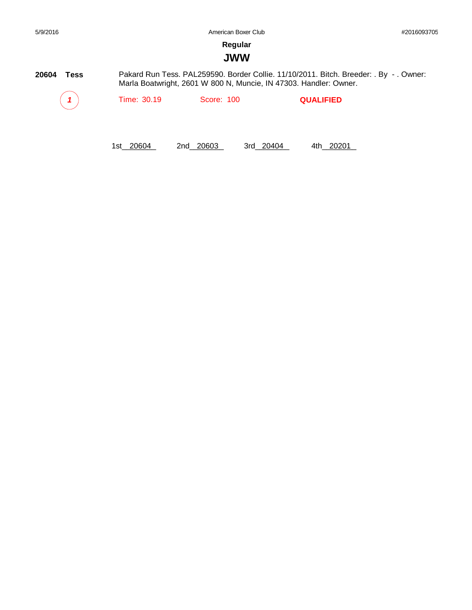## **JWW**

**20604 Tess** *1* Time: 30.19 Score: 100 **QUALIFIED** Pakard Run Tess. PAL259590. Border Collie. 11/10/2011. Bitch. Breeder: . By - . Owner: Marla Boatwright, 2601 W 800 N, Muncie, IN 47303. Handler: Owner.

1st\_20604 2nd\_20603 3rd\_20404 4th\_20201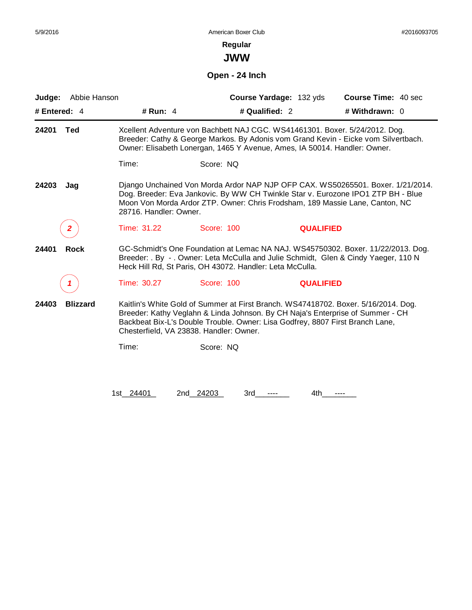# **Regular**

**JWW**

**Open - 24 Inch**

| # Qualified: 2<br># Withdrawn: 0<br># Entered: 4<br># Run: $4$<br>24201<br><b>Ted</b><br>Xcellent Adventure von Bachbett NAJ CGC. WS41461301. Boxer. 5/24/2012. Dog.<br>Breeder: Cathy & George Markos. By Adonis vom Grand Kevin - Eicke vom Silvertbach.<br>Owner: Elisabeth Lonergan, 1465 Y Avenue, Ames, IA 50014. Handler: Owner.<br>Time:<br>Score: NQ<br>Django Unchained Von Morda Ardor NAP NJP OFP CAX. WS50265501. Boxer. 1/21/2014.<br>24203<br>Jag<br>Dog. Breeder: Eva Jankovic. By WW CH Twinkle Star v. Eurozone IPO1 ZTP BH - Blue<br>Moon Von Morda Ardor ZTP. Owner: Chris Frodsham, 189 Massie Lane, Canton, NC<br>28716. Handler: Owner. |  |
|----------------------------------------------------------------------------------------------------------------------------------------------------------------------------------------------------------------------------------------------------------------------------------------------------------------------------------------------------------------------------------------------------------------------------------------------------------------------------------------------------------------------------------------------------------------------------------------------------------------------------------------------------------------|--|
|                                                                                                                                                                                                                                                                                                                                                                                                                                                                                                                                                                                                                                                                |  |
|                                                                                                                                                                                                                                                                                                                                                                                                                                                                                                                                                                                                                                                                |  |
|                                                                                                                                                                                                                                                                                                                                                                                                                                                                                                                                                                                                                                                                |  |
|                                                                                                                                                                                                                                                                                                                                                                                                                                                                                                                                                                                                                                                                |  |
| Time: 31.22<br>Score: 100<br><b>QUALIFIED</b><br>$\mathbf{2}$                                                                                                                                                                                                                                                                                                                                                                                                                                                                                                                                                                                                  |  |
| 24401<br><b>Rock</b><br>GC-Schmidt's One Foundation at Lemac NA NAJ. WS45750302. Boxer. 11/22/2013. Dog.<br>Breeder: . By - . Owner: Leta McCulla and Julie Schmidt, Glen & Cindy Yaeger, 110 N<br>Heck Hill Rd, St Paris, OH 43072. Handler: Leta McCulla.                                                                                                                                                                                                                                                                                                                                                                                                    |  |
| Time: 30.27<br>Score: 100<br><b>QUALIFIED</b>                                                                                                                                                                                                                                                                                                                                                                                                                                                                                                                                                                                                                  |  |
| Kaitlin's White Gold of Summer at First Branch. WS47418702. Boxer. 5/16/2014. Dog.<br><b>Blizzard</b><br>24403<br>Breeder: Kathy Veglahn & Linda Johnson. By CH Naja's Enterprise of Summer - CH<br>Backbeat Bix-L's Double Trouble. Owner: Lisa Godfrey, 8807 First Branch Lane,<br>Chesterfield, VA 23838. Handler: Owner.                                                                                                                                                                                                                                                                                                                                   |  |
| Time:<br>Score: NQ                                                                                                                                                                                                                                                                                                                                                                                                                                                                                                                                                                                                                                             |  |
| 1st 24401<br>2nd 24203<br>3rd<br>4th.                                                                                                                                                                                                                                                                                                                                                                                                                                                                                                                                                                                                                          |  |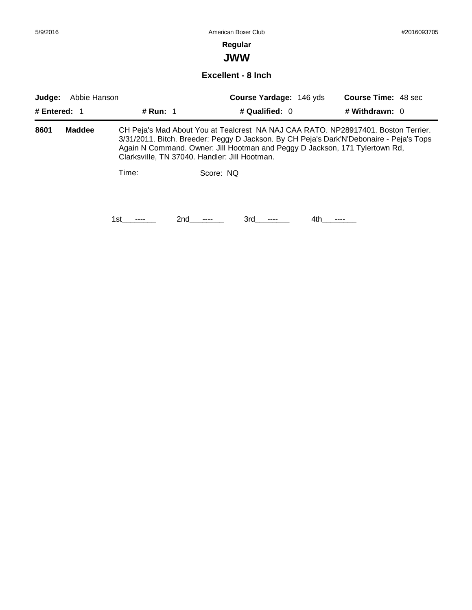## **Regular**

**JWW**

### **Excellent - 8 Inch**

| Judge: | Abbie Hanson  |                                               |           | <b>Course Yardage: 146 yds</b>                                                                                                                                                                                                                              |      | <b>Course Time: 48 sec</b> |  |
|--------|---------------|-----------------------------------------------|-----------|-------------------------------------------------------------------------------------------------------------------------------------------------------------------------------------------------------------------------------------------------------------|------|----------------------------|--|
|        | # Entered: 1  | # Run: 1                                      |           | # Qualified: 0                                                                                                                                                                                                                                              |      | # Withdrawn: 0             |  |
| 8601   | <b>Maddee</b> | Clarksville, TN 37040. Handler: Jill Hootman. |           | CH Peja's Mad About You at Tealcrest NA NAJ CAA RATO. NP28917401. Boston Terrier.<br>3/31/2011. Bitch. Breeder: Peggy D Jackson. By CH Peja's Dark'N'Debonaire - Peja's Tops<br>Again N Command. Owner: Jill Hootman and Peggy D Jackson, 171 Tylertown Rd, |      |                            |  |
|        |               | Time:                                         | Score: NO |                                                                                                                                                                                                                                                             |      |                            |  |
|        |               | 1st.                                          | 2nd       | 3rd                                                                                                                                                                                                                                                         | 4th. |                            |  |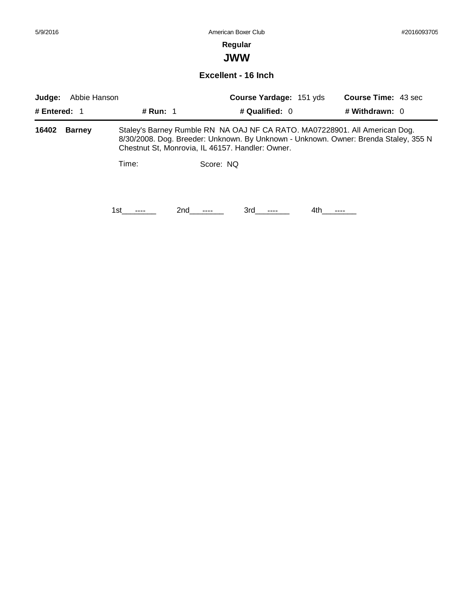## **Regular**

**JWW**

### **Excellent - 16 Inch**

| Abbie Hanson<br>Judge:<br># Entered: $1$<br># Run: 1 |               |                                                  | <b>Course Yardage: 151 yds</b><br># Qualified: $0$ |     |  | <b>Course Time: 43 sec</b><br># Withdrawn: 0 |                                                                                                                                                                   |  |
|------------------------------------------------------|---------------|--------------------------------------------------|----------------------------------------------------|-----|--|----------------------------------------------|-------------------------------------------------------------------------------------------------------------------------------------------------------------------|--|
|                                                      |               |                                                  |                                                    |     |  |                                              |                                                                                                                                                                   |  |
| 16402                                                | <b>Barney</b> | Chestnut St, Monrovia, IL 46157. Handler: Owner. |                                                    |     |  |                                              | Staley's Barney Rumble RN NA OAJ NF CA RATO. MA07228901. All American Dog.<br>8/30/2008. Dog. Breeder: Unknown. By Unknown - Unknown. Owner: Brenda Staley, 355 N |  |
|                                                      |               | Time:                                            | Score: NQ                                          |     |  |                                              |                                                                                                                                                                   |  |
|                                                      |               | 1st                                              | 2nd                                                | 3rd |  | 4th.                                         |                                                                                                                                                                   |  |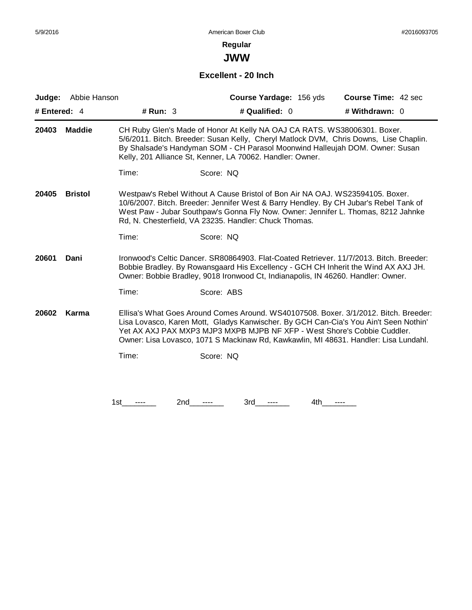**JWW**

## **Excellent - 20 Inch**

| Judge:                                                                                                                                                                                                                                                                                                                                                             | Abbie Hanson   |                                                                                                                                        |                | Course Yardage: 156 yds | Course Time: 42 sec                                                                                                                                                        |
|--------------------------------------------------------------------------------------------------------------------------------------------------------------------------------------------------------------------------------------------------------------------------------------------------------------------------------------------------------------------|----------------|----------------------------------------------------------------------------------------------------------------------------------------|----------------|-------------------------|----------------------------------------------------------------------------------------------------------------------------------------------------------------------------|
| # Entered: 4                                                                                                                                                                                                                                                                                                                                                       |                | # Run: $3$                                                                                                                             | # Qualified: 0 |                         | # Withdrawn: 0                                                                                                                                                             |
| 20403                                                                                                                                                                                                                                                                                                                                                              | <b>Maddie</b>  | CH Ruby Glen's Made of Honor At Kelly NA OAJ CA RATS. WS38006301. Boxer.<br>Kelly, 201 Alliance St, Kenner, LA 70062. Handler: Owner.  |                |                         | 5/6/2011. Bitch. Breeder: Susan Kelly, Cheryl Matlock DVM, Chris Downs, Lise Chaplin.<br>By Shalsade's Handyman SOM - CH Parasol Moonwind Halleujah DOM. Owner: Susan      |
|                                                                                                                                                                                                                                                                                                                                                                    |                | Time:                                                                                                                                  | Score: NQ      |                         |                                                                                                                                                                            |
| 20405                                                                                                                                                                                                                                                                                                                                                              | <b>Bristol</b> | Westpaw's Rebel Without A Cause Bristol of Bon Air NA OAJ. WS23594105. Boxer.<br>Rd, N. Chesterfield, VA 23235. Handler: Chuck Thomas. |                |                         | 10/6/2007. Bitch. Breeder: Jennifer West & Barry Hendley. By CH Jubar's Rebel Tank of<br>West Paw - Jubar Southpaw's Gonna Fly Now. Owner: Jennifer L. Thomas, 8212 Jahnke |
|                                                                                                                                                                                                                                                                                                                                                                    |                | Time:                                                                                                                                  | Score: NQ      |                         |                                                                                                                                                                            |
| Ironwood's Celtic Dancer, SR80864903, Flat-Coated Retriever, 11/7/2013, Bitch, Breeder;<br>20601<br>Dani<br>Bobbie Bradley. By Rowansgaard His Excellency - GCH CH Inherit the Wind AX AXJ JH.<br>Owner: Bobbie Bradley, 9018 Ironwood Ct, Indianapolis, IN 46260. Handler: Owner.                                                                                 |                |                                                                                                                                        |                |                         |                                                                                                                                                                            |
|                                                                                                                                                                                                                                                                                                                                                                    |                | Time:                                                                                                                                  | Score: ABS     |                         |                                                                                                                                                                            |
| Ellisa's What Goes Around Comes Around. WS40107508. Boxer. 3/1/2012. Bitch. Breeder:<br>Karma<br>20602<br>Lisa Lovasco, Karen Mott, Gladys Kanwischer. By GCH Can-Cia's You Ain't Seen Nothin'<br>Yet AX AXJ PAX MXP3 MJP3 MXPB MJPB NF XFP - West Shore's Cobbie Cuddler.<br>Owner: Lisa Lovasco, 1071 S Mackinaw Rd, Kawkawlin, MI 48631. Handler: Lisa Lundahl. |                |                                                                                                                                        |                |                         |                                                                                                                                                                            |
|                                                                                                                                                                                                                                                                                                                                                                    |                | Time:                                                                                                                                  | Score: NQ      |                         |                                                                                                                                                                            |
|                                                                                                                                                                                                                                                                                                                                                                    |                |                                                                                                                                        |                |                         |                                                                                                                                                                            |
|                                                                                                                                                                                                                                                                                                                                                                    |                | 1st<br>2nd                                                                                                                             | 3rd            | 4th<br>----             |                                                                                                                                                                            |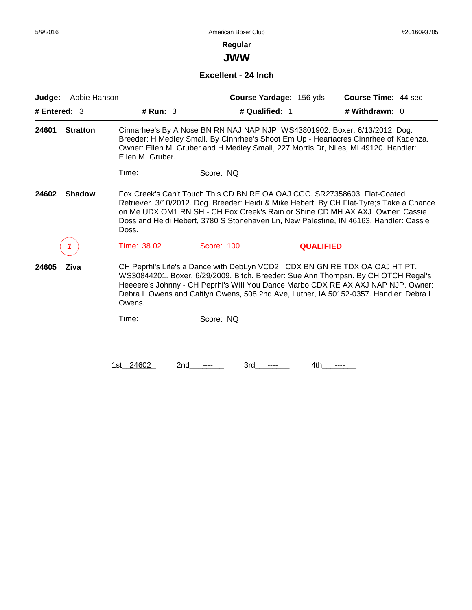**JWW**

#### **Excellent - 24 Inch**

| Judge:         | Abbie Hanson    |                  |                                                                           | Course Yardage: 156 yds | Course Time: 44 sec                                                                                                                                                                                                                                                                                                                           |
|----------------|-----------------|------------------|---------------------------------------------------------------------------|-------------------------|-----------------------------------------------------------------------------------------------------------------------------------------------------------------------------------------------------------------------------------------------------------------------------------------------------------------------------------------------|
| # Entered: $3$ |                 | # $Run: 3$       | # Qualified: 1                                                            |                         | # Withdrawn: 0                                                                                                                                                                                                                                                                                                                                |
| 24601          | <b>Stratton</b> | Ellen M. Gruber. |                                                                           |                         | Cinnarhee's By A Nose BN RN NAJ NAP NJP. WS43801902. Boxer. 6/13/2012. Dog.<br>Breeder: H Medley Small. By Cinnrhee's Shoot Em Up - Heartacres Cinnrhee of Kadenza.<br>Owner: Ellen M. Gruber and H Medley Small, 227 Morris Dr, Niles, MI 49120. Handler:                                                                                    |
|                |                 | Time:            | Score: NQ                                                                 |                         |                                                                                                                                                                                                                                                                                                                                               |
| 24602          | <b>Shadow</b>   | Doss.            | Fox Creek's Can't Touch This CD BN RE OA OAJ CGC, SR27358603, Flat-Coated |                         | Retriever. 3/10/2012. Dog. Breeder: Heidi & Mike Hebert. By CH Flat-Tyre; sTake a Chance<br>on Me UDX OM1 RN SH - CH Fox Creek's Rain or Shine CD MH AX AXJ. Owner: Cassie<br>Doss and Heidi Hebert, 3780 S Stonehaven Ln, New Palestine, IN 46163. Handler: Cassie                                                                           |
|                |                 | Time: 38.02      | Score: 100                                                                | <b>QUALIFIED</b>        |                                                                                                                                                                                                                                                                                                                                               |
| 24605          | Ziva            | Owens.           |                                                                           |                         | CH Peprhl's Life's a Dance with DebLyn VCD2 CDX BN GN RE TDX OA OAJ HT PT.<br>WS30844201. Boxer. 6/29/2009. Bitch. Breeder: Sue Ann Thompsn. By CH OTCH Regal's<br>Heeeere's Johnny - CH Peprhl's Will You Dance Marbo CDX RE AX AXJ NAP NJP. Owner:<br>Debra L Owens and Caitlyn Owens, 508 2nd Ave, Luther, IA 50152-0357. Handler: Debra L |
|                |                 | Time:            | Score: NQ                                                                 |                         |                                                                                                                                                                                                                                                                                                                                               |
|                |                 |                  |                                                                           |                         |                                                                                                                                                                                                                                                                                                                                               |
|                |                 | 1st 24602<br>2nd | 3rd                                                                       | 4th                     |                                                                                                                                                                                                                                                                                                                                               |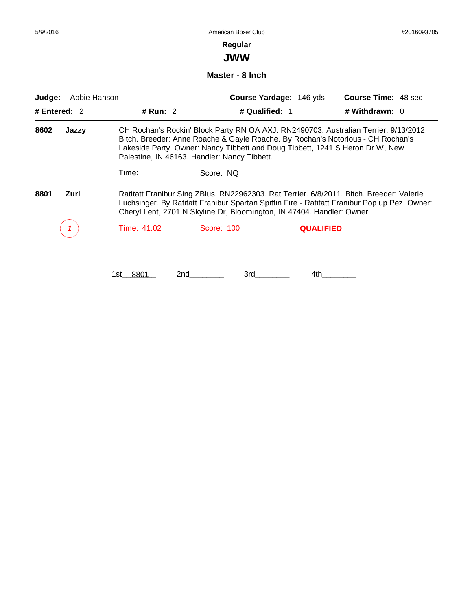**JWW**

#### **Master - 8 Inch**

| Abbie Hanson<br>Judge: |       |                                                                                                                                                                                                                                                                    |                                                                                                                                                                                                                  | Course Yardage: 146 yds | <b>Course Time: 48 sec</b>                                                           |  |  |
|------------------------|-------|--------------------------------------------------------------------------------------------------------------------------------------------------------------------------------------------------------------------------------------------------------------------|------------------------------------------------------------------------------------------------------------------------------------------------------------------------------------------------------------------|-------------------------|--------------------------------------------------------------------------------------|--|--|
| # Entered: $2$         |       | # $Run: 2$                                                                                                                                                                                                                                                         |                                                                                                                                                                                                                  | # Qualified: 1          | # Withdrawn: 0                                                                       |  |  |
| 8602                   | Jazzy |                                                                                                                                                                                                                                                                    | Bitch. Breeder: Anne Roache & Gayle Roache. By Rochan's Notorious - CH Rochan's<br>Lakeside Party. Owner: Nancy Tibbett and Doug Tibbett, 1241 S Heron Dr W, New<br>Palestine, IN 46163. Handler: Nancy Tibbett. |                         | CH Rochan's Rockin' Block Party RN OA AXJ. RN2490703. Australian Terrier. 9/13/2012. |  |  |
|                        |       | Time:                                                                                                                                                                                                                                                              | Score: NQ                                                                                                                                                                                                        |                         |                                                                                      |  |  |
| 8801                   | Zuri  | Ratitatt Franibur Sing ZBlus. RN22962303. Rat Terrier. 6/8/2011. Bitch. Breeder: Valerie<br>Luchsinger. By Ratitatt Franibur Spartan Spittin Fire - Ratitatt Franibur Pop up Pez. Owner:<br>Cheryl Lent, 2701 N Skyline Dr, Bloomington, IN 47404. Handler: Owner. |                                                                                                                                                                                                                  |                         |                                                                                      |  |  |
|                        |       | Time: 41.02                                                                                                                                                                                                                                                        | Score: 100                                                                                                                                                                                                       | <b>QUALIFIED</b>        |                                                                                      |  |  |
|                        |       |                                                                                                                                                                                                                                                                    |                                                                                                                                                                                                                  |                         |                                                                                      |  |  |

1st\_\_\_\_\_\_\_\_ 8801 2nd\_\_\_\_\_\_\_\_ ---- 3rd\_\_\_\_\_\_\_\_ ---- 4th\_\_\_\_\_\_\_\_ ----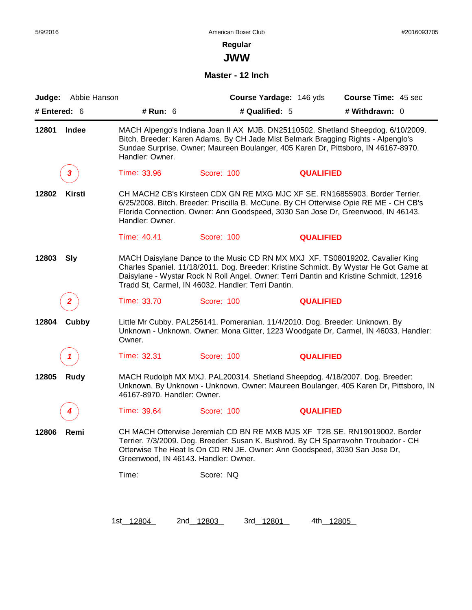**JWW**

#### **Master - 12 Inch**

| Judge:         | Abbie Hanson  |                                      |                                                                              | Course Yardage: 146 yds | <b>Course Time: 45 sec</b>                                                                                                                                                                                                                                     |
|----------------|---------------|--------------------------------------|------------------------------------------------------------------------------|-------------------------|----------------------------------------------------------------------------------------------------------------------------------------------------------------------------------------------------------------------------------------------------------------|
| # Entered: $6$ |               | # Run: 6                             | # Qualified: 5                                                               |                         | # Withdrawn: 0                                                                                                                                                                                                                                                 |
| 12801          | Indee         | Handler: Owner.                      |                                                                              |                         | MACH Alpengo's Indiana Joan II AX MJB. DN25110502. Shetland Sheepdog. 6/10/2009.<br>Bitch. Breeder: Karen Adams. By CH Jade Mist Belmark Bragging Rights - Alpenglo's<br>Sundae Surprise. Owner: Maureen Boulanger, 405 Karen Dr, Pittsboro, IN 46167-8970.    |
|                | 3             | Time: 33.96                          | Score: 100                                                                   | <b>QUALIFIED</b>        |                                                                                                                                                                                                                                                                |
| 12802          | <b>Kirsti</b> | Handler: Owner.                      |                                                                              |                         | CH MACH2 CB's Kirsteen CDX GN RE MXG MJC XF SE. RN16855903. Border Terrier.<br>6/25/2008. Bitch. Breeder: Priscilla B. McCune. By CH Otterwise Opie RE ME - CH CB's<br>Florida Connection. Owner: Ann Goodspeed, 3030 San Jose Dr, Greenwood, IN 46143.        |
|                |               | Time: 40.41                          | Score: 100                                                                   | <b>QUALIFIED</b>        |                                                                                                                                                                                                                                                                |
| 12803          | <b>Sly</b>    |                                      | Tradd St, Carmel, IN 46032. Handler: Terri Dantin.                           |                         | MACH Daisylane Dance to the Music CD RN MX MXJ XF. TS08019202. Cavalier King<br>Charles Spaniel. 11/18/2011. Dog. Breeder: Kristine Schmidt. By Wystar He Got Game at<br>Daisylane - Wystar Rock N Roll Angel. Owner: Terri Dantin and Kristine Schmidt, 12916 |
|                |               | Time: 33.70                          | Score: 100                                                                   | <b>QUALIFIED</b>        |                                                                                                                                                                                                                                                                |
| 12804          | Cubby         | Owner.                               | Little Mr Cubby. PAL256141. Pomeranian. 11/4/2010. Dog. Breeder: Unknown. By |                         | Unknown - Unknown. Owner: Mona Gitter, 1223 Woodgate Dr, Carmel, IN 46033. Handler:                                                                                                                                                                            |
|                |               | Time: 32.31                          | Score: 100                                                                   | <b>QUALIFIED</b>        |                                                                                                                                                                                                                                                                |
| 12805          | Rudy          | 46167-8970. Handler: Owner.          |                                                                              |                         | MACH Rudolph MX MXJ. PAL200314. Shetland Sheepdog. 4/18/2007. Dog. Breeder:<br>Unknown. By Unknown - Unknown. Owner: Maureen Boulanger, 405 Karen Dr, Pittsboro, IN                                                                                            |
|                |               | Time: 39.64                          | Score: 100                                                                   | <b>QUALIFIED</b>        |                                                                                                                                                                                                                                                                |
| 12806          | Remi          | Greenwood, IN 46143. Handler: Owner. | Otterwise The Heat Is On CD RN JE. Owner: Ann Goodspeed, 3030 San Jose Dr,   |                         | CH MACH Otterwise Jeremiah CD BN RE MXB MJS XF T2B SE. RN19019002. Border<br>Terrier. 7/3/2009. Dog. Breeder: Susan K. Bushrod. By CH Sparravohn Troubador - CH                                                                                                |
|                |               | Time:                                | Score: NQ                                                                    |                         |                                                                                                                                                                                                                                                                |
|                |               |                                      |                                                                              |                         |                                                                                                                                                                                                                                                                |
|                |               | 1st_12804                            | 2nd 12803<br>3rd 12801                                                       | 4th 12805               |                                                                                                                                                                                                                                                                |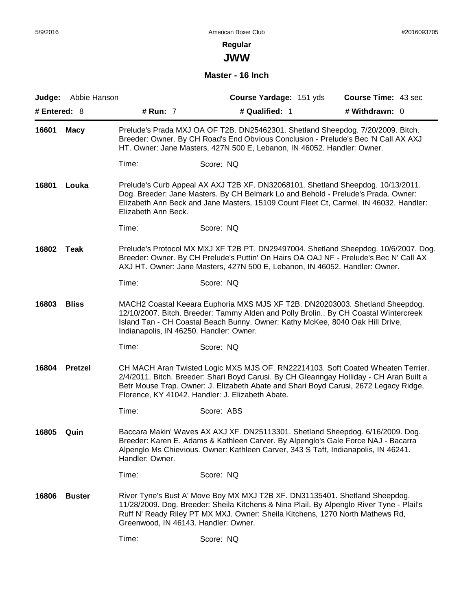**JWW**

## **Master - 16 Inch**

| Judge:         | Abbie Hanson   |                                         | Course Yardage: 151 yds                                                                                                                                                                                                                                                                                                | Course Time: 43 sec |
|----------------|----------------|-----------------------------------------|------------------------------------------------------------------------------------------------------------------------------------------------------------------------------------------------------------------------------------------------------------------------------------------------------------------------|---------------------|
| # Entered: $8$ |                | # Run: 7                                | # Qualified: 1                                                                                                                                                                                                                                                                                                         | # Withdrawn: 0      |
| 16601          | <b>Macy</b>    |                                         | Prelude's Prada MXJ OA OF T2B. DN25462301. Shetland Sheepdog. 7/20/2009. Bitch.<br>Breeder: Owner. By CH Road's End Obvious Conclusion - Prelude's Bec 'N Call AX AXJ<br>HT. Owner: Jane Masters, 427N 500 E, Lebanon, IN 46052. Handler: Owner.                                                                       |                     |
|                |                | Time:                                   | Score: NQ                                                                                                                                                                                                                                                                                                              |                     |
| 16801          | Louka          | Elizabeth Ann Beck.                     | Prelude's Curb Appeal AX AXJ T2B XF. DN32068101. Shetland Sheepdog. 10/13/2011.<br>Dog. Breeder: Jane Masters. By CH Belmark Lo and Behold - Prelude's Prada. Owner:<br>Elizabeth Ann Beck and Jane Masters, 15109 Count Fleet Ct, Carmel, IN 46032. Handler:                                                          |                     |
|                |                | Time:                                   | Score: NQ                                                                                                                                                                                                                                                                                                              |                     |
| 16802          | Teak           |                                         | Prelude's Protocol MX MXJ XF T2B PT. DN29497004. Shetland Sheepdog. 10/6/2007. Dog.<br>Breeder: Owner. By CH Prelude's Puttin' On Hairs OA OAJ NF - Prelude's Bec N' Call AX<br>AXJ HT. Owner: Jane Masters, 427N 500 E, Lebanon, IN 46052. Handler: Owner.                                                            |                     |
|                |                | Time:                                   | Score: NQ                                                                                                                                                                                                                                                                                                              |                     |
| 16803          | <b>Bliss</b>   | Indianapolis, IN 46250. Handler: Owner. | MACH2 Coastal Keeara Euphoria MXS MJS XF T2B. DN20203003. Shetland Sheepdog.<br>12/10/2007. Bitch. Breeder: Tammy Alden and Polly Brolin By CH Coastal Wintercreek<br>Island Tan - CH Coastal Beach Bunny. Owner: Kathy McKee, 8040 Oak Hill Drive,                                                                    |                     |
|                |                | Time:                                   | Score: NQ                                                                                                                                                                                                                                                                                                              |                     |
| 16804          | <b>Pretzel</b> |                                         | CH MACH Aran Twisted Logic MXS MJS OF. RN22214103. Soft Coated Wheaten Terrier.<br>2/4/2011. Bitch. Breeder: Shari Boyd Carusi. By CH Gleanngay Holliday - CH Aran Built a<br>Betr Mouse Trap. Owner: J. Elizabeth Abate and Shari Boyd Carusi, 2672 Legacy Ridge,<br>Florence, KY 41042. Handler: J. Elizabeth Abate. |                     |
|                |                | Time:                                   | Score: ABS                                                                                                                                                                                                                                                                                                             |                     |
| 16805          | Quin           | Handler: Owner.                         | Baccara Makin' Waves AX AXJ XF. DN25113301. Shetland Sheepdog. 6/16/2009. Dog.<br>Breeder: Karen E. Adams & Kathleen Carver. By Alpenglo's Gale Force NAJ - Bacarra<br>Alpenglo Ms Chievious. Owner: Kathleen Carver, 343 S Taft, Indianapolis, IN 46241.                                                              |                     |
|                |                | Time:                                   | Score: NQ                                                                                                                                                                                                                                                                                                              |                     |
| 16806          | <b>Buster</b>  | Greenwood, IN 46143. Handler: Owner.    | River Tyne's Bust A' Move Boy MX MXJ T2B XF. DN31135401. Shetland Sheepdog.<br>11/28/2009. Dog. Breeder: Sheila Kitchens & Nina Plail. By Alpenglo River Tyne - Plail's<br>Ruff N' Ready Riley PT MX MXJ. Owner: Sheila Kitchens, 1270 North Mathews Rd,                                                               |                     |
|                |                | Time:                                   | Score: NQ                                                                                                                                                                                                                                                                                                              |                     |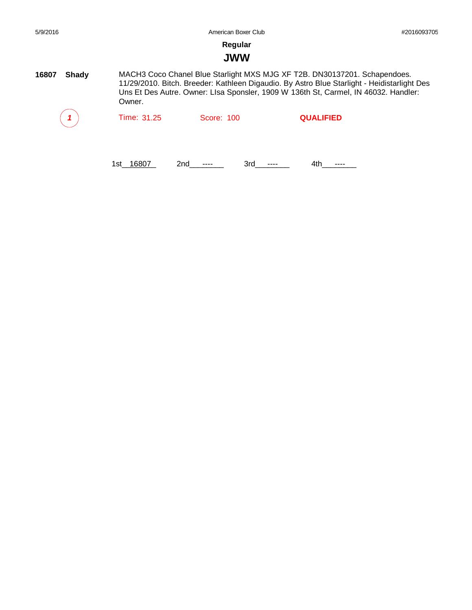## **JWW**

**16807 Shady** MACH3 Coco Chanel Blue Starlight MXS MJG XF T2B. DN30137201. Schapendoes. 11/29/2010. Bitch. Breeder: Kathleen Digaudio. By Astro Blue Starlight - Heidistarlight Des Uns Et Des Autre. Owner: LIsa Sponsler, 1909 W 136th St, Carmel, IN 46032. Handler: Owner.

| $\mathbf{1}$ | Time: 31.25 | Score: 100 | <b>QUALIFIED</b> |  |
|--------------|-------------|------------|------------------|--|
|              |             |            |                  |  |

1st\_16807 2nd\_\_\_\_\_\_ 3rd\_\_\_\_\_ 4th\_\_\_\_\_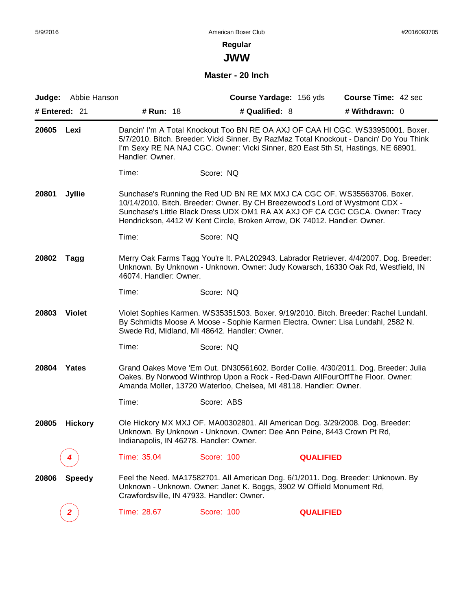**JWW**

### **Master - 20 Inch**

|       | Judge: Abbie Hanson |                                           | Course Yardage: 156 yds                                                                                                                                                                                                                                                                                              |                  | <b>Course Time: 42 sec</b> |
|-------|---------------------|-------------------------------------------|----------------------------------------------------------------------------------------------------------------------------------------------------------------------------------------------------------------------------------------------------------------------------------------------------------------------|------------------|----------------------------|
|       | # Entered: 21       | # Run: 18                                 | # Qualified: 8                                                                                                                                                                                                                                                                                                       |                  | # Withdrawn: 0             |
| 20605 | Lexi                | Handler: Owner.                           | Dancin' I'm A Total Knockout Too BN RE OA AXJ OF CAA HI CGC. WS33950001. Boxer.<br>5/7/2010. Bitch. Breeder: Vicki Sinner. By RazMaz Total Knockout - Dancin' Do You Think<br>I'm Sexy RE NA NAJ CGC. Owner: Vicki Sinner, 820 East 5th St, Hastings, NE 68901.                                                      |                  |                            |
|       |                     | Time:                                     | Score: NQ                                                                                                                                                                                                                                                                                                            |                  |                            |
| 20801 | <b>Jyllie</b>       |                                           | Sunchase's Running the Red UD BN RE MX MXJ CA CGC OF. WS35563706. Boxer.<br>10/14/2010. Bitch. Breeder: Owner. By CH Breezewood's Lord of Wystmont CDX -<br>Sunchase's Little Black Dress UDX OM1 RA AX AXJ OF CA CGC CGCA. Owner: Tracy<br>Hendrickson, 4412 W Kent Circle, Broken Arrow, OK 74012. Handler: Owner. |                  |                            |
|       |                     | Time:                                     | Score: NQ                                                                                                                                                                                                                                                                                                            |                  |                            |
| 20802 | Tagg                | 46074. Handler: Owner.                    | Merry Oak Farms Tagg You're It. PAL202943. Labrador Retriever. 4/4/2007. Dog. Breeder:<br>Unknown. By Unknown - Unknown. Owner: Judy Kowarsch, 16330 Oak Rd, Westfield, IN                                                                                                                                           |                  |                            |
|       |                     | Time:                                     | Score: NQ                                                                                                                                                                                                                                                                                                            |                  |                            |
| 20803 | <b>Violet</b>       |                                           | Violet Sophies Karmen. WS35351503. Boxer. 9/19/2010. Bitch. Breeder: Rachel Lundahl.<br>By Schmidts Moose A Moose - Sophie Karmen Electra. Owner: Lisa Lundahl, 2582 N.<br>Swede Rd, Midland, MI 48642. Handler: Owner.                                                                                              |                  |                            |
|       |                     | Time:                                     | Score: NQ                                                                                                                                                                                                                                                                                                            |                  |                            |
| 20804 | Yates               |                                           | Grand Oakes Move 'Em Out. DN30561602. Border Collie. 4/30/2011. Dog. Breeder: Julia<br>Oakes. By Norwood Winthrop Upon a Rock - Red-Dawn AllFourOffThe Floor. Owner:<br>Amanda Moller, 13720 Waterloo, Chelsea, MI 48118. Handler: Owner.                                                                            |                  |                            |
|       |                     | Time:                                     | Score: ABS                                                                                                                                                                                                                                                                                                           |                  |                            |
| 20805 | <b>Hickory</b>      | Indianapolis, IN 46278. Handler: Owner.   | Ole Hickory MX MXJ OF. MA00302801. All American Dog. 3/29/2008. Dog. Breeder:<br>Unknown. By Unknown - Unknown. Owner: Dee Ann Peine, 8443 Crown Pt Rd,                                                                                                                                                              |                  |                            |
|       |                     | Time: 35.04                               | <b>Score: 100</b>                                                                                                                                                                                                                                                                                                    | <b>QUALIFIED</b> |                            |
| 20806 | <b>Speedy</b>       | Crawfordsville, IN 47933. Handler: Owner. | Feel the Need. MA17582701. All American Dog. 6/1/2011. Dog. Breeder: Unknown. By<br>Unknown - Unknown. Owner: Janet K. Boggs, 3902 W Offield Monument Rd,                                                                                                                                                            |                  |                            |
|       | $\mathbf{z}$        | Time: 28.67                               | <b>Score: 100</b>                                                                                                                                                                                                                                                                                                    | <b>QUALIFIED</b> |                            |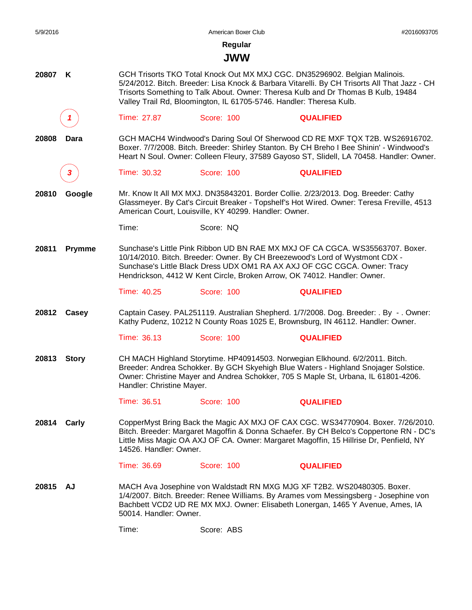| Regular<br><b>JWW</b><br>GCH Trisorts TKO Total Knock Out MX MXJ CGC. DN35296902. Belgian Malinois.<br>20807<br>K<br>5/24/2012. Bitch. Breeder: Lisa Knock & Barbara Vitarelli. By CH Trisorts All That Jazz - CH<br>Trisorts Something to Talk About. Owner: Theresa Kulb and Dr Thomas B Kulb, 19484<br>Valley Trail Rd, Bloomington, IL 61705-5746. Handler: Theresa Kulb.<br>Time: 27.87<br>Score: 100<br><b>QUALIFIED</b><br>GCH MACH4 Windwood's Daring Soul Of Sherwood CD RE MXF TQX T2B. WS26916702.<br>20808<br>Dara<br>Boxer. 7/7/2008. Bitch. Breeder: Shirley Stanton. By CH Breho I Bee Shinin' - Windwood's<br>Heart N Soul. Owner: Colleen Fleury, 37589 Gayoso ST, Slidell, LA 70458. Handler: Owner.<br>Time: 30.32<br>Score: 100<br><b>QUALIFIED</b><br>Mr. Know It All MX MXJ. DN35843201. Border Collie. 2/23/2013. Dog. Breeder: Cathy<br>20810<br>Google<br>Glassmeyer. By Cat's Circuit Breaker - Topshelf's Hot Wired. Owner: Teresa Freville, 4513<br>American Court, Louisville, KY 40299. Handler: Owner.<br>Time:<br>Score: NQ<br>Sunchase's Little Pink Ribbon UD BN RAE MX MXJ OF CA CGCA, WS35563707, Boxer.<br>20811<br><b>Prymme</b> |  |
|------------------------------------------------------------------------------------------------------------------------------------------------------------------------------------------------------------------------------------------------------------------------------------------------------------------------------------------------------------------------------------------------------------------------------------------------------------------------------------------------------------------------------------------------------------------------------------------------------------------------------------------------------------------------------------------------------------------------------------------------------------------------------------------------------------------------------------------------------------------------------------------------------------------------------------------------------------------------------------------------------------------------------------------------------------------------------------------------------------------------------------------------------------------------|--|
|                                                                                                                                                                                                                                                                                                                                                                                                                                                                                                                                                                                                                                                                                                                                                                                                                                                                                                                                                                                                                                                                                                                                                                        |  |
|                                                                                                                                                                                                                                                                                                                                                                                                                                                                                                                                                                                                                                                                                                                                                                                                                                                                                                                                                                                                                                                                                                                                                                        |  |
|                                                                                                                                                                                                                                                                                                                                                                                                                                                                                                                                                                                                                                                                                                                                                                                                                                                                                                                                                                                                                                                                                                                                                                        |  |
|                                                                                                                                                                                                                                                                                                                                                                                                                                                                                                                                                                                                                                                                                                                                                                                                                                                                                                                                                                                                                                                                                                                                                                        |  |
|                                                                                                                                                                                                                                                                                                                                                                                                                                                                                                                                                                                                                                                                                                                                                                                                                                                                                                                                                                                                                                                                                                                                                                        |  |
|                                                                                                                                                                                                                                                                                                                                                                                                                                                                                                                                                                                                                                                                                                                                                                                                                                                                                                                                                                                                                                                                                                                                                                        |  |
|                                                                                                                                                                                                                                                                                                                                                                                                                                                                                                                                                                                                                                                                                                                                                                                                                                                                                                                                                                                                                                                                                                                                                                        |  |
|                                                                                                                                                                                                                                                                                                                                                                                                                                                                                                                                                                                                                                                                                                                                                                                                                                                                                                                                                                                                                                                                                                                                                                        |  |
| 10/14/2010. Bitch. Breeder: Owner. By CH Breezewood's Lord of Wystmont CDX -<br>Sunchase's Little Black Dress UDX OM1 RA AX AXJ OF CGC CGCA. Owner: Tracy<br>Hendrickson, 4412 W Kent Circle, Broken Arrow, OK 74012. Handler: Owner.                                                                                                                                                                                                                                                                                                                                                                                                                                                                                                                                                                                                                                                                                                                                                                                                                                                                                                                                  |  |
| Time: 40.25<br>Score: 100<br><b>QUALIFIED</b>                                                                                                                                                                                                                                                                                                                                                                                                                                                                                                                                                                                                                                                                                                                                                                                                                                                                                                                                                                                                                                                                                                                          |  |
| Captain Casey. PAL251119. Australian Shepherd. 1/7/2008. Dog. Breeder: . By -. Owner:<br>20812<br>Casey<br>Kathy Pudenz, 10212 N County Roas 1025 E, Brownsburg, IN 46112. Handler: Owner.                                                                                                                                                                                                                                                                                                                                                                                                                                                                                                                                                                                                                                                                                                                                                                                                                                                                                                                                                                             |  |
| Time: 36.13<br>Score: 100<br><b>QUALIFIED</b>                                                                                                                                                                                                                                                                                                                                                                                                                                                                                                                                                                                                                                                                                                                                                                                                                                                                                                                                                                                                                                                                                                                          |  |
| CH MACH Highland Storytime. HP40914503. Norwegian Elkhound. 6/2/2011. Bitch.<br>20813<br><b>Story</b><br>Breeder: Andrea Schokker. By GCH Skyehigh Blue Waters - Highland Snojager Solstice.<br>Owner: Christine Mayer and Andrea Schokker, 705 S Maple St, Urbana, IL 61801-4206.<br>Handler: Christine Mayer.                                                                                                                                                                                                                                                                                                                                                                                                                                                                                                                                                                                                                                                                                                                                                                                                                                                        |  |
| Time: 36.51<br>Score: 100<br><b>QUALIFIED</b>                                                                                                                                                                                                                                                                                                                                                                                                                                                                                                                                                                                                                                                                                                                                                                                                                                                                                                                                                                                                                                                                                                                          |  |
| CopperMyst Bring Back the Magic AX MXJ OF CAX CGC. WS34770904. Boxer. 7/26/2010.<br>20814 Carly<br>Bitch. Breeder: Margaret Magoffin & Donna Schaefer. By CH Belco's Coppertone RN - DC's<br>Little Miss Magic OA AXJ OF CA. Owner: Margaret Magoffin, 15 Hillrise Dr, Penfield, NY<br>14526. Handler: Owner.                                                                                                                                                                                                                                                                                                                                                                                                                                                                                                                                                                                                                                                                                                                                                                                                                                                          |  |
| Time: 36.69<br>Score: 100<br><b>QUALIFIED</b>                                                                                                                                                                                                                                                                                                                                                                                                                                                                                                                                                                                                                                                                                                                                                                                                                                                                                                                                                                                                                                                                                                                          |  |
| MACH Ava Josephine von Waldstadt RN MXG MJG XF T2B2. WS20480305. Boxer.<br>20815 AJ<br>1/4/2007. Bitch. Breeder: Renee Williams. By Arames vom Messingsberg - Josephine von<br>Bachbett VCD2 UD RE MX MXJ. Owner: Elisabeth Lonergan, 1465 Y Avenue, Ames, IA<br>50014. Handler: Owner.                                                                                                                                                                                                                                                                                                                                                                                                                                                                                                                                                                                                                                                                                                                                                                                                                                                                                |  |
| Time:<br>Score: ABS                                                                                                                                                                                                                                                                                                                                                                                                                                                                                                                                                                                                                                                                                                                                                                                                                                                                                                                                                                                                                                                                                                                                                    |  |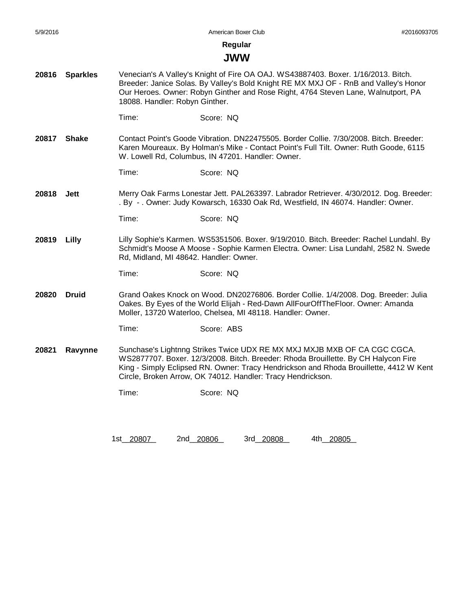#### **JWW**

- **20816 Sparkles** Venecian's A Valley's Knight of Fire OA OAJ. WS43887403. Boxer. 1/16/2013. Bitch. Breeder: Janice Solas. By Valley's Bold Knight RE MX MXJ OF - RnB and Valley's Honor Our Heroes. Owner: Robyn Ginther and Rose Right, 4764 Steven Lane, Walnutport, PA 18088. Handler: Robyn Ginther.
	- Time: Score: NQ
- **20817 Shake** Contact Point's Goode Vibration. DN22475505. Border Collie. 7/30/2008. Bitch. Breeder: Karen Moureaux. By Holman's Mike - Contact Point's Full Tilt. Owner: Ruth Goode, 6115 W. Lowell Rd, Columbus, IN 47201. Handler: Owner.
	- Time: Score: NQ
- **20818 Jett** Merry Oak Farms Lonestar Jett. PAL263397. Labrador Retriever. 4/30/2012. Dog. Breeder: . By - . Owner: Judy Kowarsch, 16330 Oak Rd, Westfield, IN 46074. Handler: Owner.
	- Time: Score: NQ
- **20819 Lilly** Lilly Sophie's Karmen. WS5351506. Boxer. 9/19/2010. Bitch. Breeder: Rachel Lundahl. By Schmidt's Moose A Moose - Sophie Karmen Electra. Owner: Lisa Lundahl, 2582 N. Swede Rd, Midland, MI 48642. Handler: Owner.
	- Time: Score: NQ
- **20820 Druid** Grand Oakes Knock on Wood. DN20276806. Border Collie. 1/4/2008. Dog. Breeder: Julia Oakes. By Eyes of the World Elijah - Red-Dawn AllFourOffTheFloor. Owner: Amanda Moller, 13720 Waterloo, Chelsea, MI 48118. Handler: Owner.
	- Time: Score: ABS
- **20821 Ravynne** Sunchase's Lightnng Strikes Twice UDX RE MX MXJ MXJB MXB OF CA CGC CGCA. WS2877707. Boxer. 12/3/2008. Bitch. Breeder: Rhoda Brouillette. By CH Halycon Fire King - Simply Eclipsed RN. Owner: Tracy Hendrickson and Rhoda Brouillette, 4412 W Kent Circle, Broken Arrow, OK 74012. Handler: Tracy Hendrickson.
	- Time: Score: NQ

1st 20807 2nd 20806 3rd 20808 4th 20805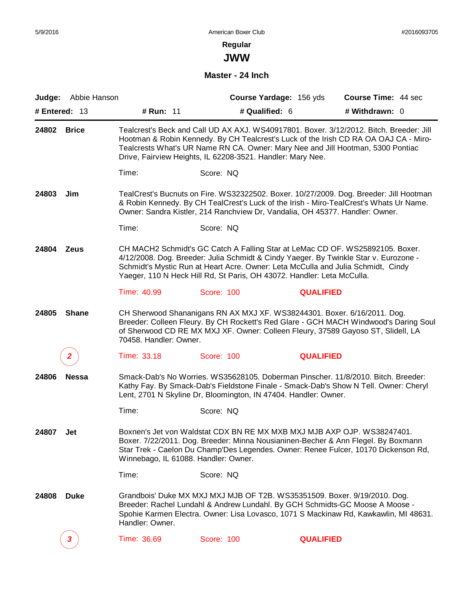**JWW**

#### **Master - 24 Inch**

|       | Judge: Abbie Hanson<br># Entered: 13 | # Run: 11                            | Course Yardage: 156 yds<br># Qualified: 6                                                                                                                                                                                                                                                                                           | Course Time: 44 sec<br># Withdrawn: 0 |  |
|-------|--------------------------------------|--------------------------------------|-------------------------------------------------------------------------------------------------------------------------------------------------------------------------------------------------------------------------------------------------------------------------------------------------------------------------------------|---------------------------------------|--|
| 24802 | Brice                                |                                      | Tealcrest's Beck and Call UD AX AXJ. WS40917801. Boxer. 3/12/2012. Bitch. Breeder: Jill<br>Hootman & Robin Kennedy. By CH Tealcrest's Luck of the Irish CD RA OA OAJ CA - Miro-<br>Tealcrests What's UR Name RN CA. Owner: Mary Nee and Jill Hootman, 5300 Pontiac<br>Drive, Fairview Heights, IL 62208-3521. Handler: Mary Nee.    |                                       |  |
|       |                                      | Time:                                | Score: NQ                                                                                                                                                                                                                                                                                                                           |                                       |  |
| 24803 | Jim                                  |                                      | TealCrest's Bucnuts on Fire. WS32322502. Boxer. 10/27/2009. Dog. Breeder: Jill Hootman<br>& Robin Kennedy. By CH TealCrest's Luck of the Irish - Miro-TealCrest's Whats Ur Name.<br>Owner: Sandra Kistler, 214 Ranchview Dr, Vandalia, OH 45377. Handler: Owner.                                                                    |                                       |  |
|       |                                      | Time:                                | Score: NQ                                                                                                                                                                                                                                                                                                                           |                                       |  |
| 24804 | <b>Zeus</b>                          |                                      | CH MACH2 Schmidt's GC Catch A Falling Star at LeMac CD OF. WS25892105. Boxer.<br>4/12/2008. Dog. Breeder: Julia Schmidt & Cindy Yaeger. By Twinkle Star v. Eurozone -<br>Schmidt's Mystic Run at Heart Acre. Owner: Leta McCulla and Julia Schmidt, Cindy<br>Yaeger, 110 N Heck Hill Rd, St Paris, OH 43072. Handler: Leta McCulla. |                                       |  |
|       |                                      | Time: 40.99                          | Score: 100                                                                                                                                                                                                                                                                                                                          | <b>QUALIFIED</b>                      |  |
| 24805 | <b>Shane</b>                         | 70458. Handler: Owner.               | CH Sherwood Shananigans RN AX MXJ XF. WS38244301. Boxer. 6/16/2011. Dog.<br>Breeder: Colleen Fleury. By CH Rockett's Red Glare - GCH MACH Windwood's Daring Soul<br>of Sherwood CD RE MX MXJ XF. Owner: Colleen Fleury, 37589 Gayoso ST, Slidell, LA                                                                                |                                       |  |
|       | $\mathbf{2}$                         | Time: 33.18                          | Score: 100                                                                                                                                                                                                                                                                                                                          | <b>QUALIFIED</b>                      |  |
| 24806 | <b>Nessa</b>                         |                                      | Smack-Dab's No Worries. WS35628105. Doberman Pinscher. 11/8/2010. Bitch. Breeder:<br>Kathy Fay. By Smack-Dab's Fieldstone Finale - Smack-Dab's Show N Tell. Owner: Cheryl<br>Lent, 2701 N Skyline Dr, Bloomington, IN 47404. Handler: Owner.                                                                                        |                                       |  |
|       |                                      | Time:                                | Score: NQ                                                                                                                                                                                                                                                                                                                           |                                       |  |
| 24807 | Jet                                  | Winnebago, IL 61088. Handler: Owner. | Boxnen's Jet von Waldstat CDX BN RE MX MXB MXJ MJB AXP OJP. WS38247401.<br>Boxer. 7/22/2011. Dog. Breeder: Minna Nousianinen-Becher & Ann Flegel. By Boxmann<br>Star Trek - Caelon Du Champ'Des Legendes. Owner: Renee Fulcer, 10170 Dickenson Rd,                                                                                  |                                       |  |
|       |                                      | Time:                                | Score: NQ                                                                                                                                                                                                                                                                                                                           |                                       |  |
| 24808 | <b>Duke</b>                          | Handler: Owner.                      | Grandbois' Duke MX MXJ MXJ MJB OF T2B. WS35351509. Boxer. 9/19/2010. Dog.<br>Breeder: Rachel Lundahl & Andrew Lundahl. By GCH Schmidts-GC Moose A Moose -<br>Spohie Karmen Electra. Owner: Lisa Lovasco, 1071 S Mackinaw Rd, Kawkawlin, MI 48631.                                                                                   |                                       |  |
|       | 3                                    | Time: 36.69                          | <b>Score: 100</b>                                                                                                                                                                                                                                                                                                                   | <b>QUALIFIED</b>                      |  |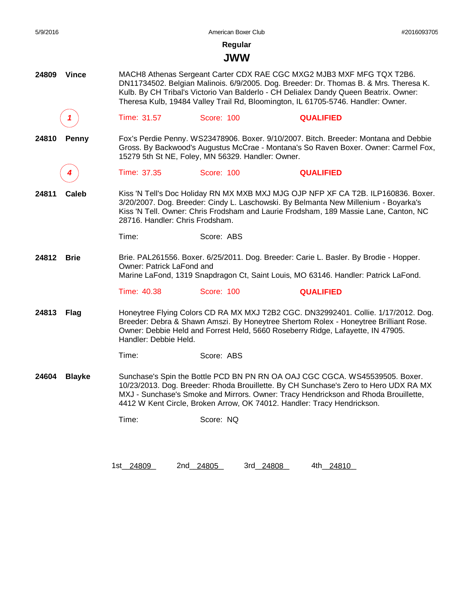| 5/9/2016 |               |                                 | American Boxer Club                               |                                                                                                                                                                                                                                                                                                                                            | #2016093705 |
|----------|---------------|---------------------------------|---------------------------------------------------|--------------------------------------------------------------------------------------------------------------------------------------------------------------------------------------------------------------------------------------------------------------------------------------------------------------------------------------------|-------------|
|          |               |                                 | Regular                                           |                                                                                                                                                                                                                                                                                                                                            |             |
|          |               |                                 | <b>JWW</b>                                        |                                                                                                                                                                                                                                                                                                                                            |             |
| 24809    | <b>Vince</b>  |                                 |                                                   | MACH8 Athenas Sergeant Carter CDX RAE CGC MXG2 MJB3 MXF MFG TQX T2B6.<br>DN11734502. Belgian Malinois. 6/9/2005. Dog. Breeder: Dr. Thomas B. & Mrs. Theresa K.<br>Kulb. By CH Tribal's Victorio Van Balderlo - CH Delialex Dandy Queen Beatrix. Owner:<br>Theresa Kulb, 19484 Valley Trail Rd, Bloomington, IL 61705-5746. Handler: Owner. |             |
|          |               | Time: 31.57                     | Score: 100                                        | <b>QUALIFIED</b>                                                                                                                                                                                                                                                                                                                           |             |
| 24810    | <b>Penny</b>  |                                 | 15279 5th St NE, Foley, MN 56329. Handler: Owner. | Fox's Perdie Penny. WS23478906. Boxer. 9/10/2007. Bitch. Breeder: Montana and Debbie<br>Gross. By Backwood's Augustus McCrae - Montana's So Raven Boxer. Owner: Carmel Fox,                                                                                                                                                                |             |
|          |               | Time: 37.35                     | Score: 100                                        | <b>QUALIFIED</b>                                                                                                                                                                                                                                                                                                                           |             |
| 24811    | Caleb         | 28716. Handler: Chris Frodsham. |                                                   | Kiss 'N Tell's Doc Holiday RN MX MXB MXJ MJG OJP NFP XF CA T2B. ILP160836. Boxer.<br>3/20/2007. Dog. Breeder: Cindy L. Laschowski. By Belmanta New Millenium - Boyarka's<br>Kiss 'N Tell. Owner: Chris Frodsham and Laurie Frodsham, 189 Massie Lane, Canton, NC                                                                           |             |
|          |               | Time:                           | Score: ABS                                        |                                                                                                                                                                                                                                                                                                                                            |             |
| 24812    | <b>Brie</b>   | Owner: Patrick LaFond and       |                                                   | Brie. PAL261556. Boxer. 6/25/2011. Dog. Breeder: Carie L. Basler. By Brodie - Hopper.<br>Marine LaFond, 1319 Snapdragon Ct, Saint Louis, MO 63146. Handler: Patrick LaFond.                                                                                                                                                                |             |
|          |               | Time: 40.38                     | Score: 100                                        | <b>QUALIFIED</b>                                                                                                                                                                                                                                                                                                                           |             |
| 24813    | Flag          | Handler: Debbie Held.           |                                                   | Honeytree Flying Colors CD RA MX MXJ T2B2 CGC. DN32992401. Collie. 1/17/2012. Dog.<br>Breeder: Debra & Shawn Amszi. By Honeytree Shertom Rolex - Honeytree Brilliant Rose.<br>Owner: Debbie Held and Forrest Held, 5660 Roseberry Ridge, Lafayette, IN 47905.                                                                              |             |
|          |               | Time:                           | Score: ABS                                        |                                                                                                                                                                                                                                                                                                                                            |             |
| 24604    | <b>Blayke</b> |                                 |                                                   | Sunchase's Spin the Bottle PCD BN PN RN OA OAJ CGC CGCA. WS45539505. Boxer.<br>10/23/2013. Dog. Breeder: Rhoda Brouillette. By CH Sunchase's Zero to Hero UDX RA MX<br>MXJ - Sunchase's Smoke and Mirrors. Owner: Tracy Hendrickson and Rhoda Brouillette,<br>4412 W Kent Circle, Broken Arrow, OK 74012. Handler: Tracy Hendrickson.      |             |
|          |               | Time:                           | Score: NQ                                         |                                                                                                                                                                                                                                                                                                                                            |             |
|          |               |                                 |                                                   |                                                                                                                                                                                                                                                                                                                                            |             |
|          |               |                                 |                                                   |                                                                                                                                                                                                                                                                                                                                            |             |

1st\_\_\_\_\_\_\_\_ 24809 2nd\_\_\_\_\_\_\_\_ 24805 3rd\_\_\_\_\_\_\_\_ 24808 4th\_\_\_\_\_\_\_\_ 24810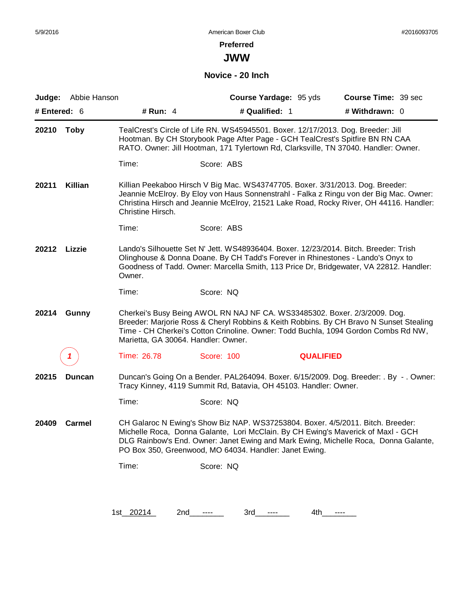**JWW**

#### **Novice - 20 Inch**

| Judge:       | Abbie Hanson |                                     |                                                                                                                                                                                                                                                          | Course Yardage: 95 yds | Course Time: 39 sec                                                                                                                                                              |
|--------------|--------------|-------------------------------------|----------------------------------------------------------------------------------------------------------------------------------------------------------------------------------------------------------------------------------------------------------|------------------------|----------------------------------------------------------------------------------------------------------------------------------------------------------------------------------|
| # Entered: 6 |              | # Run: 4                            | # Qualified: 1                                                                                                                                                                                                                                           |                        | # Withdrawn: 0                                                                                                                                                                   |
| 20210        | Toby         |                                     | TealCrest's Circle of Life RN. WS45945501. Boxer. 12/17/2013. Dog. Breeder: Jill<br>Hootman. By CH Storybook Page After Page - GCH TealCrest's Spitfire BN RN CAA<br>RATO. Owner: Jill Hootman, 171 Tylertown Rd, Clarksville, TN 37040. Handler: Owner. |                        |                                                                                                                                                                                  |
|              |              | Time:                               | Score: ABS                                                                                                                                                                                                                                               |                        |                                                                                                                                                                                  |
| 20211        | Killian      | Christine Hirsch.                   | Killian Peekaboo Hirsch V Big Mac. WS43747705. Boxer. 3/31/2013. Dog. Breeder:                                                                                                                                                                           |                        | Jeannie McElroy. By Eloy von Haus Sonnenstrahl - Falka z Ringu von der Big Mac. Owner:<br>Christina Hirsch and Jeannie McElroy, 21521 Lake Road, Rocky River, OH 44116. Handler: |
|              |              | Time:                               | Score: ABS                                                                                                                                                                                                                                               |                        |                                                                                                                                                                                  |
| 20212        | Lizzie       | Owner.                              | Lando's Silhouette Set N' Jett. WS48936404. Boxer. 12/23/2014. Bitch. Breeder: Trish<br>Olinghouse & Donna Doane. By CH Tadd's Forever in Rhinestones - Lando's Onyx to                                                                                  |                        | Goodness of Tadd. Owner: Marcella Smith, 113 Price Dr, Bridgewater, VA 22812. Handler:                                                                                           |
|              |              | Time:                               | Score: NQ                                                                                                                                                                                                                                                |                        |                                                                                                                                                                                  |
| 20214        | <b>Gunny</b> | Marietta, GA 30064. Handler: Owner. | Cherkei's Busy Being AWOL RN NAJ NF CA. WS33485302. Boxer. 2/3/2009. Dog.                                                                                                                                                                                |                        | Breeder: Marjorie Ross & Cheryl Robbins & Keith Robbins. By CH Bravo N Sunset Stealing<br>Time - CH Cherkei's Cotton Crinoline. Owner: Todd Buchla, 1094 Gordon Combs Rd NW,     |
|              |              | Time: 26.78                         | Score: 100                                                                                                                                                                                                                                               | <b>QUALIFIED</b>       |                                                                                                                                                                                  |
| 20215        | Duncan       |                                     | Tracy Kinney, 4119 Summit Rd, Batavia, OH 45103. Handler: Owner.                                                                                                                                                                                         |                        | Duncan's Going On a Bender. PAL264094. Boxer. 6/15/2009. Dog. Breeder: . By -. Owner:                                                                                            |
|              |              | Time:                               | Score: NQ                                                                                                                                                                                                                                                |                        |                                                                                                                                                                                  |
| 20409        | Carmel       |                                     | CH Galaroc N Ewing's Show Biz NAP. WS37253804. Boxer. 4/5/2011. Bitch. Breeder:<br>Michelle Roca, Donna Galante, Lori McClain. By CH Ewing's Maverick of Maxl - GCH<br>PO Box 350, Greenwood, MO 64034. Handler: Janet Ewing.                            |                        | DLG Rainbow's End. Owner: Janet Ewing and Mark Ewing, Michelle Roca, Donna Galante,                                                                                              |
|              |              | Time:                               | Score: NQ                                                                                                                                                                                                                                                |                        |                                                                                                                                                                                  |
|              |              |                                     |                                                                                                                                                                                                                                                          |                        |                                                                                                                                                                                  |
|              |              | 1st_20214_                          | 2nd________<br>3rd________                                                                                                                                                                                                                               | 4th a                  |                                                                                                                                                                                  |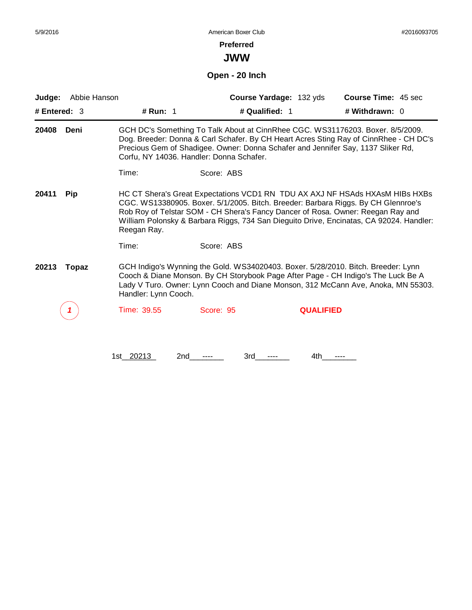#### **Preferred**

**JWW**

**Open - 20 Inch**

| Judge:         | Abbie Hanson |                                          | Course Yardage: 132 yds                                                                                                                                                                                                                                                                                                                         |                  | Course Time: 45 sec |  |
|----------------|--------------|------------------------------------------|-------------------------------------------------------------------------------------------------------------------------------------------------------------------------------------------------------------------------------------------------------------------------------------------------------------------------------------------------|------------------|---------------------|--|
| # Entered: $3$ |              | # Run: 1                                 | # Qualified: 1                                                                                                                                                                                                                                                                                                                                  |                  | # Withdrawn: 0      |  |
| 20408          | Deni         | Corfu, NY 14036. Handler: Donna Schafer. | GCH DC's Something To Talk About at CinnRhee CGC. WS31176203. Boxer. 8/5/2009.<br>Dog. Breeder: Donna & Carl Schafer. By CH Heart Acres Sting Ray of CinnRhee - CH DC's<br>Precious Gem of Shadigee. Owner: Donna Schafer and Jennifer Say, 1137 Sliker Rd,                                                                                     |                  |                     |  |
|                |              | Time:                                    | Score: ABS                                                                                                                                                                                                                                                                                                                                      |                  |                     |  |
| 20411          | Pip          | Reegan Ray.                              | HC CT Shera's Great Expectations VCD1 RN TDU AX AXJ NF HSAds HXAsM HIBs HXBs<br>CGC. WS13380905. Boxer. 5/1/2005. Bitch. Breeder: Barbara Riggs. By CH Glennroe's<br>Rob Roy of Telstar SOM - CH Shera's Fancy Dancer of Rosa. Owner: Reegan Ray and<br>William Polonsky & Barbara Riggs, 734 San Dieguito Drive, Encinatas, CA 92024. Handler: |                  |                     |  |
|                |              | Time:                                    | Score: ABS                                                                                                                                                                                                                                                                                                                                      |                  |                     |  |
| 20213          | Topaz        | Handler: Lynn Cooch.                     | GCH Indigo's Wynning the Gold. WS34020403. Boxer. 5/28/2010. Bitch. Breeder: Lynn<br>Cooch & Diane Monson. By CH Storybook Page After Page - CH Indigo's The Luck Be A<br>Lady V Turo. Owner: Lynn Cooch and Diane Monson, 312 McCann Ave, Anoka, MN 55303.                                                                                     |                  |                     |  |
|                |              | Time: 39.55                              | Score: 95                                                                                                                                                                                                                                                                                                                                       | <b>QUALIFIED</b> |                     |  |
|                |              | 1st 20213<br>2nd                         | 3rd                                                                                                                                                                                                                                                                                                                                             | 4th              |                     |  |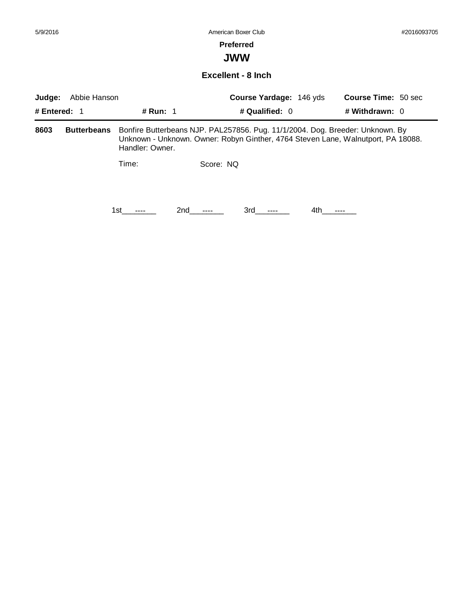#### **Preferred**

**JWW**

#### **Excellent - 8 Inch**

| Abbie Hanson<br>Judge:<br># Entered: $1$<br><b># Run: 1</b> |                    | Course Yardage: 146 yds | <b>Course Time: 50 sec</b>                                                    |                                                                                  |
|-------------------------------------------------------------|--------------------|-------------------------|-------------------------------------------------------------------------------|----------------------------------------------------------------------------------|
|                                                             |                    |                         | # Qualified: $0$                                                              | # Withdrawn: 0                                                                   |
| 8603                                                        | <b>Butterbeans</b> | Handler: Owner.         | Bonfire Butterbeans NJP. PAL257856. Pug. 11/1/2004. Dog. Breeder: Unknown. By | Unknown - Unknown. Owner: Robyn Ginther, 4764 Steven Lane, Walnutport, PA 18088. |
|                                                             |                    | Time:                   | Score: NO                                                                     |                                                                                  |
|                                                             |                    | 2nd<br>1st.             | 3rd<br>$\cdots$                                                               | 4th.                                                                             |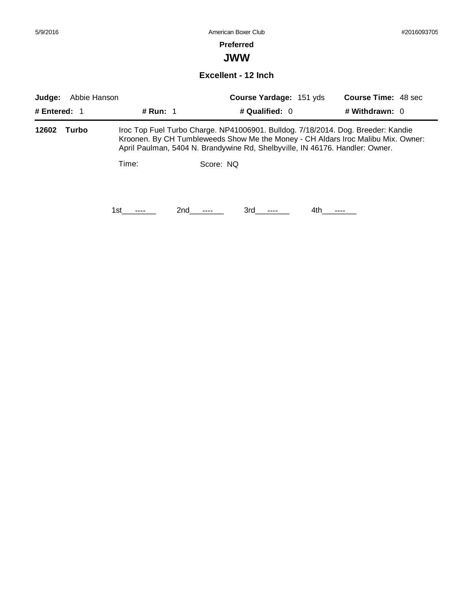#### **Preferred**

**JWW**

**Excellent - 12 Inch**

| Abbie Hanson<br>Judge:<br># Entered: $1$<br># Run: $1$ |       |       | Course Yardage: 151 yds |                                                                                                                                                                                                                                                      | <b>Course Time: 48 sec</b> |                  |  |
|--------------------------------------------------------|-------|-------|-------------------------|------------------------------------------------------------------------------------------------------------------------------------------------------------------------------------------------------------------------------------------------------|----------------------------|------------------|--|
|                                                        |       |       |                         | # Qualified: 0                                                                                                                                                                                                                                       |                            | # Withdrawn: $0$ |  |
| 12602                                                  | Turbo |       |                         | Iroc Top Fuel Turbo Charge. NP41006901. Bulldog. 7/18/2014. Dog. Breeder: Kandie<br>Kroonen. By CH Tumbleweeds Show Me the Money - CH Aldars Iroc Malibu Mix. Owner:<br>April Paulman, 5404 N. Brandywine Rd, Shelbyville, IN 46176. Handler: Owner. |                            |                  |  |
|                                                        |       | Time: | Score: NQ               |                                                                                                                                                                                                                                                      |                            |                  |  |
|                                                        |       | 1st   | 2nd                     | 3rd                                                                                                                                                                                                                                                  | 4th                        |                  |  |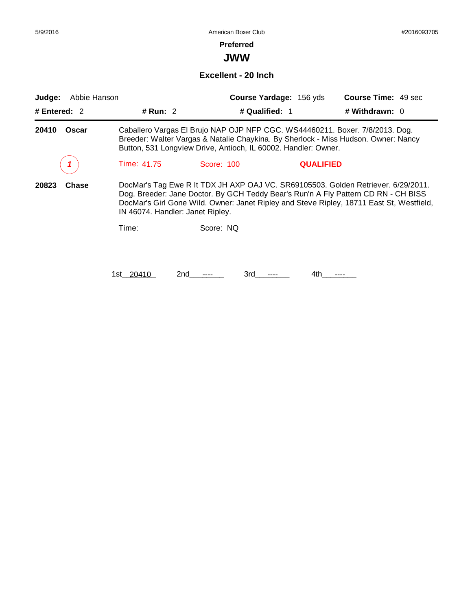## **Preferred**

**JWW**

#### **Excellent - 20 Inch**

| Abbie Hanson<br>Judge: |                                  |                                                                                                                                                | Course Yardage: 156 yds | <b>Course Time: 49 sec</b>                                                                                                                                                                                                                                          |
|------------------------|----------------------------------|------------------------------------------------------------------------------------------------------------------------------------------------|-------------------------|---------------------------------------------------------------------------------------------------------------------------------------------------------------------------------------------------------------------------------------------------------------------|
| # Entered: 2           | # Run: $2$                       |                                                                                                                                                | # Qualified: 1          | # Withdrawn: 0                                                                                                                                                                                                                                                      |
| 20410<br>Oscar         |                                  | Caballero Vargas El Brujo NAP OJP NFP CGC. WS44460211. Boxer. 7/8/2013. Dog.<br>Button, 531 Longview Drive, Antioch, IL 60002. Handler: Owner. |                         | Breeder: Walter Vargas & Natalie Chaykina. By Sherlock - Miss Hudson. Owner: Nancy                                                                                                                                                                                  |
|                        | Time: 41.75                      | Score: 100                                                                                                                                     | <b>QUALIFIED</b>        |                                                                                                                                                                                                                                                                     |
| 20823<br><b>Chase</b>  | IN 46074. Handler: Janet Ripley. |                                                                                                                                                |                         | DocMar's Tag Ewe R It TDX JH AXP OAJ VC. SR69105503. Golden Retriever. 6/29/2011.<br>Dog. Breeder: Jane Doctor. By GCH Teddy Bear's Run'n A Fly Pattern CD RN - CH BISS<br>DocMar's Girl Gone Wild. Owner: Janet Ripley and Steve Ripley, 18711 East St, Westfield, |
|                        | Time:                            | Score: NQ                                                                                                                                      |                         |                                                                                                                                                                                                                                                                     |
|                        | 1st__20410                       | 2nd<br>3rd                                                                                                                                     | 4th.                    |                                                                                                                                                                                                                                                                     |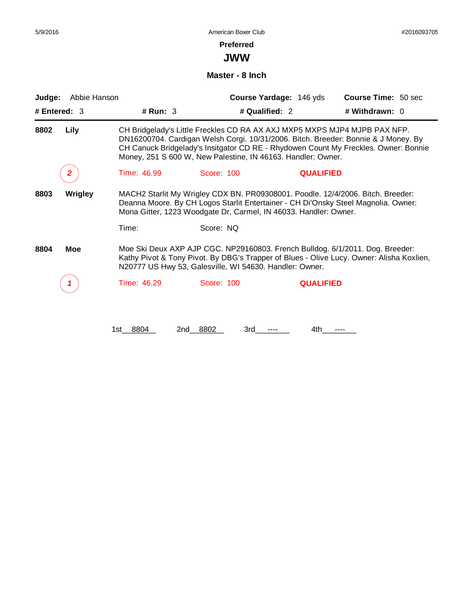**JWW**

#### **Master - 8 Inch**

| Judge: | Abbie Hanson   |             |                                                                                                                                                                                                                                           | Course Yardage: 146 yds | Course Time: 50 sec                                                                                                                                                       |  |
|--------|----------------|-------------|-------------------------------------------------------------------------------------------------------------------------------------------------------------------------------------------------------------------------------------------|-------------------------|---------------------------------------------------------------------------------------------------------------------------------------------------------------------------|--|
|        | # Entered: $3$ | # Run: $3$  | # Qualified: 2                                                                                                                                                                                                                            |                         | # Withdrawn: 0                                                                                                                                                            |  |
| 8802   | Lily           |             | CH Bridgelady's Little Freckles CD RA AX AXJ MXP5 MXPS MJP4 MJPB PAX NFP.<br>Money, 251 S 600 W, New Palestine, IN 46163. Handler: Owner.                                                                                                 |                         | DN16200704. Cardigan Welsh Corgi. 10/31/2006. Bitch. Breeder: Bonnie & J Money. By<br>CH Canuck Bridgelady's Insitgator CD RE - Rhydowen Count My Freckles. Owner: Bonnie |  |
|        |                | Time: 46.99 | <b>Score: 100</b>                                                                                                                                                                                                                         | <b>QUALIFIED</b>        |                                                                                                                                                                           |  |
| 8803   | <b>Wrigley</b> |             | MACH2 Starlit My Wrigley CDX BN. PR09308001. Poodle. 12/4/2006. Bitch. Breeder:<br>Deanna Moore. By CH Logos Starlit Entertainer - CH Di'Onsky Steel Magnolia. Owner:<br>Mona Gitter, 1223 Woodgate Dr, Carmel, IN 46033. Handler: Owner. |                         |                                                                                                                                                                           |  |
|        |                | Time:       | Score: NQ                                                                                                                                                                                                                                 |                         |                                                                                                                                                                           |  |
| 8804   | Moe            |             | Moe Ski Deux AXP AJP CGC. NP29160803. French Bulldog. 6/1/2011. Dog. Breeder:<br>N20777 US Hwy 53, Galesville, WI 54630. Handler: Owner.                                                                                                  |                         | Kathy Pivot & Tony Pivot. By DBG's Trapper of Blues - Olive Lucy. Owner: Alisha Koxlien,                                                                                  |  |
|        |                | Time: 46.29 | Score: 100                                                                                                                                                                                                                                | <b>QUALIFIED</b>        |                                                                                                                                                                           |  |
|        |                | 1st 8804    | 8802<br>2nd<br>3rd                                                                                                                                                                                                                        | 4th.                    |                                                                                                                                                                           |  |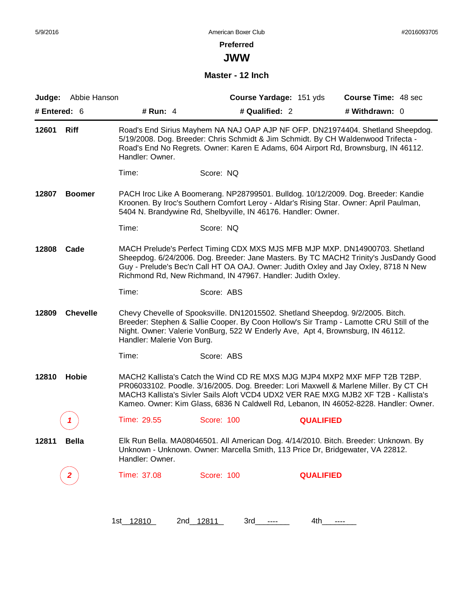**JWW**

### **Master - 12 Inch**

| # Entered: 6 | Judge: Abbie Hanson | # Run: $4$                 | Course Yardage: 151 yds<br># Qualified: 2                                                                                                                                                                                                                                                                                                       |                  | <b>Course Time: 48 sec</b><br># Withdrawn: 0 |  |
|--------------|---------------------|----------------------------|-------------------------------------------------------------------------------------------------------------------------------------------------------------------------------------------------------------------------------------------------------------------------------------------------------------------------------------------------|------------------|----------------------------------------------|--|
| 12601        | <b>Riff</b>         | Handler: Owner.            | Road's End Sirius Mayhem NA NAJ OAP AJP NF OFP. DN21974404. Shetland Sheepdog.<br>5/19/2008. Dog. Breeder: Chris Schmidt & Jim Schmidt. By CH Waldenwood Trifecta -<br>Road's End No Regrets. Owner: Karen E Adams, 604 Airport Rd, Brownsburg, IN 46112.                                                                                       |                  |                                              |  |
|              |                     | Time:                      | Score: NQ                                                                                                                                                                                                                                                                                                                                       |                  |                                              |  |
| 12807        | <b>Boomer</b>       |                            | PACH Iroc Like A Boomerang. NP28799501. Bulldog. 10/12/2009. Dog. Breeder: Kandie<br>Kroonen. By Iroc's Southern Comfort Leroy - Aldar's Rising Star. Owner: April Paulman,<br>5404 N. Brandywine Rd, Shelbyville, IN 46176. Handler: Owner.                                                                                                    |                  |                                              |  |
|              |                     | Time:                      | Score: NQ                                                                                                                                                                                                                                                                                                                                       |                  |                                              |  |
| 12808        | Cade                |                            | MACH Prelude's Perfect Timing CDX MXS MJS MFB MJP MXP. DN14900703. Shetland<br>Sheepdog. 6/24/2006. Dog. Breeder: Jane Masters. By TC MACH2 Trinity's JusDandy Good<br>Guy - Prelude's Bec'n Call HT OA OAJ. Owner: Judith Oxley and Jay Oxley, 8718 N New<br>Richmond Rd, New Richmand, IN 47967. Handler: Judith Oxley.                       |                  |                                              |  |
|              |                     | Time:                      | Score: ABS                                                                                                                                                                                                                                                                                                                                      |                  |                                              |  |
| 12809        | <b>Chevelle</b>     | Handler: Malerie Von Burg. | Chevy Chevelle of Spooksville. DN12015502. Shetland Sheepdog. 9/2/2005. Bitch.<br>Breeder: Stephen & Sallie Cooper. By Coon Hollow's Sir Tramp - Lamotte CRU Still of the<br>Night. Owner: Valerie VonBurg, 522 W Enderly Ave, Apt 4, Brownsburg, IN 46112.                                                                                     |                  |                                              |  |
|              |                     | Time:                      | Score: ABS                                                                                                                                                                                                                                                                                                                                      |                  |                                              |  |
| 12810        | <b>Hobie</b>        |                            | MACH2 Kallista's Catch the Wind CD RE MXS MJG MJP4 MXP2 MXF MFP T2B T2BP.<br>PR06033102. Poodle. 3/16/2005. Dog. Breeder: Lori Maxwell & Marlene Miller. By CT CH<br>MACH3 Kallista's Sivler Sails Aloft VCD4 UDX2 VER RAE MXG MJB2 XF T2B - Kallista's<br>Kameo. Owner: Kim Glass, 6836 N Caldwell Rd, Lebanon, IN 46052-8228. Handler: Owner. |                  |                                              |  |
|              | 1                   | Time: 29.55                | Score: 100                                                                                                                                                                                                                                                                                                                                      | <b>QUALIFIED</b> |                                              |  |
| 12811        | <b>Bella</b>        | Handler: Owner.            | Elk Run Bella. MA08046501. All American Dog. 4/14/2010. Bitch. Breeder: Unknown. By<br>Unknown - Unknown. Owner: Marcella Smith, 113 Price Dr, Bridgewater, VA 22812.                                                                                                                                                                           |                  |                                              |  |
|              | 2                   | Time: 37.08                | <b>Score: 100</b>                                                                                                                                                                                                                                                                                                                               | <b>QUALIFIED</b> |                                              |  |
|              |                     |                            |                                                                                                                                                                                                                                                                                                                                                 |                  |                                              |  |
|              |                     | 1st_12810                  | 2nd 12811<br>3rd                                                                                                                                                                                                                                                                                                                                | 4th<br>----      |                                              |  |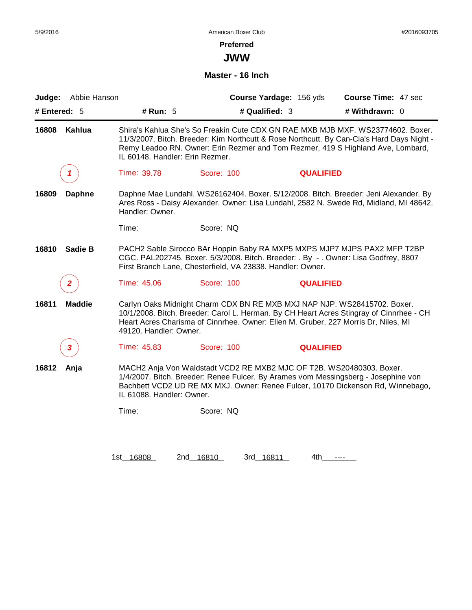**JWW**

### **Master - 16 Inch**

| Abbie Hanson<br>Judge:  |                                 | Course Yardage: 156 yds                                                                                                                                                                                                                                         |                  | Course Time: 47 sec |
|-------------------------|---------------------------------|-----------------------------------------------------------------------------------------------------------------------------------------------------------------------------------------------------------------------------------------------------------------|------------------|---------------------|
| # Entered: $5$          | # Run: $5$                      | # Qualified: 3                                                                                                                                                                                                                                                  |                  | # Withdrawn: 0      |
| Kahlua<br>16808         | IL 60148. Handler: Erin Rezmer. | Shira's Kahlua She's So Freakin Cute CDX GN RAE MXB MJB MXF. WS23774602. Boxer.<br>11/3/2007. Bitch. Breeder: Kim Northcutt & Rose Northcutt. By Can-Cia's Hard Days Night -<br>Remy Leadoo RN. Owner: Erin Rezmer and Tom Rezmer, 419 S Highland Ave, Lombard, |                  |                     |
|                         | Time: 39.78                     | Score: 100                                                                                                                                                                                                                                                      | <b>QUALIFIED</b> |                     |
| 16809<br><b>Daphne</b>  | Handler: Owner.                 | Daphne Mae Lundahl. WS26162404. Boxer. 5/12/2008. Bitch. Breeder: Jeni Alexander. By<br>Ares Ross - Daisy Alexander. Owner: Lisa Lundahl, 2582 N. Swede Rd, Midland, MI 48642.                                                                                  |                  |                     |
|                         | Time:                           | Score: NQ                                                                                                                                                                                                                                                       |                  |                     |
| <b>Sadie B</b><br>16810 |                                 | PACH2 Sable Sirocco BAr Hoppin Baby RA MXP5 MXPS MJP7 MJPS PAX2 MFP T2BP<br>CGC. PAL202745. Boxer. 5/3/2008. Bitch. Breeder: . By - . Owner: Lisa Godfrey, 8807<br>First Branch Lane, Chesterfield, VA 23838. Handler: Owner.                                   |                  |                     |
| $\mathbf{2}$            | Time: 45.06                     | Score: 100                                                                                                                                                                                                                                                      | <b>QUALIFIED</b> |                     |
| <b>Maddie</b><br>16811  | 49120. Handler: Owner.          | Carlyn Oaks Midnight Charm CDX BN RE MXB MXJ NAP NJP. WS28415702. Boxer.<br>10/1/2008. Bitch. Breeder: Carol L. Herman. By CH Heart Acres Stingray of Cinnrhee - CH<br>Heart Acres Charisma of Cinnrhee. Owner: Ellen M. Gruber, 227 Morris Dr, Niles, MI       |                  |                     |
| 3                       | Time: 45.83                     | Score: 100                                                                                                                                                                                                                                                      | <b>QUALIFIED</b> |                     |
| 16812<br>Anja           | IL 61088. Handler: Owner.       | MACH2 Anja Von Waldstadt VCD2 RE MXB2 MJC OF T2B. WS20480303. Boxer.<br>1/4/2007. Bitch. Breeder: Renee Fulcer. By Arames vom Messingsberg - Josephine von<br>Bachbett VCD2 UD RE MX MXJ. Owner: Renee Fulcer, 10170 Dickenson Rd, Winnebago,                   |                  |                     |
|                         | Time:                           | Score: NQ                                                                                                                                                                                                                                                       |                  |                     |
|                         |                                 |                                                                                                                                                                                                                                                                 |                  |                     |
|                         |                                 |                                                                                                                                                                                                                                                                 |                  |                     |

1st\_16808 2nd\_16810 3rd\_16811 4th\_\_\_\_\_\_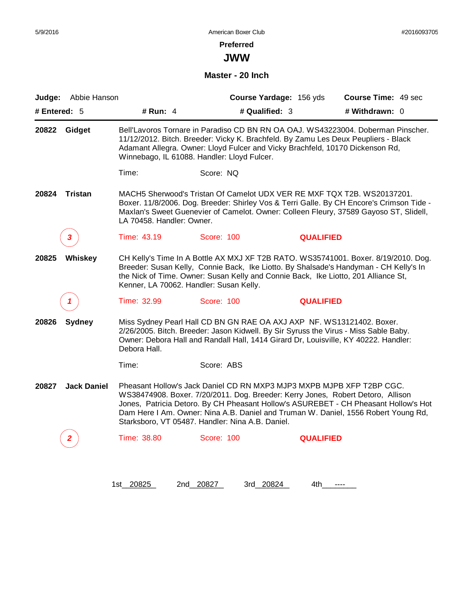## **Preferred**

**JWW**

**Master - 20 Inch**

| Judge:       | Abbie Hanson       |                                             | Course Yardage: 156 yds                          | Course Time: 49 sec                                                                                                                                                                                                                                                                                                                   |
|--------------|--------------------|---------------------------------------------|--------------------------------------------------|---------------------------------------------------------------------------------------------------------------------------------------------------------------------------------------------------------------------------------------------------------------------------------------------------------------------------------------|
| # Entered: 5 |                    | # Run: 4                                    | # Qualified: 3                                   | # Withdrawn: 0                                                                                                                                                                                                                                                                                                                        |
| 20822        | Gidget             | Winnebago, IL 61088. Handler: Lloyd Fulcer. |                                                  | Bell'Lavoros Tornare in Paradiso CD BN RN OA OAJ. WS43223004. Doberman Pinscher.<br>11/12/2012. Bitch. Breeder: Vicky K. Brachfeld. By Zamu Les Deux Peupliers - Black<br>Adamant Allegra. Owner: Lloyd Fulcer and Vicky Brachfeld, 10170 Dickenson Rd,                                                                               |
|              |                    | Time:                                       | Score: NQ                                        |                                                                                                                                                                                                                                                                                                                                       |
| 20824        | <b>Tristan</b>     | LA 70458. Handler: Owner.                   |                                                  | MACH5 Sherwood's Tristan Of Camelot UDX VER RE MXF TQX T2B. WS20137201.<br>Boxer. 11/8/2006. Dog. Breeder: Shirley Vos & Terri Galle. By CH Encore's Crimson Tide -<br>Maxlan's Sweet Guenevier of Camelot. Owner: Colleen Fleury, 37589 Gayoso ST, Slidell,                                                                          |
| 3            |                    | Time: 43.19                                 | Score: 100                                       | <b>QUALIFIED</b>                                                                                                                                                                                                                                                                                                                      |
| 20825        | Whiskey            | Kenner, LA 70062. Handler: Susan Kelly.     |                                                  | CH Kelly's Time In A Bottle AX MXJ XF T2B RATO. WS35741001. Boxer. 8/19/2010. Dog.<br>Breeder: Susan Kelly, Connie Back, Ike Liotto. By Shalsade's Handyman - CH Kelly's In<br>the Nick of Time. Owner: Susan Kelly and Connie Back, Ike Liotto, 201 Alliance St,                                                                     |
| 1            |                    | Time: 32.99                                 | Score: 100                                       | <b>QUALIFIED</b>                                                                                                                                                                                                                                                                                                                      |
| 20826        | <b>Sydney</b>      | Debora Hall.                                |                                                  | Miss Sydney Pearl Hall CD BN GN RAE OA AXJ AXP NF. WS13121402. Boxer.<br>2/26/2005. Bitch. Breeder: Jason Kidwell. By Sir Syruss the Virus - Miss Sable Baby.<br>Owner: Debora Hall and Randall Hall, 1414 Girard Dr, Louisville, KY 40222. Handler:                                                                                  |
|              |                    | Time:                                       | Score: ABS                                       |                                                                                                                                                                                                                                                                                                                                       |
| 20827        | <b>Jack Daniel</b> |                                             | Starksboro, VT 05487. Handler: Nina A.B. Daniel. | Pheasant Hollow's Jack Daniel CD RN MXP3 MJP3 MXPB MJPB XFP T2BP CGC.<br>WS38474908. Boxer. 7/20/2011. Dog. Breeder: Kerry Jones, Robert Detoro, Allison<br>Jones, Patricia Detoro. By CH Pheasant Hollow's ASUREBET - CH Pheasant Hollow's Hot<br>Dam Here I Am. Owner: Nina A.B. Daniel and Truman W. Daniel, 1556 Robert Young Rd, |
| 2            |                    | Time: 38.80                                 | Score: 100                                       | <b>QUALIFIED</b>                                                                                                                                                                                                                                                                                                                      |
|              |                    |                                             |                                                  |                                                                                                                                                                                                                                                                                                                                       |
|              |                    | 1st_20825                                   | 3rd 20824<br>2nd 20827                           | 4th.<br>$---$                                                                                                                                                                                                                                                                                                                         |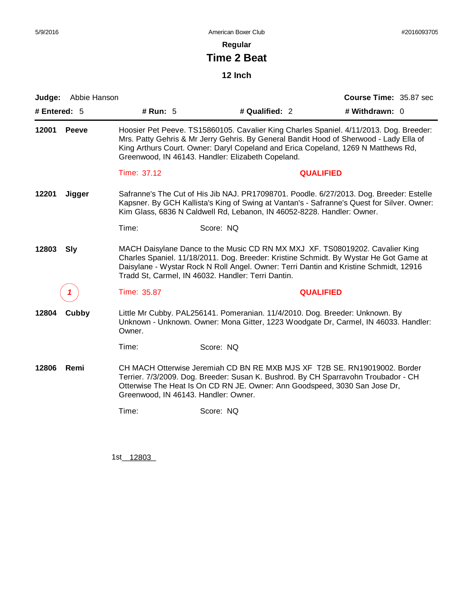**Regular**

# **Time 2 Beat**

**12 Inch**

| Judge:                                                                                                                                                                                          | Abbie Hanson |                                                                                                                                                                                                                                                                                                                      |                                                                                                                                                                                                                                                                                                                            |                  | Course Time: 35.87 sec |  |
|-------------------------------------------------------------------------------------------------------------------------------------------------------------------------------------------------|--------------|----------------------------------------------------------------------------------------------------------------------------------------------------------------------------------------------------------------------------------------------------------------------------------------------------------------------|----------------------------------------------------------------------------------------------------------------------------------------------------------------------------------------------------------------------------------------------------------------------------------------------------------------------------|------------------|------------------------|--|
| # Entered: $5$                                                                                                                                                                                  |              | # Run: 5                                                                                                                                                                                                                                                                                                             | # Qualified: 2                                                                                                                                                                                                                                                                                                             |                  | # Withdrawn: 0         |  |
| 12001                                                                                                                                                                                           | <b>Peeve</b> |                                                                                                                                                                                                                                                                                                                      | Hoosier Pet Peeve. TS15860105. Cavalier King Charles Spaniel. 4/11/2013. Dog. Breeder:<br>Mrs. Patty Gehris & Mr Jerry Gehris. By General Bandit Hood of Sherwood - Lady Ella of<br>King Arthurs Court. Owner: Daryl Copeland and Erica Copeland, 1269 N Matthews Rd,<br>Greenwood, IN 46143. Handler: Elizabeth Copeland. |                  |                        |  |
|                                                                                                                                                                                                 |              | Time: 37.12                                                                                                                                                                                                                                                                                                          |                                                                                                                                                                                                                                                                                                                            | <b>QUALIFIED</b> |                        |  |
| 12201                                                                                                                                                                                           | Jigger       |                                                                                                                                                                                                                                                                                                                      | Safranne's The Cut of His Jib NAJ. PR17098701. Poodle. 6/27/2013. Dog. Breeder: Estelle<br>Kapsner. By GCH Kallista's King of Swing at Vantan's - Safranne's Quest for Silver. Owner:<br>Kim Glass, 6836 N Caldwell Rd, Lebanon, IN 46052-8228. Handler: Owner.                                                            |                  |                        |  |
|                                                                                                                                                                                                 |              | Time:                                                                                                                                                                                                                                                                                                                | Score: NQ                                                                                                                                                                                                                                                                                                                  |                  |                        |  |
| 12803                                                                                                                                                                                           | <b>Sly</b>   | MACH Daisylane Dance to the Music CD RN MX MXJ XF. TS08019202. Cavalier King<br>Charles Spaniel. 11/18/2011. Dog. Breeder: Kristine Schmidt. By Wystar He Got Game at<br>Daisylane - Wystar Rock N Roll Angel. Owner: Terri Dantin and Kristine Schmidt, 12916<br>Tradd St, Carmel, IN 46032. Handler: Terri Dantin. |                                                                                                                                                                                                                                                                                                                            |                  |                        |  |
|                                                                                                                                                                                                 | 1            | Time: 35.87                                                                                                                                                                                                                                                                                                          |                                                                                                                                                                                                                                                                                                                            | <b>QUALIFIED</b> |                        |  |
| Little Mr Cubby. PAL256141. Pomeranian. 11/4/2010. Dog. Breeder: Unknown. By<br>12804<br>Cubby<br>Unknown - Unknown. Owner: Mona Gitter, 1223 Woodgate Dr, Carmel, IN 46033. Handler:<br>Owner. |              |                                                                                                                                                                                                                                                                                                                      |                                                                                                                                                                                                                                                                                                                            |                  |                        |  |
|                                                                                                                                                                                                 |              | Time:                                                                                                                                                                                                                                                                                                                | Score: NQ                                                                                                                                                                                                                                                                                                                  |                  |                        |  |
| 12806                                                                                                                                                                                           | Remi         | Greenwood, IN 46143. Handler: Owner.                                                                                                                                                                                                                                                                                 | CH MACH Otterwise Jeremiah CD BN RE MXB MJS XF T2B SE. RN19019002. Border<br>Terrier. 7/3/2009. Dog. Breeder: Susan K. Bushrod. By CH Sparravohn Troubador - CH<br>Otterwise The Heat Is On CD RN JE. Owner: Ann Goodspeed, 3030 San Jose Dr,                                                                              |                  |                        |  |
|                                                                                                                                                                                                 |              | Time:                                                                                                                                                                                                                                                                                                                | Score: NQ                                                                                                                                                                                                                                                                                                                  |                  |                        |  |
|                                                                                                                                                                                                 |              |                                                                                                                                                                                                                                                                                                                      |                                                                                                                                                                                                                                                                                                                            |                  |                        |  |

1st\_\_12803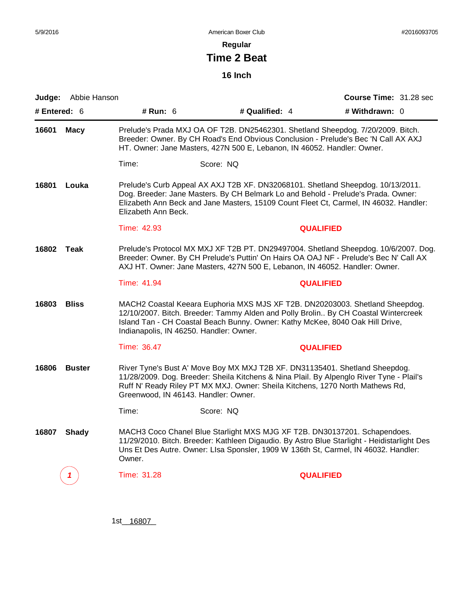**Regular**

# **Time 2 Beat**

**16 Inch**

|              | Judge: Abbie Hanson |                                                                                                                                                                                                                                                                                                  |           |                |                  | Course Time: 31.28 sec |  |
|--------------|---------------------|--------------------------------------------------------------------------------------------------------------------------------------------------------------------------------------------------------------------------------------------------------------------------------------------------|-----------|----------------|------------------|------------------------|--|
| # Entered: 6 |                     | # Run: 6                                                                                                                                                                                                                                                                                         |           | # Qualified: 4 |                  | # Withdrawn: 0         |  |
| 16601        | <b>Macy</b>         | Prelude's Prada MXJ OA OF T2B. DN25462301. Shetland Sheepdog. 7/20/2009. Bitch.<br>Breeder: Owner. By CH Road's End Obvious Conclusion - Prelude's Bec 'N Call AX AXJ<br>HT. Owner: Jane Masters, 427N 500 E, Lebanon, IN 46052. Handler: Owner.                                                 |           |                |                  |                        |  |
|              |                     | Time:                                                                                                                                                                                                                                                                                            | Score: NQ |                |                  |                        |  |
| 16801        | Louka               | Prelude's Curb Appeal AX AXJ T2B XF. DN32068101. Shetland Sheepdog. 10/13/2011.<br>Dog. Breeder: Jane Masters. By CH Belmark Lo and Behold - Prelude's Prada. Owner:<br>Elizabeth Ann Beck and Jane Masters, 15109 Count Fleet Ct, Carmel, IN 46032. Handler:<br>Elizabeth Ann Beck.             |           |                |                  |                        |  |
|              |                     | Time: 42.93                                                                                                                                                                                                                                                                                      |           |                | <b>QUALIFIED</b> |                        |  |
| 16802        | Teak                | Prelude's Protocol MX MXJ XF T2B PT. DN29497004. Shetland Sheepdog. 10/6/2007. Dog.<br>Breeder: Owner. By CH Prelude's Puttin' On Hairs OA OAJ NF - Prelude's Bec N' Call AX<br>AXJ HT. Owner: Jane Masters, 427N 500 E, Lebanon, IN 46052. Handler: Owner.                                      |           |                |                  |                        |  |
|              |                     | Time: 41.94                                                                                                                                                                                                                                                                                      |           |                | <b>QUALIFIED</b> |                        |  |
| 16803        | <b>Bliss</b>        | MACH2 Coastal Keeara Euphoria MXS MJS XF T2B. DN20203003. Shetland Sheepdog.<br>12/10/2007. Bitch. Breeder: Tammy Alden and Polly Brolin By CH Coastal Wintercreek<br>Island Tan - CH Coastal Beach Bunny. Owner: Kathy McKee, 8040 Oak Hill Drive,<br>Indianapolis, IN 46250. Handler: Owner.   |           |                |                  |                        |  |
|              |                     | Time: 36.47                                                                                                                                                                                                                                                                                      |           |                | <b>QUALIFIED</b> |                        |  |
| 16806        | <b>Buster</b>       | River Tyne's Bust A' Move Boy MX MXJ T2B XF. DN31135401. Shetland Sheepdog.<br>11/28/2009. Dog. Breeder: Sheila Kitchens & Nina Plail. By Alpenglo River Tyne - Plail's<br>Ruff N' Ready Riley PT MX MXJ. Owner: Sheila Kitchens, 1270 North Mathews Rd,<br>Greenwood, IN 46143. Handler: Owner. |           |                |                  |                        |  |
|              |                     | Time:                                                                                                                                                                                                                                                                                            | Score: NQ |                |                  |                        |  |
| 16807        | <b>Shady</b>        | MACH3 Coco Chanel Blue Starlight MXS MJG XF T2B. DN30137201. Schapendoes.<br>11/29/2010. Bitch. Breeder: Kathleen Digaudio. By Astro Blue Starlight - Heidistarlight Des<br>Uns Et Des Autre. Owner: Lisa Sponsler, 1909 W 136th St, Carmel, IN 46032. Handler:<br>Owner.                        |           |                |                  |                        |  |
|              | 1                   | Time: 31.28                                                                                                                                                                                                                                                                                      |           |                | <b>QUALIFIED</b> |                        |  |

1st\_\_16807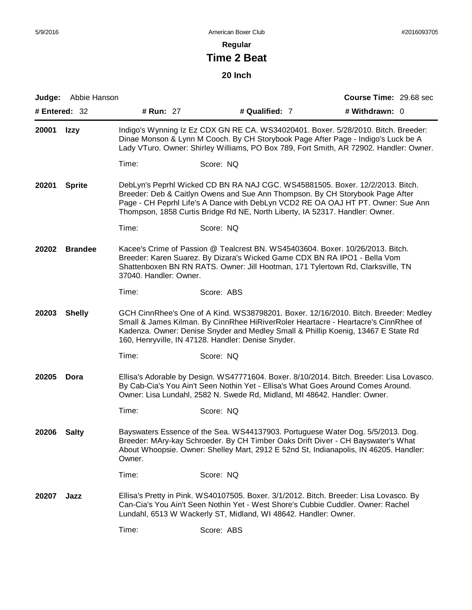**Regular**

# **Time 2 Beat**

**20 Inch**

|               | Judge: Abbie Hanson |                        |                                                                                                                                                                                                                                                | <b>Course Time: 29.68 sec</b>                                                                                                                                                                                                                                     |
|---------------|---------------------|------------------------|------------------------------------------------------------------------------------------------------------------------------------------------------------------------------------------------------------------------------------------------|-------------------------------------------------------------------------------------------------------------------------------------------------------------------------------------------------------------------------------------------------------------------|
| # Entered: 32 |                     | # Run: 27              | # Qualified: 7                                                                                                                                                                                                                                 | # Withdrawn: 0                                                                                                                                                                                                                                                    |
| 20001         | <b>Izzy</b>         |                        |                                                                                                                                                                                                                                                | Indigo's Wynning Iz Ez CDX GN RE CA. WS34020401. Boxer. 5/28/2010. Bitch. Breeder:<br>Dinae Monson & Lynn M Cooch. By CH Storybook Page After Page - Indigo's Luck be A<br>Lady VTuro. Owner: Shirley Williams, PO Box 789, Fort Smith, AR 72902. Handler: Owner. |
|               |                     | Time:                  | Score: NQ                                                                                                                                                                                                                                      |                                                                                                                                                                                                                                                                   |
| 20201         | <b>Sprite</b>       |                        | Thompson, 1858 Curtis Bridge Rd NE, North Liberty, IA 52317. Handler: Owner.                                                                                                                                                                   | DebLyn's Peprhl Wicked CD BN RA NAJ CGC. WS45881505. Boxer. 12/2/2013. Bitch.<br>Breeder: Deb & Caitlyn Owens and Sue Ann Thompson. By CH Storybook Page After<br>Page - CH Peprhl Life's A Dance with DebLyn VCD2 RE OA OAJ HT PT. Owner: Sue Ann                |
|               |                     | Time:                  | Score: NQ                                                                                                                                                                                                                                      |                                                                                                                                                                                                                                                                   |
| 20202         | <b>Brandee</b>      | 37040. Handler: Owner. | Kacee's Crime of Passion @ Tealcrest BN. WS45403604. Boxer. 10/26/2013. Bitch.<br>Breeder: Karen Suarez. By Dizara's Wicked Game CDX BN RA IPO1 - Bella Vom<br>Shattenboxen BN RN RATS. Owner: Jill Hootman, 171 Tylertown Rd, Clarksville, TN |                                                                                                                                                                                                                                                                   |
|               |                     | Time:                  | Score: ABS                                                                                                                                                                                                                                     |                                                                                                                                                                                                                                                                   |
| 20203         | <b>Shelly</b>       |                        | 160, Henryville, IN 47128. Handler: Denise Snyder.                                                                                                                                                                                             | GCH CinnRhee's One of A Kind. WS38798201. Boxer. 12/16/2010. Bitch. Breeder: Medley<br>Small & James Kilman. By CinnRhee HiRiverRoler Heartacre - Heartacre's CinnRhee of<br>Kadenza. Owner: Denise Snyder and Medley Small & Phillip Koenig, 13467 E State Rd    |
|               |                     | Time:                  | Score: NQ                                                                                                                                                                                                                                      |                                                                                                                                                                                                                                                                   |
| 20205         | Dora                |                        | Owner: Lisa Lundahl, 2582 N. Swede Rd, Midland, MI 48642. Handler: Owner.                                                                                                                                                                      | Ellisa's Adorable by Design. WS47771604. Boxer. 8/10/2014. Bitch. Breeder: Lisa Lovasco.<br>By Cab-Cia's You Ain't Seen Nothin Yet - Ellisa's What Goes Around Comes Around.                                                                                      |
|               |                     | Time:                  | Score: NQ                                                                                                                                                                                                                                      |                                                                                                                                                                                                                                                                   |
| 20206         | <b>Salty</b>        | Owner.                 |                                                                                                                                                                                                                                                | Bayswaters Essence of the Sea. WS44137903. Portuguese Water Dog. 5/5/2013. Dog.<br>Breeder: MAry-kay Schroeder. By CH Timber Oaks Drift Diver - CH Bayswater's What<br>About Whoopsie. Owner: Shelley Mart, 2912 E 52nd St, Indianapolis, IN 46205. Handler:      |
|               |                     | Time:                  | Score: NQ                                                                                                                                                                                                                                      |                                                                                                                                                                                                                                                                   |
| 20207         | Jazz                |                        | Can-Cia's You Ain't Seen Nothin Yet - West Shore's Cubbie Cuddler. Owner: Rachel<br>Lundahl, 6513 W Wackerly ST, Midland, WI 48642. Handler: Owner.                                                                                            | Ellisa's Pretty in Pink. WS40107505. Boxer. 3/1/2012. Bitch. Breeder: Lisa Lovasco. By                                                                                                                                                                            |
|               |                     | Time:                  | Score: ABS                                                                                                                                                                                                                                     |                                                                                                                                                                                                                                                                   |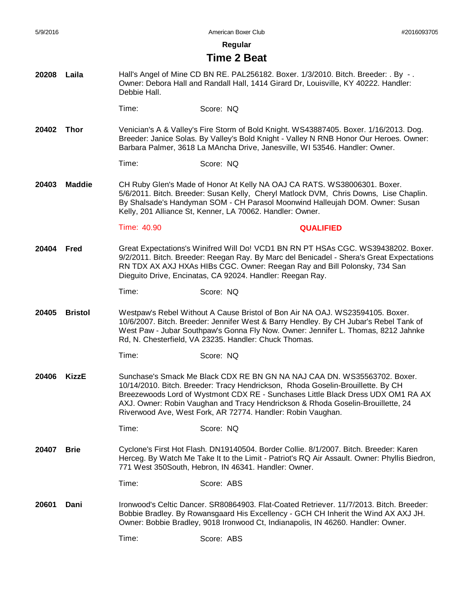**Regular**

### **Time 2 Beat**

**20208 Laila** Hall's Angel of Mine CD BN RE. PAL256182. Boxer. 1/3/2010. Bitch. Breeder: . By - . Owner: Debora Hall and Randall Hall, 1414 Girard Dr, Louisville, KY 40222. Handler: Debbie Hall.

Time: Score: NQ

**20402 Thor** Venician's A & Valley's Fire Storm of Bold Knight. WS43887405. Boxer. 1/16/2013. Dog. Breeder: Janice Solas. By Valley's Bold Knight - Valley N RNB Honor Our Heroes. Owner: Barbara Palmer, 3618 La MAncha Drive, Janesville, WI 53546. Handler: Owner.

#### Time: Score: NQ

**20403 Maddie** CH Ruby Glen's Made of Honor At Kelly NA OAJ CA RATS. WS38006301. Boxer. 5/6/2011. Bitch. Breeder: Susan Kelly, Cheryl Matlock DVM, Chris Downs, Lise Chaplin. By Shalsade's Handyman SOM - CH Parasol Moonwind Halleujah DOM. Owner: Susan Kelly, 201 Alliance St, Kenner, LA 70062. Handler: Owner.

#### Time: 40.90 **QUALIFIED**

**20404 Fred** Great Expectations's Winifred Will Do! VCD1 BN RN PT HSAs CGC. WS39438202. Boxer. 9/2/2011. Bitch. Breeder: Reegan Ray. By Marc del Benicadel - Shera's Great Expectations RN TDX AX AXJ HXAs HIBs CGC. Owner: Reegan Ray and Bill Polonsky, 734 San Dieguito Drive, Encinatas, CA 92024. Handler: Reegan Ray.

Time: Score: NQ

- **20405 Bristol** Westpaw's Rebel Without A Cause Bristol of Bon Air NA OAJ. WS23594105. Boxer. 10/6/2007. Bitch. Breeder: Jennifer West & Barry Hendley. By CH Jubar's Rebel Tank of West Paw - Jubar Southpaw's Gonna Fly Now. Owner: Jennifer L. Thomas, 8212 Jahnke Rd, N. Chesterfield, VA 23235. Handler: Chuck Thomas.
	- Time: Score: NQ
- **20406 KizzE** Sunchase's Smack Me Black CDX RE BN GN NA NAJ CAA DN. WS35563702. Boxer. 10/14/2010. Bitch. Breeder: Tracy Hendrickson, Rhoda Goselin-Brouillette. By CH Breezewoods Lord of Wystmont CDX RE - Sunchases Little Black Dress UDX OM1 RA AX AXJ. Owner: Robin Vaughan and Tracy Hendrickson & Rhoda Goselin-Brouillette, 24 Riverwood Ave, West Fork, AR 72774. Handler: Robin Vaughan.
	- Time: Score: NQ
- **20407 Brie** Cyclone's First Hot Flash. DN19140504. Border Collie. 8/1/2007. Bitch. Breeder: Karen Herceg. By Watch Me Take It to the Limit - Patriot's RQ Air Assault. Owner: Phyllis Biedron, 771 West 350South, Hebron, IN 46341. Handler: Owner.

Time: Score: ABS

**20601 Dani** Ironwood's Celtic Dancer. SR80864903. Flat-Coated Retriever. 11/7/2013. Bitch. Breeder: Bobbie Bradley. By Rowansgaard His Excellency - GCH CH Inherit the Wind AX AXJ JH. Owner: Bobbie Bradley, 9018 Ironwood Ct, Indianapolis, IN 46260. Handler: Owner.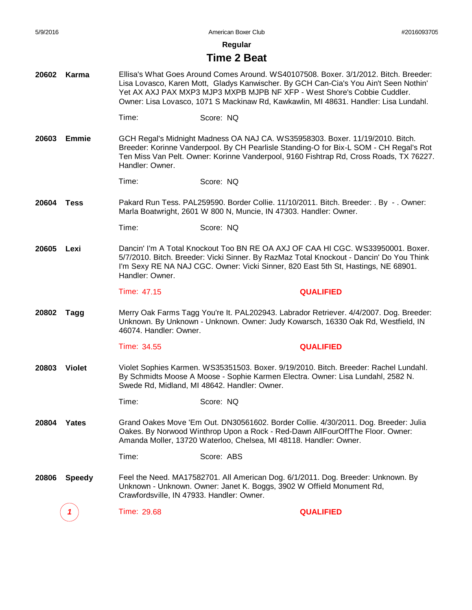**Regular**

## **Time 2 Beat**

- **20602 Karma** Ellisa's What Goes Around Comes Around. WS40107508. Boxer. 3/1/2012. Bitch. Breeder: Lisa Lovasco, Karen Mott, Gladys Kanwischer. By GCH Can-Cia's You Ain't Seen Nothin' Yet AX AXJ PAX MXP3 MJP3 MXPB MJPB NF XFP - West Shore's Cobbie Cuddler. Owner: Lisa Lovasco, 1071 S Mackinaw Rd, Kawkawlin, MI 48631. Handler: Lisa Lundahl.
	- Time: Score: NQ
- **20603 Emmie** GCH Regal's Midnight Madness OA NAJ CA. WS35958303. Boxer. 11/19/2010. Bitch. Breeder: Korinne Vanderpool. By CH Pearlisle Standing-O for Bix-L SOM - CH Regal's Rot Ten Miss Van Pelt. Owner: Korinne Vanderpool, 9160 Fishtrap Rd, Cross Roads, TX 76227. Handler: Owner.

Time: Score: NQ

- **20604 Tess** Pakard Run Tess. PAL259590. Border Collie. 11/10/2011. Bitch. Breeder: . By - . Owner: Marla Boatwright, 2601 W 800 N, Muncie, IN 47303. Handler: Owner.
	- Time: Score: NQ
- **20605 Lexi** Dancin' I'm A Total Knockout Too BN RE OA AXJ OF CAA HI CGC. WS33950001. Boxer. 5/7/2010. Bitch. Breeder: Vicki Sinner. By RazMaz Total Knockout - Dancin' Do You Think I'm Sexy RE NA NAJ CGC. Owner: Vicki Sinner, 820 East 5th St, Hastings, NE 68901. Handler: Owner.

#### Time: 47.15 **QUALIFIED**

**20802 Tagg** Merry Oak Farms Tagg You're It. PAL202943. Labrador Retriever. 4/4/2007. Dog. Breeder: Unknown. By Unknown - Unknown. Owner: Judy Kowarsch, 16330 Oak Rd, Westfield, IN 46074. Handler: Owner.

#### Time: 34.55 **QUALIFIED**

**20803 Violet** Violet Sophies Karmen. WS35351503. Boxer. 9/19/2010. Bitch. Breeder: Rachel Lundahl. By Schmidts Moose A Moose - Sophie Karmen Electra. Owner: Lisa Lundahl, 2582 N. Swede Rd, Midland, MI 48642. Handler: Owner.

Time: Score: NQ

- **20804 Yates** Grand Oakes Move 'Em Out. DN30561602. Border Collie. 4/30/2011. Dog. Breeder: Julia Oakes. By Norwood Winthrop Upon a Rock - Red-Dawn AllFourOffThe Floor. Owner: Amanda Moller, 13720 Waterloo, Chelsea, MI 48118. Handler: Owner.
	- Time: Score: ABS
- **20806 Speedy** Feel the Need. MA17582701. All American Dog. 6/1/2011. Dog. Breeder: Unknown. By Unknown - Unknown. Owner: Janet K. Boggs, 3902 W Offield Monument Rd, Crawfordsville, IN 47933. Handler: Owner.

**1** Time: 29.68 **QUALIFIED**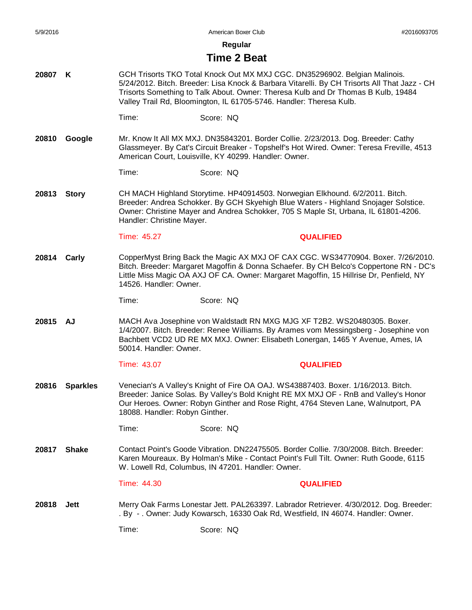**Regular**

### **Time 2 Beat**

- **20807 K** GCH Trisorts TKO Total Knock Out MX MXJ CGC. DN35296902. Belgian Malinois. 5/24/2012. Bitch. Breeder: Lisa Knock & Barbara Vitarelli. By CH Trisorts All That Jazz - CH Trisorts Something to Talk About. Owner: Theresa Kulb and Dr Thomas B Kulb, 19484 Valley Trail Rd, Bloomington, IL 61705-5746. Handler: Theresa Kulb.
	- Time: Score: NQ
- **20810 Google** Mr. Know It All MX MXJ. DN35843201. Border Collie. 2/23/2013. Dog. Breeder: Cathy Glassmeyer. By Cat's Circuit Breaker - Topshelf's Hot Wired. Owner: Teresa Freville, 4513 American Court, Louisville, KY 40299. Handler: Owner.
	- Time: Score: NQ
- **20813 Story** CH MACH Highland Storytime. HP40914503. Norwegian Elkhound. 6/2/2011. Bitch. Breeder: Andrea Schokker. By GCH Skyehigh Blue Waters - Highland Snojager Solstice. Owner: Christine Mayer and Andrea Schokker, 705 S Maple St, Urbana, IL 61801-4206. Handler: Christine Mayer.

Time: 45.27 **QUALIFIED**

- **20814 Carly** CopperMyst Bring Back the Magic AX MXJ OF CAX CGC. WS34770904. Boxer. 7/26/2010. Bitch. Breeder: Margaret Magoffin & Donna Schaefer. By CH Belco's Coppertone RN - DC's Little Miss Magic OA AXJ OF CA. Owner: Margaret Magoffin, 15 Hillrise Dr, Penfield, NY 14526. Handler: Owner.
	- Time: Score: NQ
- **20815 AJ** MACH Ava Josephine von Waldstadt RN MXG MJG XF T2B2. WS20480305. Boxer. 1/4/2007. Bitch. Breeder: Renee Williams. By Arames vom Messingsberg - Josephine von Bachbett VCD2 UD RE MX MXJ. Owner: Elisabeth Lonergan, 1465 Y Avenue, Ames, IA 50014. Handler: Owner.

Time: 43.07 **QUALIFIED**

- **20816 Sparkles** Venecian's A Valley's Knight of Fire OA OAJ. WS43887403. Boxer. 1/16/2013. Bitch. Breeder: Janice Solas. By Valley's Bold Knight RE MX MXJ OF - RnB and Valley's Honor Our Heroes. Owner: Robyn Ginther and Rose Right, 4764 Steven Lane, Walnutport, PA 18088. Handler: Robyn Ginther.
	- Time: Score: NQ
- **20817 Shake** Contact Point's Goode Vibration. DN22475505. Border Collie. 7/30/2008. Bitch. Breeder: Karen Moureaux. By Holman's Mike - Contact Point's Full Tilt. Owner: Ruth Goode, 6115 W. Lowell Rd, Columbus, IN 47201. Handler: Owner.

#### Time: 44.30 **QUALIFIED**

**20818 Jett** Merry Oak Farms Lonestar Jett. PAL263397. Labrador Retriever. 4/30/2012. Dog. Breeder: . By - . Owner: Judy Kowarsch, 16330 Oak Rd, Westfield, IN 46074. Handler: Owner.

Time: Score: NQ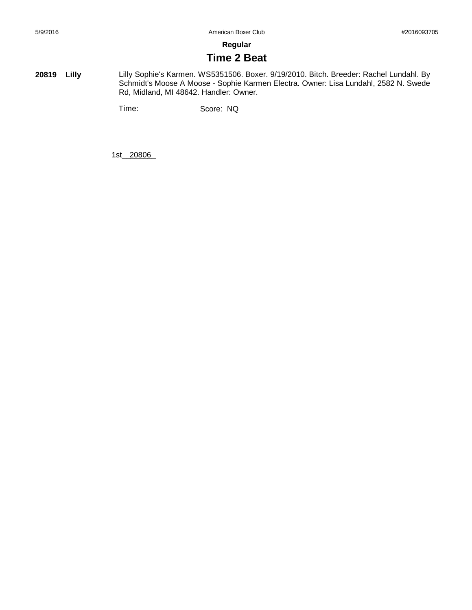**Regular**

# **Time 2 Beat**

**20819 Lilly** Lilly Sophie's Karmen. WS5351506. Boxer. 9/19/2010. Bitch. Breeder: Rachel Lundahl. By Schmidt's Moose A Moose - Sophie Karmen Electra. Owner: Lisa Lundahl, 2582 N. Swede Rd, Midland, MI 48642. Handler: Owner.

Time: Score: NQ

1st\_20806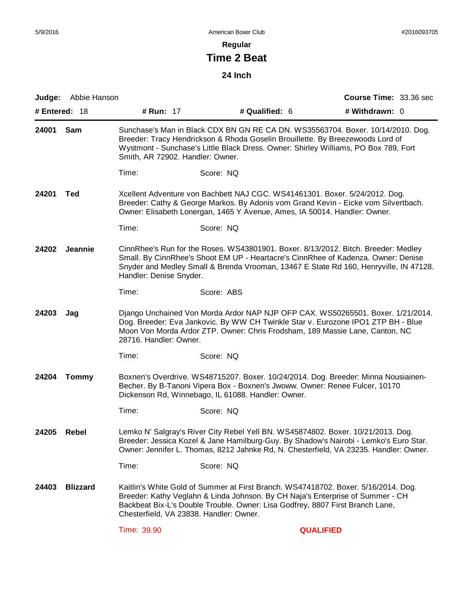**Regular**

# **Time 2 Beat**

**24 Inch**

|                                                                                                                                                                                                                                                                                      | Judge: Abbie Hanson                                                                                                                                                                                                                                                                  |                                                                                                                                                                                                                                                                                              |                                         |                | <b>Course Time: 33.36 sec</b>                                                                                                                                                                                                                         |  |
|--------------------------------------------------------------------------------------------------------------------------------------------------------------------------------------------------------------------------------------------------------------------------------------|--------------------------------------------------------------------------------------------------------------------------------------------------------------------------------------------------------------------------------------------------------------------------------------|----------------------------------------------------------------------------------------------------------------------------------------------------------------------------------------------------------------------------------------------------------------------------------------------|-----------------------------------------|----------------|-------------------------------------------------------------------------------------------------------------------------------------------------------------------------------------------------------------------------------------------------------|--|
| # Entered: 18                                                                                                                                                                                                                                                                        |                                                                                                                                                                                                                                                                                      | # Run: 17                                                                                                                                                                                                                                                                                    |                                         | # Qualified: 6 | # Withdrawn: 0                                                                                                                                                                                                                                        |  |
| 24001                                                                                                                                                                                                                                                                                | Sam                                                                                                                                                                                                                                                                                  | Sunchase's Man in Black CDX BN GN RE CA DN. WS35563704. Boxer. 10/14/2010. Dog.<br>Breeder: Tracy Hendrickson & Rhoda Goselin Brouillette. By Breezewoods Lord of<br>Wystmont - Sunchase's Little Black Dress. Owner: Shirley Williams, PO Box 789, Fort<br>Smith, AR 72902. Handler: Owner. |                                         |                |                                                                                                                                                                                                                                                       |  |
|                                                                                                                                                                                                                                                                                      |                                                                                                                                                                                                                                                                                      | Time:                                                                                                                                                                                                                                                                                        | Score: NQ                               |                |                                                                                                                                                                                                                                                       |  |
| 24201                                                                                                                                                                                                                                                                                | <b>Ted</b>                                                                                                                                                                                                                                                                           | Xcellent Adventure von Bachbett NAJ CGC. WS41461301. Boxer. 5/24/2012. Dog.<br>Breeder: Cathy & George Markos. By Adonis vom Grand Kevin - Eicke vom Silvertbach.<br>Owner: Elisabeth Lonergan, 1465 Y Avenue, Ames, IA 50014. Handler: Owner.                                               |                                         |                |                                                                                                                                                                                                                                                       |  |
|                                                                                                                                                                                                                                                                                      |                                                                                                                                                                                                                                                                                      | Time:                                                                                                                                                                                                                                                                                        | Score: NQ                               |                |                                                                                                                                                                                                                                                       |  |
| 24202                                                                                                                                                                                                                                                                                | Jeannie                                                                                                                                                                                                                                                                              | CinnRhee's Run for the Roses. WS43801901. Boxer. 8/13/2012. Bitch. Breeder: Medley<br>Small. By CinnRhee's Shoot EM UP - Heartacre's CinnRhee of Kadenza. Owner: Denise<br>Snyder and Medley Small & Brenda Vrooman, 13467 E State Rd 160, Henryville, IN 47128.<br>Handler: Denise Snyder.  |                                         |                |                                                                                                                                                                                                                                                       |  |
|                                                                                                                                                                                                                                                                                      |                                                                                                                                                                                                                                                                                      | Time:                                                                                                                                                                                                                                                                                        | Score: ABS                              |                |                                                                                                                                                                                                                                                       |  |
| 24203                                                                                                                                                                                                                                                                                | Django Unchained Von Morda Ardor NAP NJP OFP CAX. WS50265501. Boxer. 1/21/2014.<br>Jag<br>Dog. Breeder: Eva Jankovic. By WW CH Twinkle Star v. Eurozone IPO1 ZTP BH - Blue<br>Moon Von Morda Ardor ZTP. Owner: Chris Frodsham, 189 Massie Lane, Canton, NC<br>28716. Handler: Owner. |                                                                                                                                                                                                                                                                                              |                                         |                |                                                                                                                                                                                                                                                       |  |
|                                                                                                                                                                                                                                                                                      |                                                                                                                                                                                                                                                                                      | Time:                                                                                                                                                                                                                                                                                        | Score: NQ                               |                |                                                                                                                                                                                                                                                       |  |
| 24204                                                                                                                                                                                                                                                                                | <b>Tommy</b><br>Boxnen's Overdrive. WS48715207. Boxer. 10/24/2014. Dog. Breeder: Minna Nousiainen-<br>Becher. By B-Tanoni Vipera Box - Boxnen's Jwoww. Owner: Renee Fulcer, 10170<br>Dickenson Rd, Winnebago, IL 61088. Handler: Owner.                                              |                                                                                                                                                                                                                                                                                              |                                         |                |                                                                                                                                                                                                                                                       |  |
|                                                                                                                                                                                                                                                                                      |                                                                                                                                                                                                                                                                                      | Time:                                                                                                                                                                                                                                                                                        | Score: NQ                               |                |                                                                                                                                                                                                                                                       |  |
| Lemko N' Salgray's River City Rebel Yell BN. WS45874802. Boxer. 10/21/2013. Dog.<br>24205<br>Rebel<br>Breeder: Jessica Kozel & Jane Hamilburg-Guy. By Shadow's Nairobi - Lemko's Euro Star.<br>Owner: Jennifer L. Thomas, 8212 Jahnke Rd, N. Chesterfield, VA 23235. Handler: Owner. |                                                                                                                                                                                                                                                                                      |                                                                                                                                                                                                                                                                                              |                                         |                |                                                                                                                                                                                                                                                       |  |
|                                                                                                                                                                                                                                                                                      |                                                                                                                                                                                                                                                                                      | Time:                                                                                                                                                                                                                                                                                        | Score: NQ                               |                |                                                                                                                                                                                                                                                       |  |
| 24403                                                                                                                                                                                                                                                                                | <b>Blizzard</b>                                                                                                                                                                                                                                                                      |                                                                                                                                                                                                                                                                                              | Chesterfield, VA 23838. Handler: Owner. |                | Kaitlin's White Gold of Summer at First Branch. WS47418702. Boxer. 5/16/2014. Dog.<br>Breeder: Kathy Veglahn & Linda Johnson. By CH Naja's Enterprise of Summer - CH<br>Backbeat Bix-L's Double Trouble. Owner: Lisa Godfrey, 8807 First Branch Lane, |  |
|                                                                                                                                                                                                                                                                                      |                                                                                                                                                                                                                                                                                      | Time: 39.90                                                                                                                                                                                                                                                                                  |                                         |                | <b>QUALIFIED</b>                                                                                                                                                                                                                                      |  |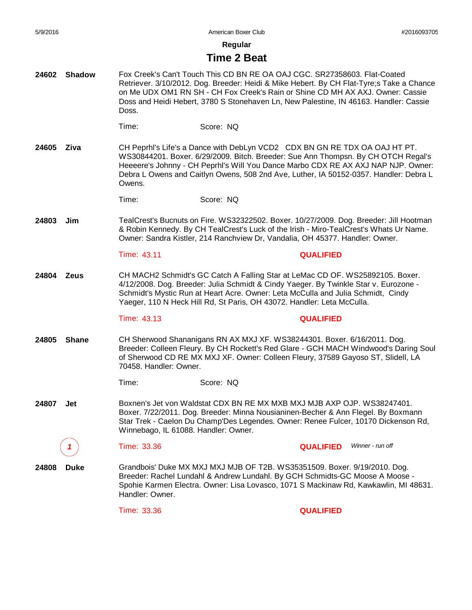**24602 Shadow**

5/9/2016 American Boxer Club #2016093705

**Regular**

# **Time 2 Beat**

Fox Creek's Can't Touch This CD BN RE OA OAJ CGC. SR27358603. Flat-Coated

Time: Score: NQ Retriever. 3/10/2012. Dog. Breeder: Heidi & Mike Hebert. By CH Flat-Tyre;s Take a Chance on Me UDX OM1 RN SH - CH Fox Creek's Rain or Shine CD MH AX AXJ. Owner: Cassie Doss and Heidi Hebert, 3780 S Stonehaven Ln, New Palestine, IN 46163. Handler: Cassie Doss. **24605 Ziva** Time: Score: NQ CH Peprhl's Life's a Dance with DebLyn VCD2 CDX BN GN RE TDX OA OAJ HT PT. WS30844201. Boxer. 6/29/2009. Bitch. Breeder: Sue Ann Thompsn. By CH OTCH Regal's Heeeere's Johnny - CH Peprhl's Will You Dance Marbo CDX RE AX AXJ NAP NJP. Owner: Debra L Owens and Caitlyn Owens, 508 2nd Ave, Luther, IA 50152-0357. Handler: Debra L Owens. **24803 Jim** Time: 43.11 **QUALIFIED** TealCrest's Bucnuts on Fire. WS32322502. Boxer. 10/27/2009. Dog. Breeder: Jill Hootman & Robin Kennedy. By CH TealCrest's Luck of the Irish - Miro-TealCrest's Whats Ur Name. Owner: Sandra Kistler, 214 Ranchview Dr, Vandalia, OH 45377. Handler: Owner. **24804 Zeus** Time: 43.13 **QUALIFIED** CH MACH2 Schmidt's GC Catch A Falling Star at LeMac CD OF. WS25892105. Boxer. 4/12/2008. Dog. Breeder: Julia Schmidt & Cindy Yaeger. By Twinkle Star v. Eurozone - Schmidt's Mystic Run at Heart Acre. Owner: Leta McCulla and Julia Schmidt, Cindy Yaeger, 110 N Heck Hill Rd, St Paris, OH 43072. Handler: Leta McCulla. **24805 Shane** Time: Score: NQ CH Sherwood Shananigans RN AX MXJ XF. WS38244301. Boxer. 6/16/2011. Dog. Breeder: Colleen Fleury. By CH Rockett's Red Glare - GCH MACH Windwood's Daring Soul of Sherwood CD RE MX MXJ XF. Owner: Colleen Fleury, 37589 Gayoso ST, Slidell, LA 70458. Handler: Owner. **24807 Jet** *1* Time: 33.36 **QUALIFIED** Boxnen's Jet von Waldstat CDX BN RE MX MXB MXJ MJB AXP OJP. WS38247401. Boxer. 7/22/2011. Dog. Breeder: Minna Nousianinen-Becher & Ann Flegel. By Boxmann Star Trek - Caelon Du Champ'Des Legendes. Owner: Renee Fulcer, 10170 Dickenson Rd, Winnebago, IL 61088. Handler: Owner. *Winner - run off* **24808 Duke** Time: 33.36 **QUALIFIED** Grandbois' Duke MX MXJ MXJ MJB OF T2B. WS35351509. Boxer. 9/19/2010. Dog. Breeder: Rachel Lundahl & Andrew Lundahl. By GCH Schmidts-GC Moose A Moose - Spohie Karmen Electra. Owner: Lisa Lovasco, 1071 S Mackinaw Rd, Kawkawlin, MI 48631. Handler: Owner.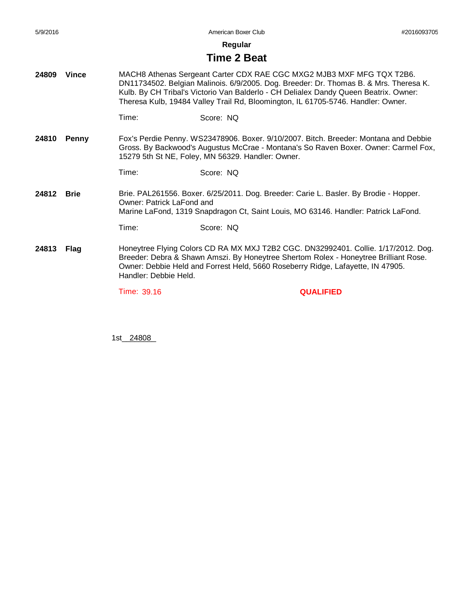**Regular**

# **Time 2 Beat**

- **24809 Vince** MACH8 Athenas Sergeant Carter CDX RAE CGC MXG2 MJB3 MXF MFG TQX T2B6. DN11734502. Belgian Malinois. 6/9/2005. Dog. Breeder: Dr. Thomas B. & Mrs. Theresa K. Kulb. By CH Tribal's Victorio Van Balderlo - CH Delialex Dandy Queen Beatrix. Owner: Theresa Kulb, 19484 Valley Trail Rd, Bloomington, IL 61705-5746. Handler: Owner.
	- Time: Score: NQ
- **24810 Penny** Fox's Perdie Penny. WS23478906. Boxer. 9/10/2007. Bitch. Breeder: Montana and Debbie Gross. By Backwood's Augustus McCrae - Montana's So Raven Boxer. Owner: Carmel Fox, 15279 5th St NE, Foley, MN 56329. Handler: Owner.

Time: Score: NQ

- **24812 Brie** Brie. PAL261556. Boxer. 6/25/2011. Dog. Breeder: Carie L. Basler. By Brodie - Hopper. Owner: Patrick LaFond and Marine LaFond, 1319 Snapdragon Ct, Saint Louis, MO 63146. Handler: Patrick LaFond.
	- Time: Score: NQ
- **24813 Flag** Honeytree Flying Colors CD RA MX MXJ T2B2 CGC. DN32992401. Collie. 1/17/2012. Dog. Breeder: Debra & Shawn Amszi. By Honeytree Shertom Rolex - Honeytree Brilliant Rose. Owner: Debbie Held and Forrest Held, 5660 Roseberry Ridge, Lafayette, IN 47905. Handler: Debbie Held.

Time: 39.16 **QUALIFIED**

1st\_\_\_\_\_\_\_\_ 24808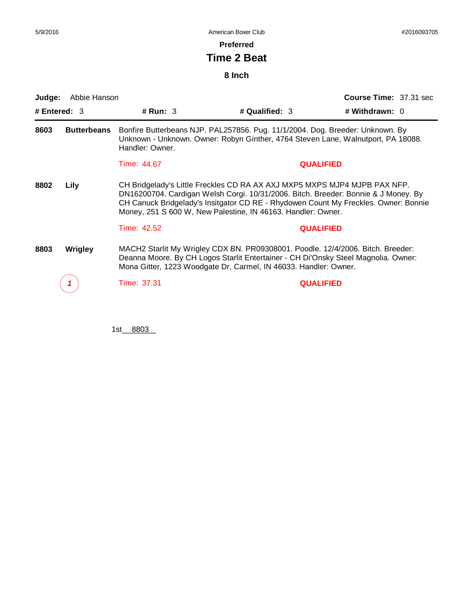**Preferred**

# **Time 2 Beat**

**8 Inch**

| Judge:         | Abbie Hanson       |                                                                                                                                                                                      |                                                                                                                                                                                                                                                                                                                        | <b>Course Time: 37.31 sec</b><br># Withdrawn: 0 |  |
|----------------|--------------------|--------------------------------------------------------------------------------------------------------------------------------------------------------------------------------------|------------------------------------------------------------------------------------------------------------------------------------------------------------------------------------------------------------------------------------------------------------------------------------------------------------------------|-------------------------------------------------|--|
| # Entered: $3$ |                    | # Run: $3$                                                                                                                                                                           | # Qualified: $3$                                                                                                                                                                                                                                                                                                       |                                                 |  |
| 8603           | <b>Butterbeans</b> | Bonfire Butterbeans NJP. PAL257856. Pug. 11/1/2004. Dog. Breeder: Unknown. By<br>Unknown - Unknown. Owner: Robyn Ginther, 4764 Steven Lane, Walnutport, PA 18088.<br>Handler: Owner. |                                                                                                                                                                                                                                                                                                                        |                                                 |  |
|                |                    | Time: 44.67                                                                                                                                                                          | <b>QUALIFIED</b>                                                                                                                                                                                                                                                                                                       |                                                 |  |
| 8802           | Lily               |                                                                                                                                                                                      | CH Bridgelady's Little Freckles CD RA AX AXJ MXP5 MXPS MJP4 MJPB PAX NFP.<br>DN16200704. Cardigan Welsh Corgi. 10/31/2006. Bitch. Breeder: Bonnie & J Money. By<br>CH Canuck Bridgelady's Insitgator CD RE - Rhydowen Count My Freckles. Owner: Bonnie<br>Money, 251 S 600 W, New Palestine, IN 46163. Handler: Owner. |                                                 |  |
|                |                    | Time: 42.52                                                                                                                                                                          | <b>QUALIFIED</b>                                                                                                                                                                                                                                                                                                       |                                                 |  |
| 8803           | <b>Wrigley</b>     |                                                                                                                                                                                      | MACH2 Starlit My Wrigley CDX BN. PR09308001. Poodle. 12/4/2006. Bitch. Breeder:<br>Deanna Moore. By CH Logos Starlit Entertainer - CH Di'Onsky Steel Magnolia. Owner:<br>Mona Gitter, 1223 Woodgate Dr, Carmel, IN 46033. Handler: Owner.                                                                              |                                                 |  |
|                |                    | Time: 37.31                                                                                                                                                                          | <b>QUALIFIED</b>                                                                                                                                                                                                                                                                                                       |                                                 |  |
|                |                    |                                                                                                                                                                                      |                                                                                                                                                                                                                                                                                                                        |                                                 |  |

1st\_\_\_\_\_\_\_\_ 8803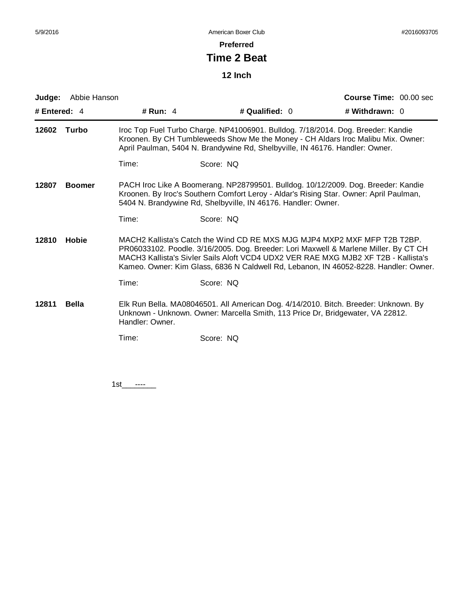**Preferred**

# **Time 2 Beat**

**12 Inch**

| Judge:         | Abbie Hanson  |                 |                                                                                                                                                                                                                                                                                                                                                 | Course Time: 00.00 sec |  |  |
|----------------|---------------|-----------------|-------------------------------------------------------------------------------------------------------------------------------------------------------------------------------------------------------------------------------------------------------------------------------------------------------------------------------------------------|------------------------|--|--|
| # Entered: 4   |               | # Run: $4$      | # Qualified: 0                                                                                                                                                                                                                                                                                                                                  | # Withdrawn: 0         |  |  |
| 12602          | Turbo         |                 | Iroc Top Fuel Turbo Charge. NP41006901. Bulldog. 7/18/2014. Dog. Breeder: Kandie<br>Kroonen. By CH Tumbleweeds Show Me the Money - CH Aldars Iroc Malibu Mix. Owner:<br>April Paulman, 5404 N. Brandywine Rd, Shelbyville, IN 46176. Handler: Owner.                                                                                            |                        |  |  |
|                |               | Time:           | Score: NQ                                                                                                                                                                                                                                                                                                                                       |                        |  |  |
| 12807          | <b>Boomer</b> |                 | PACH Iroc Like A Boomerang. NP28799501. Bulldog. 10/12/2009. Dog. Breeder: Kandie<br>Kroonen. By Iroc's Southern Comfort Leroy - Aldar's Rising Star. Owner: April Paulman,<br>5404 N. Brandywine Rd, Shelbyville, IN 46176. Handler: Owner.                                                                                                    |                        |  |  |
|                |               | Time:           | Score: NQ                                                                                                                                                                                                                                                                                                                                       |                        |  |  |
| 12810<br>Hobie |               |                 | MACH2 Kallista's Catch the Wind CD RE MXS MJG MJP4 MXP2 MXF MFP T2B T2BP.<br>PR06033102. Poodle. 3/16/2005. Dog. Breeder: Lori Maxwell & Marlene Miller. By CT CH<br>MACH3 Kallista's Sivler Sails Aloft VCD4 UDX2 VER RAE MXG MJB2 XF T2B - Kallista's<br>Kameo. Owner: Kim Glass, 6836 N Caldwell Rd, Lebanon, IN 46052-8228. Handler: Owner. |                        |  |  |
|                |               | Time:           | Score: NQ                                                                                                                                                                                                                                                                                                                                       |                        |  |  |
| 12811          | <b>Bella</b>  | Handler: Owner. | Elk Run Bella. MA08046501. All American Dog. 4/14/2010. Bitch. Breeder: Unknown. By<br>Unknown - Unknown. Owner: Marcella Smith, 113 Price Dr, Bridgewater, VA 22812.                                                                                                                                                                           |                        |  |  |
|                |               | Time:           | Score: NQ                                                                                                                                                                                                                                                                                                                                       |                        |  |  |
|                |               |                 |                                                                                                                                                                                                                                                                                                                                                 |                        |  |  |
|                |               |                 |                                                                                                                                                                                                                                                                                                                                                 |                        |  |  |

1st\_\_\_\_\_\_\_\_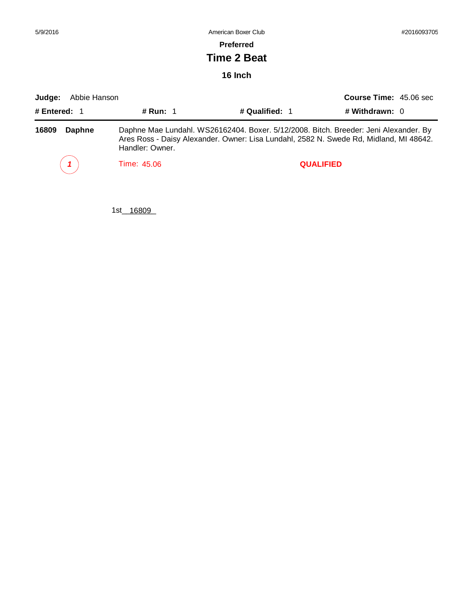| 5/9/2016               |                 | American Boxer Club                                                                                                                                                            |                               | #2016093705 |  |
|------------------------|-----------------|--------------------------------------------------------------------------------------------------------------------------------------------------------------------------------|-------------------------------|-------------|--|
|                        |                 | <b>Preferred</b>                                                                                                                                                               |                               |             |  |
|                        |                 | Time 2 Beat                                                                                                                                                                    |                               |             |  |
| 16 Inch                |                 |                                                                                                                                                                                |                               |             |  |
| Judge:<br>Abbie Hanson |                 |                                                                                                                                                                                | <b>Course Time: 45.06 sec</b> |             |  |
| # Entered: 1           | # Run: $1$      | # Qualified: 1                                                                                                                                                                 | # Withdrawn: $0$              |             |  |
| 16809<br>Daphne        | Handler: Owner. | Daphne Mae Lundahl. WS26162404. Boxer. 5/12/2008. Bitch. Breeder: Jeni Alexander. By<br>Ares Ross - Daisy Alexander. Owner: Lisa Lundahl, 2582 N. Swede Rd, Midland, MI 48642. |                               |             |  |

*1* Time: 45.06 **QUALIFIED**

1st\_\_16809\_